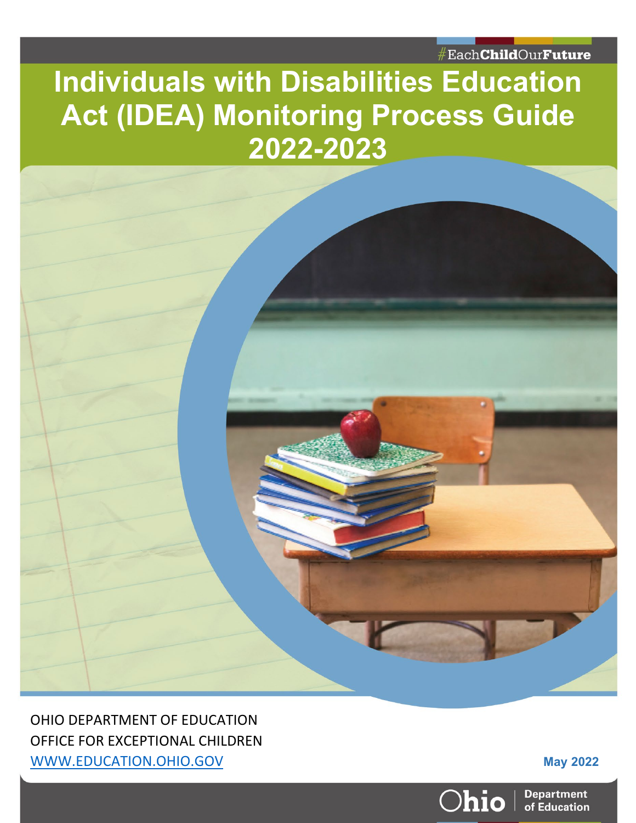## #EachChildOurFuture

# **Individuals with Disabilities Education Act (IDEA) Monitoring Process Guide 2022-2023**



OHIO DEPARTMENT OF EDUCATION OFFICE FOR EXCEPTIONAL CHILDREN [WWW.EDUCATION.OHIO.GOV](http://www.education.ohio.gov/) **May 2022**



**Department** of Education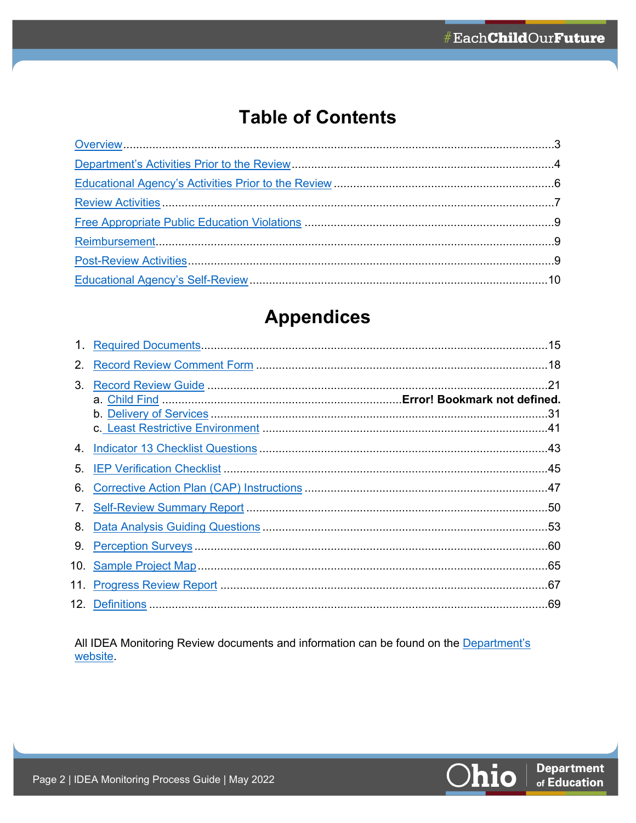# **Table of Contents**

# **Appendices**

| 2. |  |
|----|--|
| 3. |  |
| 4. |  |
| 5. |  |
| 6. |  |
| 7. |  |
| 8. |  |
| 9. |  |
|    |  |
|    |  |
|    |  |

All IDEA Monitoring Review documents and information can be found on the Department's website

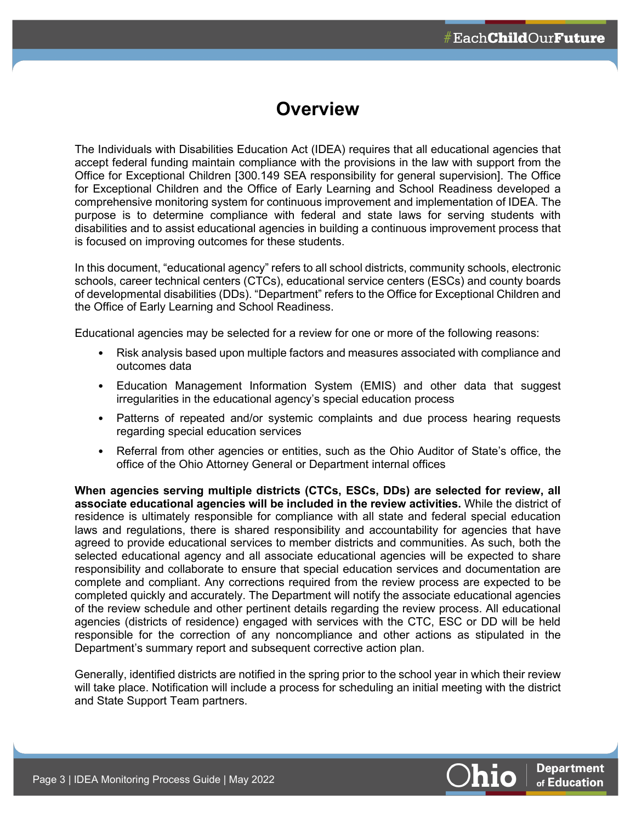# **Overview**

<span id="page-2-0"></span>The Individuals with Disabilities Education Act (IDEA) requires that all educational agencies that accept federal funding maintain compliance with the provisions in the law with support from the Office for Exceptional Children [300.149 SEA responsibility for general supervision]. The Office for Exceptional Children and the Office of Early Learning and School Readiness developed a comprehensive monitoring system for continuous improvement and implementation of IDEA. The purpose is to determine compliance with federal and state laws for serving students with disabilities and to assist educational agencies in building a continuous improvement process that is focused on improving outcomes for these students.

In this document, "educational agency" refers to all school districts, community schools, electronic schools, career technical centers (CTCs), educational service centers (ESCs) and county boards of developmental disabilities (DDs). "Department" refers to the Office for Exceptional Children and the Office of Early Learning and School Readiness.

Educational agencies may be selected for a review for one or more of the following reasons:

- Risk analysis based upon multiple factors and measures associated with compliance and outcomes data
- Education Management Information System (EMIS) and other data that suggest irregularities in the educational agency's special education process
- Patterns of repeated and/or systemic complaints and due process hearing requests regarding special education services
- Referral from other agencies or entities, such as the Ohio Auditor of State's office, the office of the Ohio Attorney General or Department internal offices

**When agencies serving multiple districts (CTCs, ESCs, DDs) are selected for review, all associate educational agencies will be included in the review activities.** While the district of residence is ultimately responsible for compliance with all state and federal special education laws and regulations, there is shared responsibility and accountability for agencies that have agreed to provide educational services to member districts and communities. As such, both the selected educational agency and all associate educational agencies will be expected to share responsibility and collaborate to ensure that special education services and documentation are complete and compliant. Any corrections required from the review process are expected to be completed quickly and accurately. The Department will notify the associate educational agencies of the review schedule and other pertinent details regarding the review process. All educational agencies (districts of residence) engaged with services with the CTC, ESC or DD will be held responsible for the correction of any noncompliance and other actions as stipulated in the Department's summary report and subsequent corrective action plan.

Generally, identified districts are notified in the spring prior to the school year in which their review will take place. Notification will include a process for scheduling an initial meeting with the district and State Support Team partners.

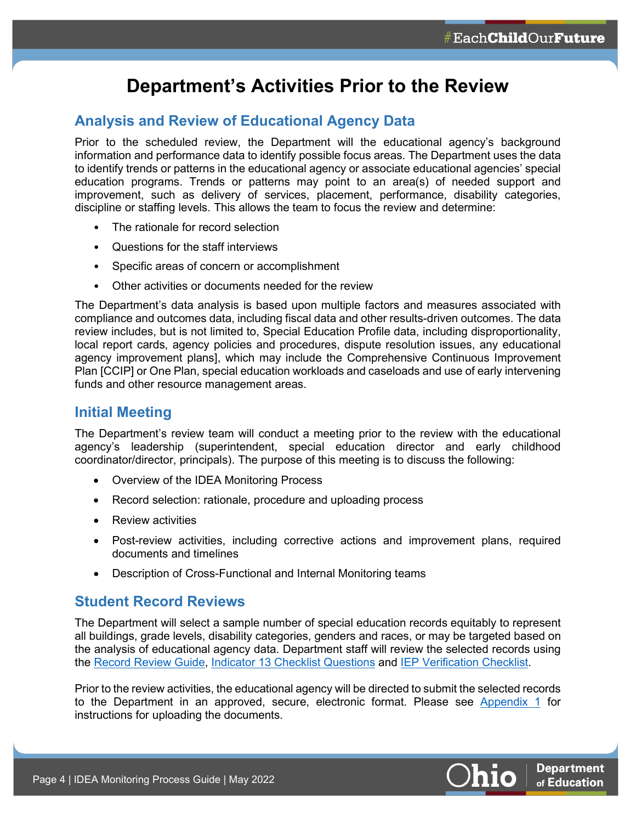# **Department's Activities Prior to the Review**

## <span id="page-3-0"></span>**Analysis and Review of Educational Agency Data**

Prior to the scheduled review, the Department will the educational agency's background information and performance data to identify possible focus areas. The Department uses the data to identify trends or patterns in the educational agency or associate educational agencies' special education programs. Trends or patterns may point to an area(s) of needed support and improvement, such as delivery of services, placement, performance, disability categories, discipline or staffing levels. This allows the team to focus the review and determine:

- The rationale for record selection
- Questions for the staff interviews
- Specific areas of concern or accomplishment
- Other activities or documents needed for the review

The Department's data analysis is based upon multiple factors and measures associated with compliance and outcomes data, including fiscal data and other results-driven outcomes. The data review includes, but is not limited to, Special Education Profile data, including disproportionality, local report cards, agency policies and procedures, dispute resolution issues, any educational agency improvement plans], which may include the Comprehensive Continuous Improvement Plan [CCIP] or One Plan, special education workloads and caseloads and use of early intervening funds and other resource management areas.

### **Initial Meeting**

The Department's review team will conduct a meeting prior to the review with the educational agency's leadership (superintendent, special education director and early childhood coordinator/director, principals). The purpose of this meeting is to discuss the following:

- Overview of the IDEA Monitoring Process
- Record selection: rationale, procedure and uploading process
- Review activities
- Post-review activities, including corrective actions and improvement plans, required documents and timelines
- Description of Cross-Functional and Internal Monitoring teams

### **Student Record Reviews**

The Department will select a sample number of special education records equitably to represent all buildings, grade levels, disability categories, genders and races, or may be targeted based on the analysis of educational agency data. Department staff will review the selected records using the [Record Review Guide,](#page-20-0) [Indicator 13 Checklist](#page-42-0) Questions and [IEP Verification Checklist.](#page-44-0)

Prior to the review activities, the educational agency will be directed to submit the selected records to the Department in an approved, secure, electronic format. Please see [Appendix 1](#page-14-0) for instructions for uploading the documents.

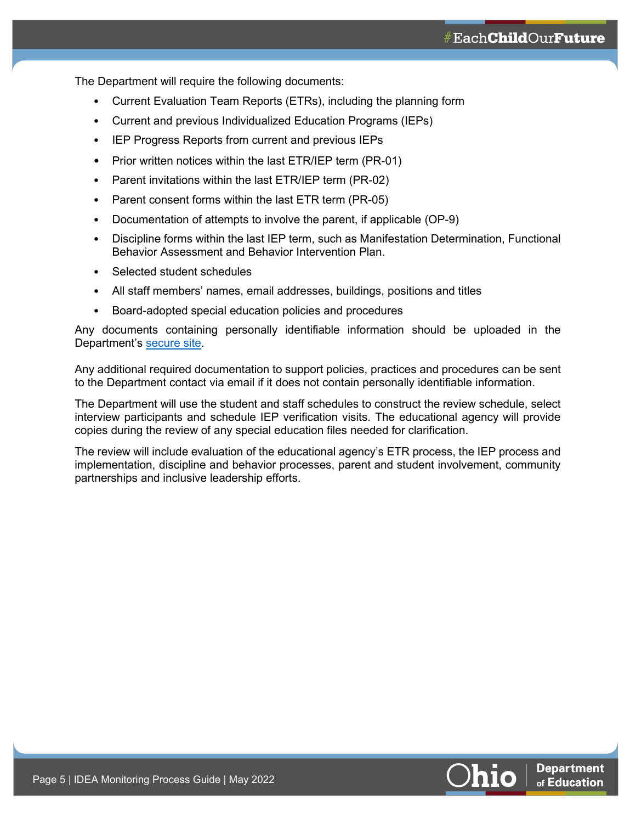The Department will require the following documents:

- Current Evaluation Team Reports (ETRs), including the planning form
- Current and previous Individualized Education Programs (IEPs)
- IEP Progress Reports from current and previous IEPs
- Prior written notices within the last ETR/IEP term (PR-01)
- Parent invitations within the last ETR/IEP term (PR-02)
- Parent consent forms within the last ETR term (PR-05)
- Documentation of attempts to involve the parent, if applicable (OP-9)
- Discipline forms within the last IEP term, such as Manifestation Determination, Functional Behavior Assessment and Behavior Intervention Plan.
- Selected student schedules
- All staff members' names, email addresses, buildings, positions and titles
- Board-adopted special education policies and procedures

Any documents containing personally identifiable information should be uploaded in the Department's [secure site.](https://docupload.ode.state.oh.us/)

Any additional required documentation to support policies, practices and procedures can be sent to the Department contact via email if it does not contain personally identifiable information.

The Department will use the student and staff schedules to construct the review schedule, select interview participants and schedule IEP verification visits. The educational agency will provide copies during the review of any special education files needed for clarification.

The review will include evaluation of the educational agency's ETR process, the IEP process and implementation, discipline and behavior processes, parent and student involvement, community partnerships and inclusive leadership efforts.

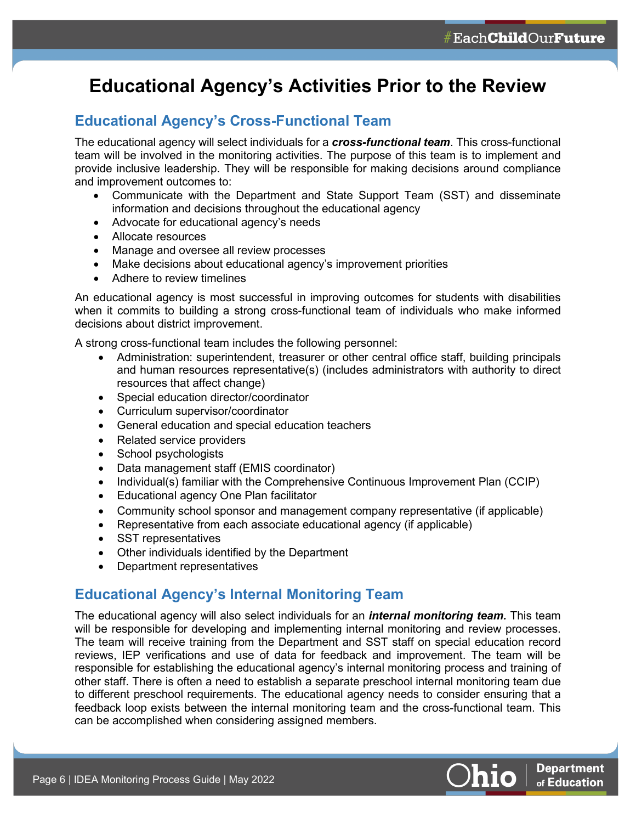# <span id="page-5-0"></span>**Educational Agency's Activities Prior to the Review**

## **Educational Agency's Cross-Functional Team**

The educational agency will select individuals for a *cross-functional team*. This cross-functional team will be involved in the monitoring activities. The purpose of this team is to implement and provide inclusive leadership. They will be responsible for making decisions around compliance and improvement outcomes to:

- Communicate with the Department and State Support Team (SST) and disseminate information and decisions throughout the educational agency
- Advocate for educational agency's needs
- Allocate resources
- Manage and oversee all review processes
- Make decisions about educational agency's improvement priorities
- Adhere to review timelines

An educational agency is most successful in improving outcomes for students with disabilities when it commits to building a strong cross-functional team of individuals who make informed decisions about district improvement.

A strong cross-functional team includes the following personnel:

- Administration: superintendent, treasurer or other central office staff, building principals and human resources representative(s) (includes administrators with authority to direct resources that affect change)
- Special education director/coordinator
- Curriculum supervisor/coordinator
- General education and special education teachers
- Related service providers
- School psychologists
- Data management staff (EMIS coordinator)
- Individual(s) familiar with the Comprehensive Continuous Improvement Plan (CCIP)
- Educational agency One Plan facilitator
- Community school sponsor and management company representative (if applicable)
- Representative from each associate educational agency (if applicable)
- SST representatives
- Other individuals identified by the Department
- Department representatives

## **Educational Agency's Internal Monitoring Team**

The educational agency will also select individuals for an *internal monitoring team.* This team will be responsible for developing and implementing internal monitoring and review processes. The team will receive training from the Department and SST staff on special education record reviews, IEP verifications and use of data for feedback and improvement. The team will be responsible for establishing the educational agency's internal monitoring process and training of other staff. There is often a need to establish a separate preschool internal monitoring team due to different preschool requirements. The educational agency needs to consider ensuring that a feedback loop exists between the internal monitoring team and the cross-functional team. This can be accomplished when considering assigned members.

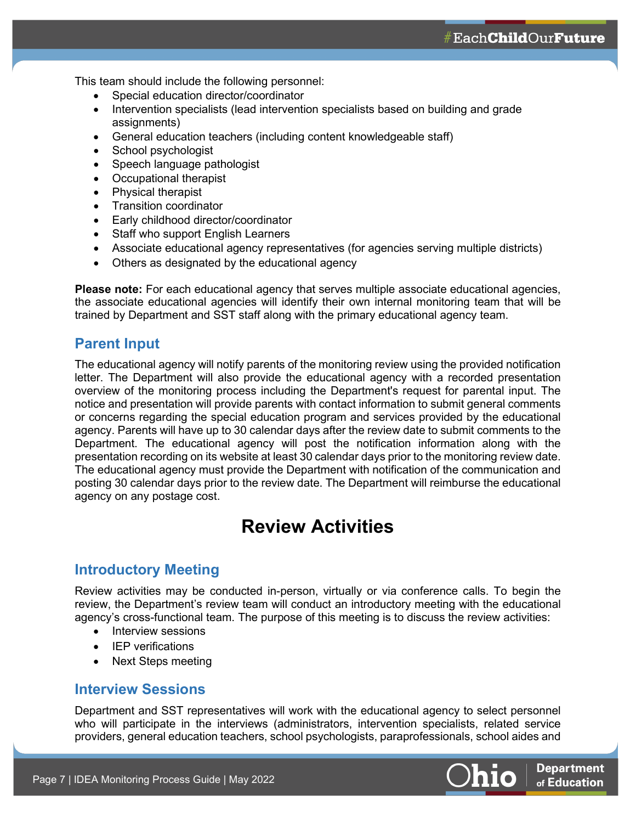This team should include the following personnel:

- Special education director/coordinator
- Intervention specialists (lead intervention specialists based on building and grade assignments)
- General education teachers (including content knowledgeable staff)
- School psychologist
- Speech language pathologist
- Occupational therapist
- Physical therapist
- Transition coordinator
- Early childhood director/coordinator
- Staff who support English Learners
- Associate educational agency representatives (for agencies serving multiple districts)
- Others as designated by the educational agency

**Please note:** For each educational agency that serves multiple associate educational agencies, the associate educational agencies will identify their own internal monitoring team that will be trained by Department and SST staff along with the primary educational agency team.

### **Parent Input**

The educational agency will notify parents of the monitoring review using the provided notification letter. The Department will also provide the educational agency with a recorded presentation overview of the monitoring process including the Department's request for parental input. The notice and presentation will provide parents with contact information to submit general comments or concerns regarding the special education program and services provided by the educational agency. Parents will have up to 30 calendar days after the review date to submit comments to the Department. The educational agency will post the notification information along with the presentation recording on its website at least 30 calendar days prior to the monitoring review date. The educational agency must provide the Department with notification of the communication and posting 30 calendar days prior to the review date. The Department will reimburse the educational agency on any postage cost.

# **Review Activities**

### <span id="page-6-0"></span>**Introductory Meeting**

Review activities may be conducted in-person, virtually or via conference calls. To begin the review, the Department's review team will conduct an introductory meeting with the educational agency's cross-functional team. The purpose of this meeting is to discuss the review activities:

- Interview sessions
- IEP verifications
- Next Steps meeting

### **Interview Sessions**

Department and SST representatives will work with the educational agency to select personnel who will participate in the interviews (administrators, intervention specialists, related service providers, general education teachers, school psychologists, paraprofessionals, school aides and

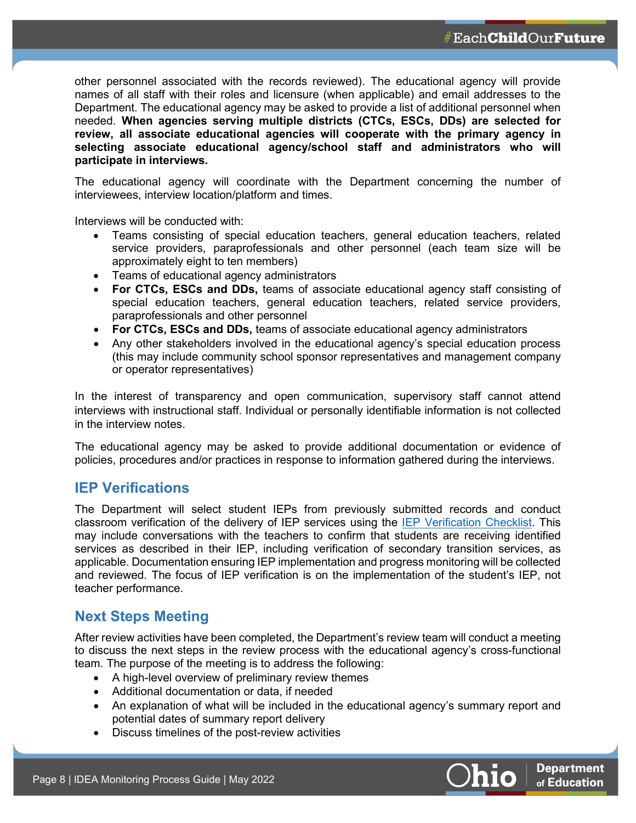other personnel associated with the records reviewed). The educational agency will provide names of all staff with their roles and licensure (when applicable) and email addresses to the Department. The educational agency may be asked to provide a list of additional personnel when needed. **When agencies serving multiple districts (CTCs, ESCs, DDs) are selected for review, all associate educational agencies will cooperate with the primary agency in selecting associate educational agency/school staff and administrators who will participate in interviews.** 

The educational agency will coordinate with the Department concerning the number of interviewees, interview location/platform and times.

Interviews will be conducted with:

- Teams consisting of special education teachers, general education teachers, related service providers, paraprofessionals and other personnel (each team size will be approximately eight to ten members)
- Teams of educational agency administrators
- **For CTCs, ESCs and DDs,** teams of associate educational agency staff consisting of special education teachers, general education teachers, related service providers, paraprofessionals and other personnel
- **For CTCs, ESCs and DDs,** teams of associate educational agency administrators
- Any other stakeholders involved in the educational agency's special education process (this may include community school sponsor representatives and management company or operator representatives)

In the interest of transparency and open communication, supervisory staff cannot attend interviews with instructional staff. Individual or personally identifiable information is not collected in the interview notes.

The educational agency may be asked to provide additional documentation or evidence of policies, procedures and/or practices in response to information gathered during the interviews.

### **IEP Verifications**

The Department will select student IEPs from previously submitted records and conduct classroom verification of the delivery of IEP services using the [IEP Verification Checklist.](#page-44-1) This may include conversations with the teachers to confirm that students are receiving identified services as described in their IEP, including verification of secondary transition services, as applicable. Documentation ensuring IEP implementation and progress monitoring will be collected and reviewed. The focus of IEP verification is on the implementation of the student's IEP, not teacher performance.

### **Next Steps Meeting**

After review activities have been completed, the Department's review team will conduct a meeting to discuss the next steps in the review process with the educational agency's cross-functional team. The purpose of the meeting is to address the following:

- A high-level overview of preliminary review themes
- Additional documentation or data, if needed
- An explanation of what will be included in the educational agency's summary report and potential dates of summary report delivery
- Discuss timelines of the post-review activities

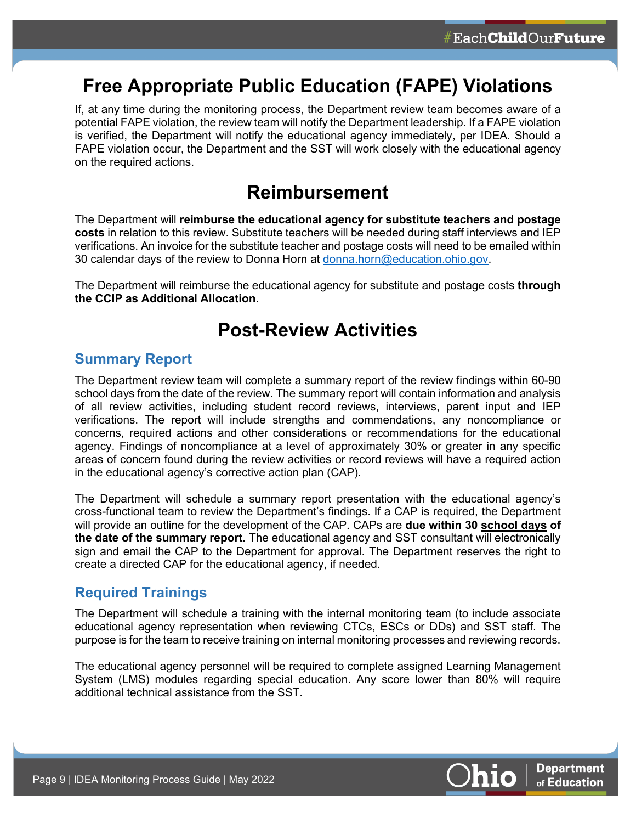# <span id="page-8-0"></span>**Free Appropriate Public Education (FAPE) Violations**

If, at any time during the monitoring process, the Department review team becomes aware of a potential FAPE violation, the review team will notify the Department leadership. If a FAPE violation is verified, the Department will notify the educational agency immediately, per IDEA. Should a FAPE violation occur, the Department and the SST will work closely with the educational agency on the required actions.

# **Reimbursement**

<span id="page-8-1"></span>The Department will **reimburse the educational agency for substitute teachers and postage costs** in relation to this review. Substitute teachers will be needed during staff interviews and IEP verifications. An invoice for the substitute teacher and postage costs will need to be emailed within 30 calendar days of the review to Donna Horn at [donna.horn@education.ohio.gov.](mailto:donna.horn@education.ohio.gov)

The Department will reimburse the educational agency for substitute and postage costs **through the CCIP as Additional Allocation.**

# **Post-Review Activities**

## <span id="page-8-2"></span>**Summary Report**

The Department review team will complete a summary report of the review findings within 60-90 school days from the date of the review. The summary report will contain information and analysis of all review activities, including student record reviews, interviews, parent input and IEP verifications. The report will include strengths and commendations, any noncompliance or concerns, required actions and other considerations or recommendations for the educational agency. Findings of noncompliance at a level of approximately 30% or greater in any specific areas of concern found during the review activities or record reviews will have a required action in the educational agency's corrective action plan (CAP).

The Department will schedule a summary report presentation with the educational agency's cross-functional team to review the Department's findings. If a CAP is required, the Department will provide an outline for the development of the CAP. CAPs are **due within 30 school days of the date of the summary report.** The educational agency and SST consultant will electronically sign and email the CAP to the Department for approval. The Department reserves the right to create a directed CAP for the educational agency, if needed.

## **Required Trainings**

The Department will schedule a training with the internal monitoring team (to include associate educational agency representation when reviewing CTCs, ESCs or DDs) and SST staff. The purpose is for the team to receive training on internal monitoring processes and reviewing records.

The educational agency personnel will be required to complete assigned Learning Management System (LMS) modules regarding special education. Any score lower than 80% will require additional technical assistance from the SST.

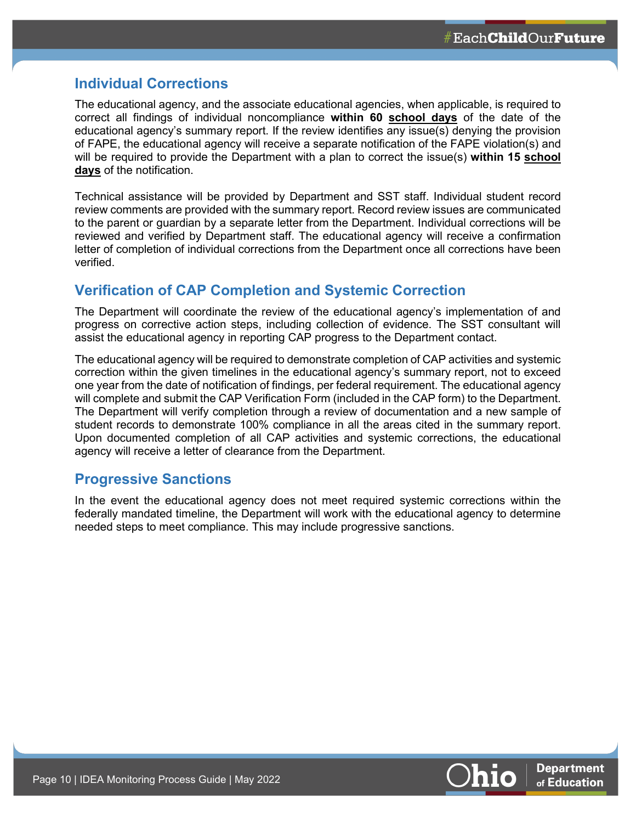## **Individual Corrections**

The educational agency, and the associate educational agencies, when applicable, is required to correct all findings of individual noncompliance **within 60 school days** of the date of the educational agency's summary report. If the review identifies any issue(s) denying the provision of FAPE, the educational agency will receive a separate notification of the FAPE violation(s) and will be required to provide the Department with a plan to correct the issue(s) **within 15 school days** of the notification.

Technical assistance will be provided by Department and SST staff. Individual student record review comments are provided with the summary report. Record review issues are communicated to the parent or guardian by a separate letter from the Department. Individual corrections will be reviewed and verified by Department staff. The educational agency will receive a confirmation letter of completion of individual corrections from the Department once all corrections have been verified.

## **Verification of CAP Completion and Systemic Correction**

The Department will coordinate the review of the educational agency's implementation of and progress on corrective action steps, including collection of evidence. The SST consultant will assist the educational agency in reporting CAP progress to the Department contact.

The educational agency will be required to demonstrate completion of CAP activities and systemic correction within the given timelines in the educational agency's summary report, not to exceed one year from the date of notification of findings, per federal requirement. The educational agency will complete and submit the CAP Verification Form (included in the CAP form) to the Department. The Department will verify completion through a review of documentation and a new sample of student records to demonstrate 100% compliance in all the areas cited in the summary report. Upon documented completion of all CAP activities and systemic corrections, the educational agency will receive a letter of clearance from the Department.

## **Progressive Sanctions**

<span id="page-9-0"></span>In the event the educational agency does not meet required systemic corrections within the federally mandated timeline, the Department will work with the educational agency to determine needed steps to meet compliance. This may include progressive sanctions.

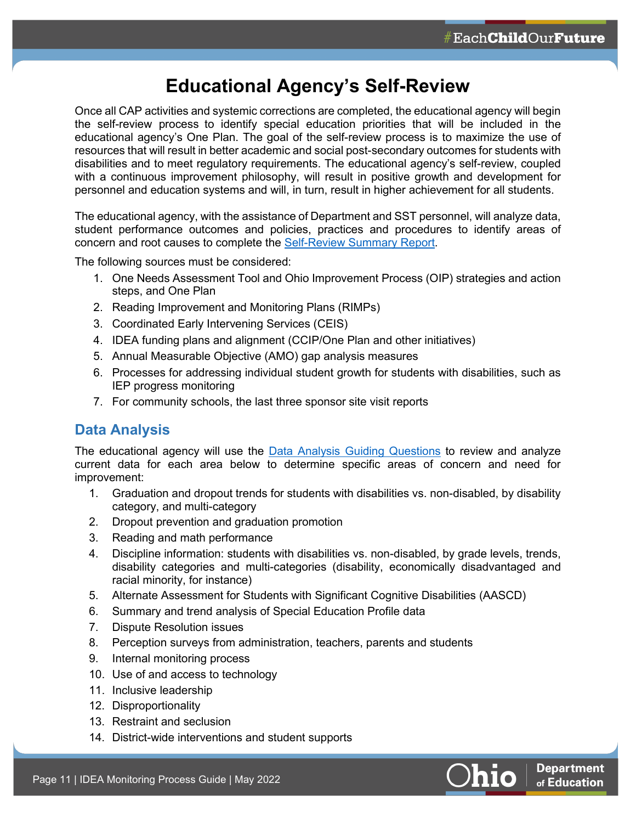# **Educational Agency's Self-Review**

Once all CAP activities and systemic corrections are completed, the educational agency will begin the self-review process to identify special education priorities that will be included in the educational agency's One Plan. The goal of the self-review process is to maximize the use of resources that will result in better academic and social post-secondary outcomes for students with disabilities and to meet regulatory requirements. The educational agency's self-review, coupled with a continuous improvement philosophy, will result in positive growth and development for personnel and education systems and will, in turn, result in higher achievement for all students.

The educational agency, with the assistance of Department and SST personnel, will analyze data, student performance outcomes and policies, practices and procedures to identify areas of concern and root causes to complete the [Self-Review Summary Report.](#page-49-0)

The following sources must be considered:

- 1. One Needs Assessment Tool and Ohio Improvement Process (OIP) strategies and action steps, and One Plan
- 2. Reading Improvement and Monitoring Plans (RIMPs)
- 3. Coordinated Early Intervening Services (CEIS)
- 4. IDEA funding plans and alignment (CCIP/One Plan and other initiatives)
- 5. Annual Measurable Objective (AMO) gap analysis measures
- 6. Processes for addressing individual student growth for students with disabilities, such as IEP progress monitoring
- 7. For community schools, the last three sponsor site visit reports

## **Data Analysis**

The educational agency will use the **Data Analysis Guiding Questions** to review and analyze current data for each area below to determine specific areas of concern and need for improvement:

- 1. Graduation and dropout trends for students with disabilities vs. non-disabled, by disability category, and multi-category
- 2. Dropout prevention and graduation promotion
- 3. Reading and math performance
- 4. Discipline information: students with disabilities vs. non-disabled, by grade levels, trends, disability categories and multi-categories (disability, economically disadvantaged and racial minority, for instance)
- 5. Alternate Assessment for Students with Significant Cognitive Disabilities (AASCD)
- 6. Summary and trend analysis of Special Education Profile data
- 7. Dispute Resolution issues
- 8. Perception surveys from administration, teachers, parents and students
- 9. Internal monitoring process
- 10. Use of and access to technology
- 11. Inclusive leadership
- 12. Disproportionality
- 13. Restraint and seclusion
- 14. District-wide interventions and student supports

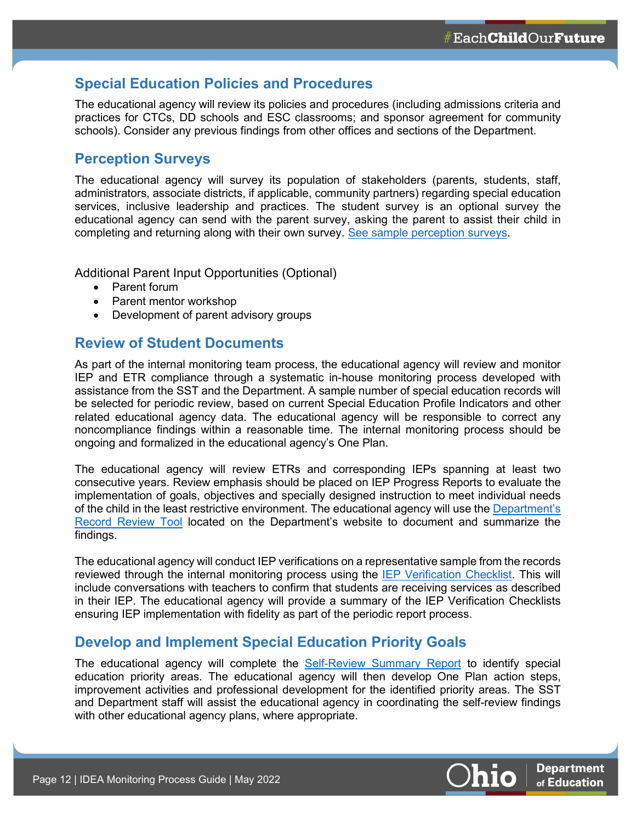## **Special Education Policies and Procedures**

The educational agency will review its policies and procedures (including admissions criteria and practices for CTCs, DD schools and ESC classrooms; and sponsor agreement for community schools). Consider any previous findings from other offices and sections of the Department.

### **Perception Surveys**

The educational agency will survey its population of stakeholders (parents, students, staff, administrators, associate districts, if applicable, community partners) regarding special education services, inclusive leadership and practices. The student survey is an optional survey the educational agency can send with the parent survey, asking the parent to assist their child in completing and returning along with their own survey. See [sample perception surveys.](#page-59-0)

Additional Parent Input Opportunities (Optional)

- Parent forum
- Parent mentor workshop
- Development of parent advisory groups

### **Review of Student Documents**

As part of the internal monitoring team process, the educational agency will review and monitor IEP and ETR compliance through a systematic in-house monitoring process developed with assistance from the SST and the Department. A sample number of special education records will be selected for periodic review, based on current Special Education Profile Indicators and other related educational agency data. The educational agency will be responsible to correct any noncompliance findings within a reasonable time. The internal monitoring process should be ongoing and formalized in the educational agency's One Plan.

The educational agency will review ETRs and corresponding IEPs spanning at least two consecutive years. Review emphasis should be placed on IEP Progress Reports to evaluate the implementation of goals, objectives and specially designed instruction to meet individual needs of the child in the least restrictive environment. The educational agency will use the [Department's](http://education.ohio.gov/Topics/Special-Education/Special-Education-Monitoring-System/IDEA-Onsite-Reviews)  [Record Review Tool](http://education.ohio.gov/Topics/Special-Education/Special-Education-Monitoring-System/IDEA-Onsite-Reviews) located on the Department's website to document and summarize the findings.

The educational agency will conduct IEP verifications on a representative sample from the records reviewed through the internal monitoring process using the [IEP Verification Checklist.](#page-44-1) This will include conversations with teachers to confirm that students are receiving services as described in their IEP. The educational agency will provide a summary of the IEP Verification Checklists ensuring IEP implementation with fidelity as part of the periodic report process.

## **Develop and Implement Special Education Priority Goals**

The educational agency will complete the **[Self-Review Summary Report](#page-49-0)** to identify special education priority areas. The educational agency will then develop One Plan action steps, improvement activities and professional development for the identified priority areas. The SST and Department staff will assist the educational agency in coordinating the self-review findings with other educational agency plans, where appropriate.

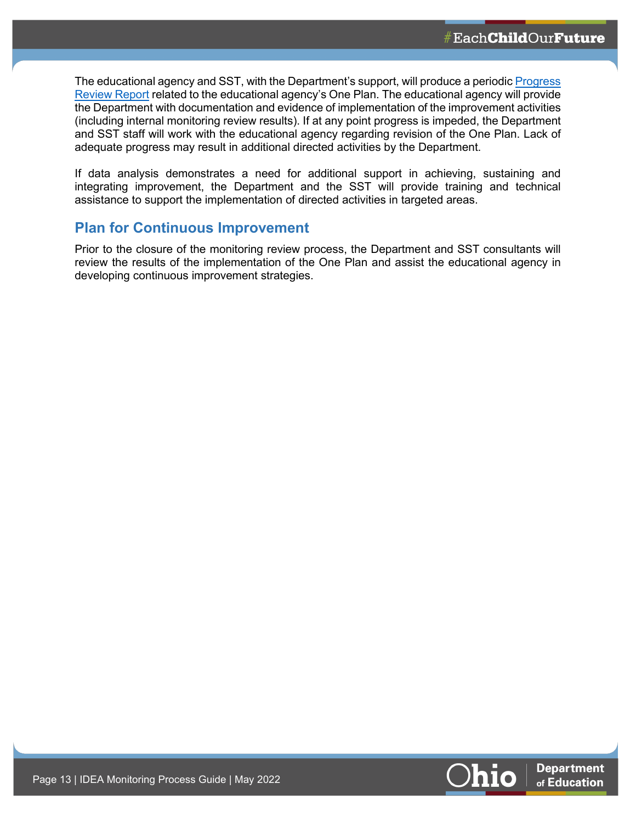The educational agency and SST, with the Department's support, will produce a periodic [Progress](#page-66-0)  [Review Report](#page-66-0) related to the educational agency's One Plan. The educational agency will provide the Department with documentation and evidence of implementation of the improvement activities (including internal monitoring review results). If at any point progress is impeded, the Department and SST staff will work with the educational agency regarding revision of the One Plan. Lack of adequate progress may result in additional directed activities by the Department.

If data analysis demonstrates a need for additional support in achieving, sustaining and integrating improvement, the Department and the SST will provide training and technical assistance to support the implementation of directed activities in targeted areas.

## **Plan for Continuous Improvement**

Prior to the closure of the monitoring review process, the Department and SST consultants will review the results of the implementation of the One Plan and assist the educational agency in developing continuous improvement strategies.

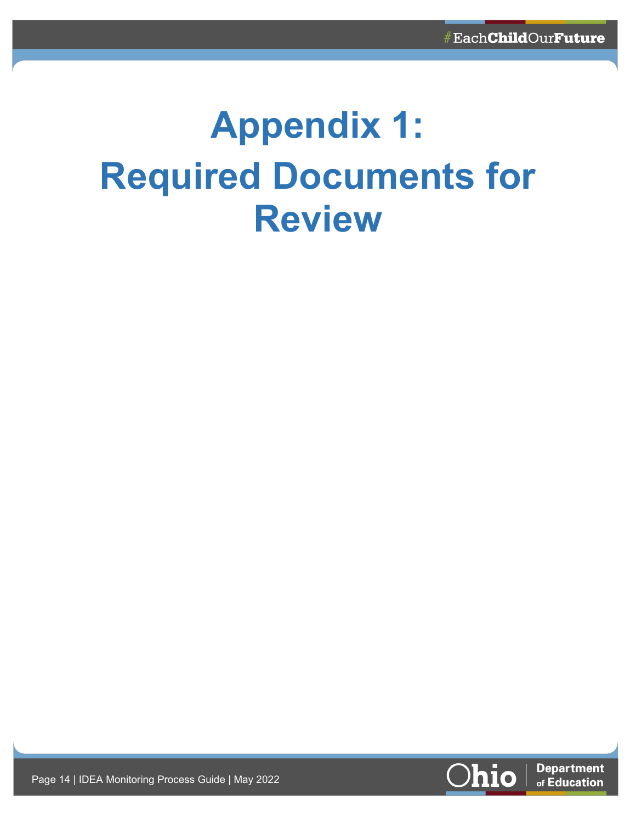# **Appendix 1: Required Documents for Review**



**Department** of Education

Page 14 | IDEA Monitoring Process Guide | May 2022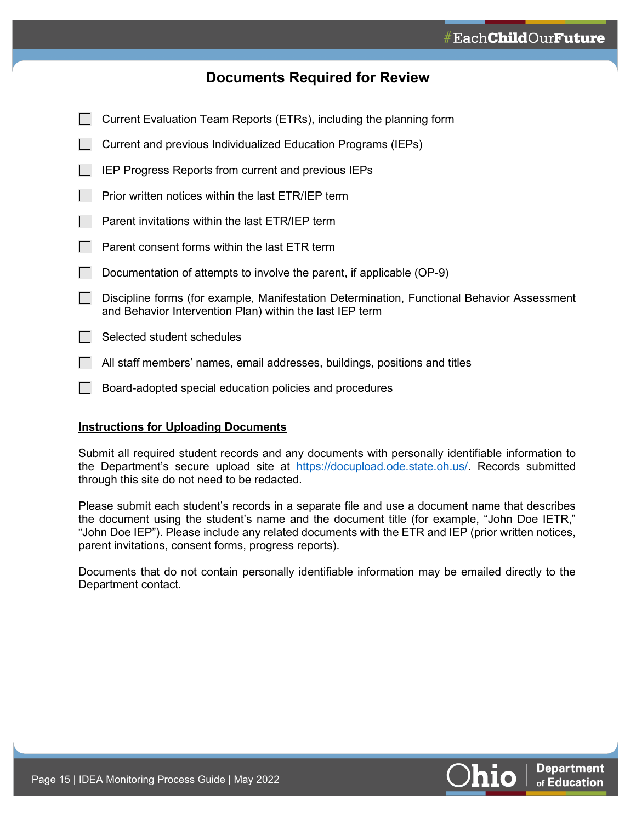## **Documents Required for Review**

- <span id="page-14-0"></span> $\Box$  Current Evaluation Team Reports (ETRs), including the planning form
- $\Box$  Current and previous Individualized Education Programs (IEPs)
- $\Box$  IEP Progress Reports from current and previous IEPs
- $\Box$  Prior written notices within the last ETR/IEP term
- $\Box$  Parent invitations within the last ETR/IEP term
- $\Box$  Parent consent forms within the last ETR term
- Documentation of attempts to involve the parent, if applicable  $(OP-9)$
- Discipline forms (for example, Manifestation Determination, Functional Behavior Assessment and Behavior Intervention Plan) within the last IEP term
- $\Box$  Selected student schedules
- $\Box$  All staff members' names, email addresses, buildings, positions and titles
- Board-adopted special education policies and procedures

#### **Instructions for Uploading Documents**

Submit all required student records and any documents with personally identifiable information to the Department's secure upload site at [https://docupload.ode.state.oh.us/.](https://docupload.ode.state.oh.us/) Records submitted through this site do not need to be redacted.

Please submit each student's records in a separate file and use a document name that describes the document using the student's name and the document title (for example, "John Doe IETR," "John Doe IEP"). Please include any related documents with the ETR and IEP (prior written notices, parent invitations, consent forms, progress reports).

Documents that do not contain personally identifiable information may be emailed directly to the Department contact.

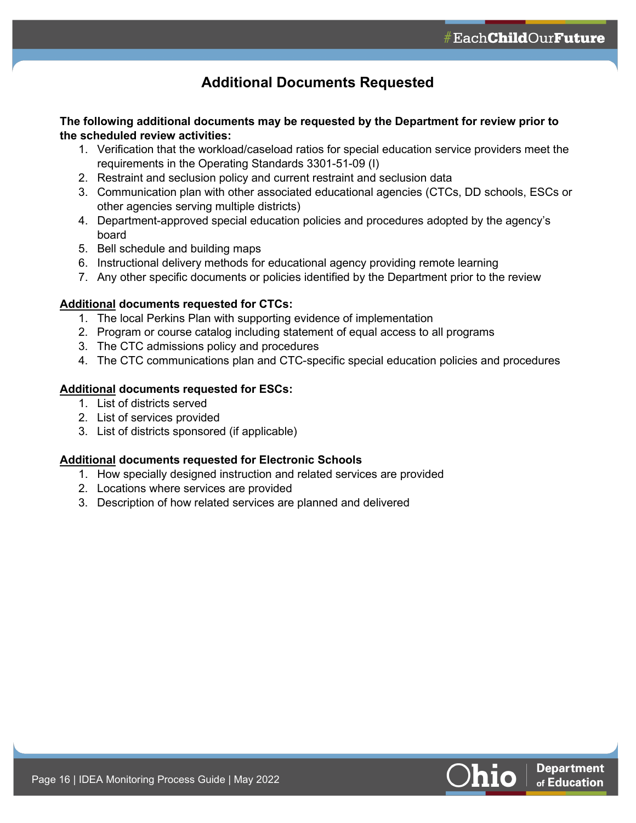## **Additional Documents Requested**

#### **The following additional documents may be requested by the Department for review prior to the scheduled review activities:**

- 1. Verification that the workload/caseload ratios for special education service providers meet the requirements in the Operating Standards 3301-51-09 (I)
- 2. Restraint and seclusion policy and current restraint and seclusion data
- 3. Communication plan with other associated educational agencies (CTCs, DD schools, ESCs or other agencies serving multiple districts)
- 4. Department-approved special education policies and procedures adopted by the agency's board
- 5. Bell schedule and building maps
- 6. Instructional delivery methods for educational agency providing remote learning
- 7. Any other specific documents or policies identified by the Department prior to the review

#### **Additional documents requested for CTCs:**

- 1. The local Perkins Plan with supporting evidence of implementation
- 2. Program or course catalog including statement of equal access to all programs
- 3. The CTC admissions policy and procedures
- 4. The CTC communications plan and CTC-specific special education policies and procedures

#### **Additional documents requested for ESCs:**

- 1. List of districts served
- 2. List of services provided
- 3. List of districts sponsored (if applicable)

#### **Additional documents requested for Electronic Schools**

- 1. How specially designed instruction and related services are provided
- 2. Locations where services are provided
- 3. Description of how related services are planned and delivered

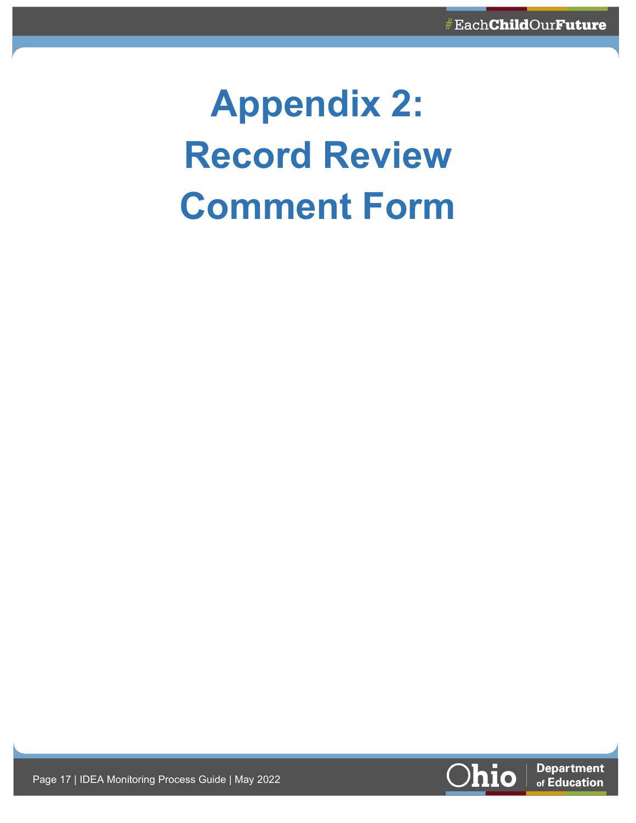# **Appendix 2: Record Review Comment Form**



Page 17 | IDEA Monitoring Process Guide | May 2022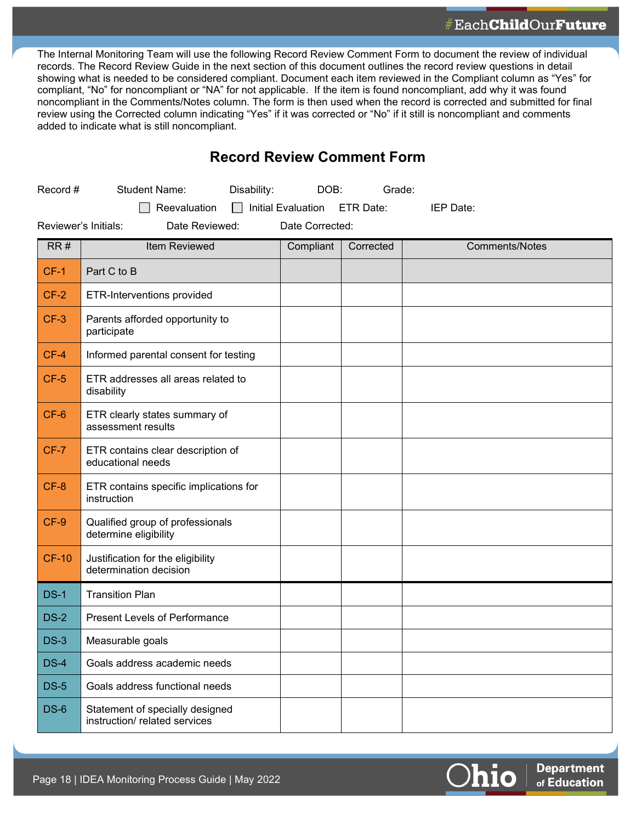<span id="page-17-0"></span>The Internal Monitoring Team will use the following Record Review Comment Form to document the review of individual records. The Record Review Guide in the next section of this document outlines the record review questions in detail showing what is needed to be considered compliant. Document each item reviewed in the Compliant column as "Yes" for compliant, "No" for noncompliant or "NA" for not applicable. If the item is found noncompliant, add why it was found noncompliant in the Comments/Notes column. The form is then used when the record is corrected and submitted for final review using the Corrected column indicating "Yes" if it was corrected or "No" if it still is noncompliant and comments added to indicate what is still noncompliant.

## **Record Review Comment Form**

| Record #             | <b>Student Name:</b><br>Disability:                              | DOB:               | Grade:    |                       |
|----------------------|------------------------------------------------------------------|--------------------|-----------|-----------------------|
|                      | Reevaluation                                                     | Initial Evaluation | ETR Date: | IEP Date:             |
| Reviewer's Initials: | Date Reviewed:                                                   | Date Corrected:    |           |                       |
| RR#                  | Item Reviewed                                                    | Compliant          | Corrected | <b>Comments/Notes</b> |
| $CF-1$               | Part C to B                                                      |                    |           |                       |
| $CF-2$               | ETR-Interventions provided                                       |                    |           |                       |
| $CF-3$               | Parents afforded opportunity to<br>participate                   |                    |           |                       |
| $CF-4$               | Informed parental consent for testing                            |                    |           |                       |
| $CF-5$               | ETR addresses all areas related to<br>disability                 |                    |           |                       |
| $CF-6$               | ETR clearly states summary of<br>assessment results              |                    |           |                       |
| $CF-7$               | ETR contains clear description of<br>educational needs           |                    |           |                       |
| $CF-8$               | ETR contains specific implications for<br>instruction            |                    |           |                       |
| $CF-9$               | Qualified group of professionals<br>determine eligibility        |                    |           |                       |
| $CF-10$              | Justification for the eligibility<br>determination decision      |                    |           |                       |
| $DS-1$               | <b>Transition Plan</b>                                           |                    |           |                       |
| $DS-2$               | <b>Present Levels of Performance</b>                             |                    |           |                       |
| $DS-3$               | Measurable goals                                                 |                    |           |                       |
| $DS-4$               | Goals address academic needs                                     |                    |           |                       |
| $DS-5$               | Goals address functional needs                                   |                    |           |                       |
| $DS-6$               | Statement of specially designed<br>instruction/ related services |                    |           |                       |

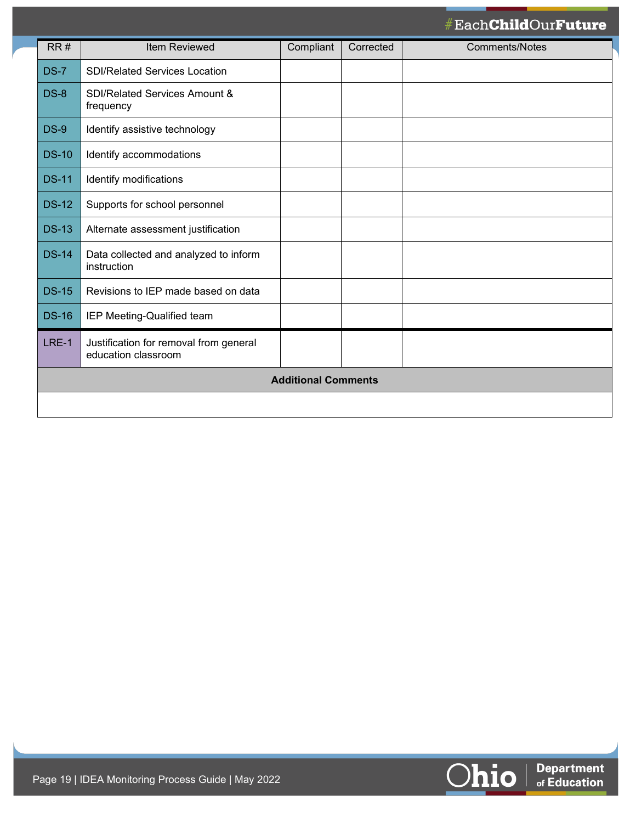# $\# \texttt{EachChildOur Future}$

| RR#          | Item Reviewed                                                 | Compliant                  | Corrected | Comments/Notes |
|--------------|---------------------------------------------------------------|----------------------------|-----------|----------------|
| <b>DS-7</b>  | <b>SDI/Related Services Location</b>                          |                            |           |                |
| $DS-8$       | <b>SDI/Related Services Amount &amp;</b><br>frequency         |                            |           |                |
| $DS-9$       | Identify assistive technology                                 |                            |           |                |
| <b>DS-10</b> | Identify accommodations                                       |                            |           |                |
| <b>DS-11</b> | Identify modifications                                        |                            |           |                |
| <b>DS-12</b> | Supports for school personnel                                 |                            |           |                |
| <b>DS-13</b> | Alternate assessment justification                            |                            |           |                |
| <b>DS-14</b> | Data collected and analyzed to inform<br>instruction          |                            |           |                |
| <b>DS-15</b> | Revisions to IEP made based on data                           |                            |           |                |
| <b>DS-16</b> | IEP Meeting-Qualified team                                    |                            |           |                |
| LRE-1        | Justification for removal from general<br>education classroom |                            |           |                |
|              |                                                               | <b>Additional Comments</b> |           |                |
|              |                                                               |                            |           |                |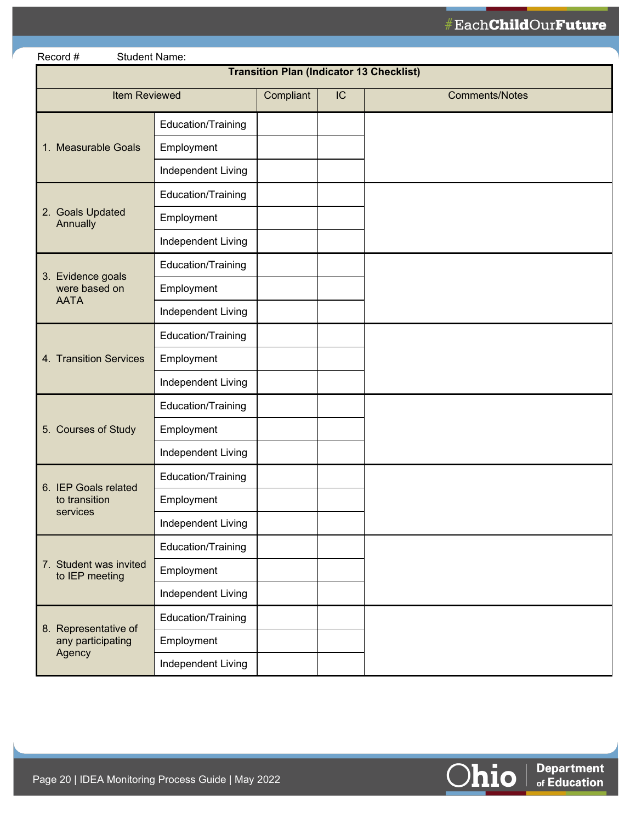| Record #<br><b>Student Name:</b>                  |                    |                                                 |    |                |  |
|---------------------------------------------------|--------------------|-------------------------------------------------|----|----------------|--|
|                                                   |                    | <b>Transition Plan (Indicator 13 Checklist)</b> |    |                |  |
| <b>Item Reviewed</b>                              |                    | Compliant                                       | IC | Comments/Notes |  |
|                                                   | Education/Training |                                                 |    |                |  |
| 1. Measurable Goals                               | Employment         |                                                 |    |                |  |
|                                                   | Independent Living |                                                 |    |                |  |
|                                                   | Education/Training |                                                 |    |                |  |
| 2. Goals Updated<br>Annually                      | Employment         |                                                 |    |                |  |
|                                                   | Independent Living |                                                 |    |                |  |
| 3. Evidence goals<br>were based on<br><b>AATA</b> | Education/Training |                                                 |    |                |  |
|                                                   | Employment         |                                                 |    |                |  |
|                                                   | Independent Living |                                                 |    |                |  |
| 4. Transition Services                            | Education/Training |                                                 |    |                |  |
|                                                   | Employment         |                                                 |    |                |  |
|                                                   | Independent Living |                                                 |    |                |  |
|                                                   | Education/Training |                                                 |    |                |  |
| 5. Courses of Study                               | Employment         |                                                 |    |                |  |
|                                                   | Independent Living |                                                 |    |                |  |
| 6. IEP Goals related                              | Education/Training |                                                 |    |                |  |
| to transition<br>services                         | Employment         |                                                 |    |                |  |
|                                                   | Independent Living |                                                 |    |                |  |
|                                                   | Education/Training |                                                 |    |                |  |
| 7. Student was invited<br>to IEP meeting          | Employment         |                                                 |    |                |  |
|                                                   | Independent Living |                                                 |    |                |  |
| 8. Representative of                              | Education/Training |                                                 |    |                |  |
| any participating                                 | Employment         |                                                 |    |                |  |
| Agency                                            | Independent Living |                                                 |    |                |  |

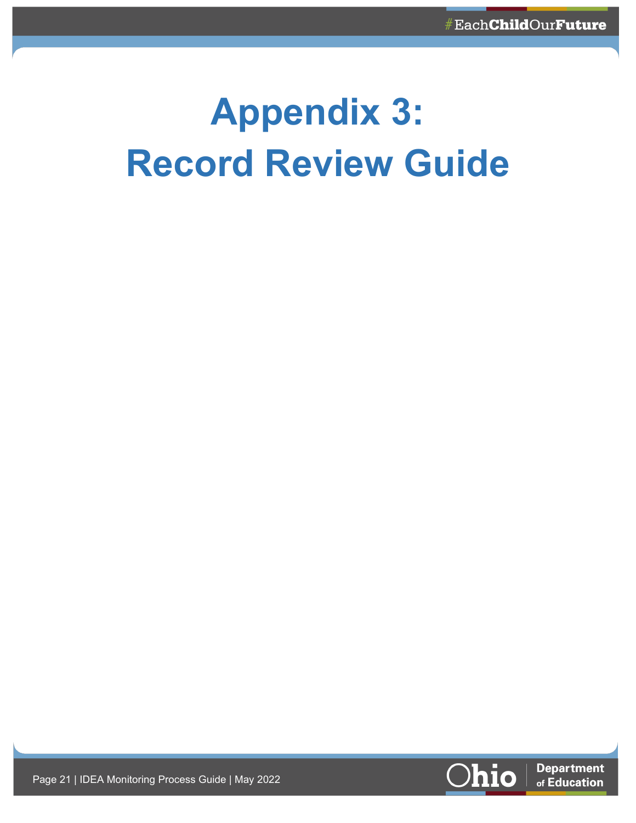# <span id="page-20-0"></span>**Appendix 3: Record Review Guide**



**Department** of Education

Page 21 | IDEA Monitoring Process Guide | May 2022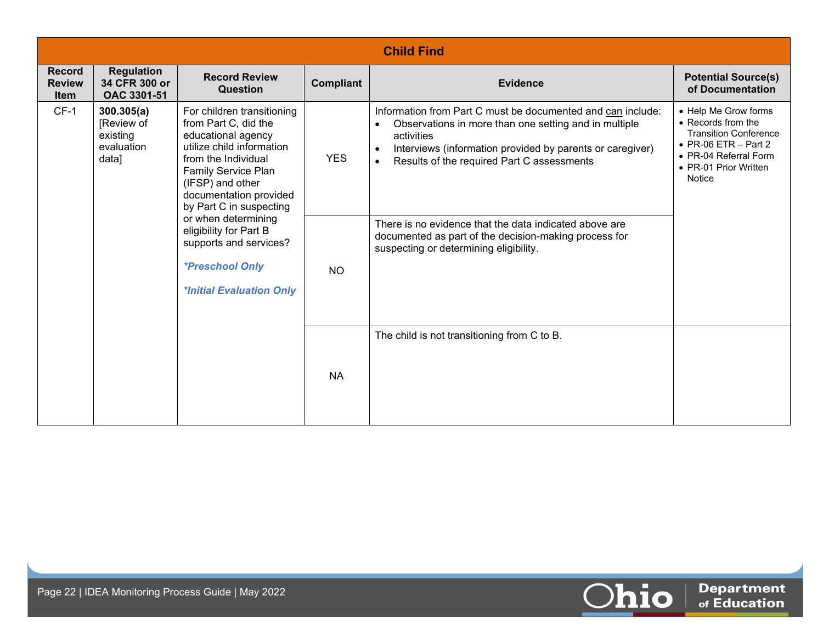|                                               |                                                             |                                                                                                                                                                                                                                     |            | <b>Child Find</b>                                                                                                                                                                                                                                                       |                                                                                                                                                                        |
|-----------------------------------------------|-------------------------------------------------------------|-------------------------------------------------------------------------------------------------------------------------------------------------------------------------------------------------------------------------------------|------------|-------------------------------------------------------------------------------------------------------------------------------------------------------------------------------------------------------------------------------------------------------------------------|------------------------------------------------------------------------------------------------------------------------------------------------------------------------|
| <b>Record</b><br><b>Review</b><br><b>Item</b> | <b>Regulation</b><br>34 CFR 300 or<br>OAC 3301-51           | <b>Record Review</b><br><b>Question</b>                                                                                                                                                                                             | Compliant  | <b>Evidence</b>                                                                                                                                                                                                                                                         | <b>Potential Source(s)</b><br>of Documentation                                                                                                                         |
| $CF-1$                                        | 300.305(a)<br>[Review of<br>existing<br>evaluation<br>data] | For children transitioning<br>from Part C, did the<br>educational agency<br>utilize child information<br>from the Individual<br><b>Family Service Plan</b><br>(IFSP) and other<br>documentation provided<br>by Part C in suspecting | <b>YES</b> | Information from Part C must be documented and can include:<br>Observations in more than one setting and in multiple<br>activities<br>Interviews (information provided by parents or caregiver)<br>$\bullet$<br>Results of the required Part C assessments<br>$\bullet$ | • Help Me Grow forms<br>• Records from the<br><b>Transition Conference</b><br>$\bullet$ PR-06 ETR - Part 2<br>• PR-04 Referral Form<br>• PR-01 Prior Written<br>Notice |
|                                               |                                                             | or when determining<br>eligibility for Part B<br>supports and services?<br><i><b>*Preschool Only</b></i><br>*Initial Evaluation Only                                                                                                | <b>NO</b>  | There is no evidence that the data indicated above are<br>documented as part of the decision-making process for<br>suspecting or determining eligibility.                                                                                                               |                                                                                                                                                                        |
|                                               |                                                             |                                                                                                                                                                                                                                     | <b>NA</b>  | The child is not transitioning from C to B.                                                                                                                                                                                                                             |                                                                                                                                                                        |

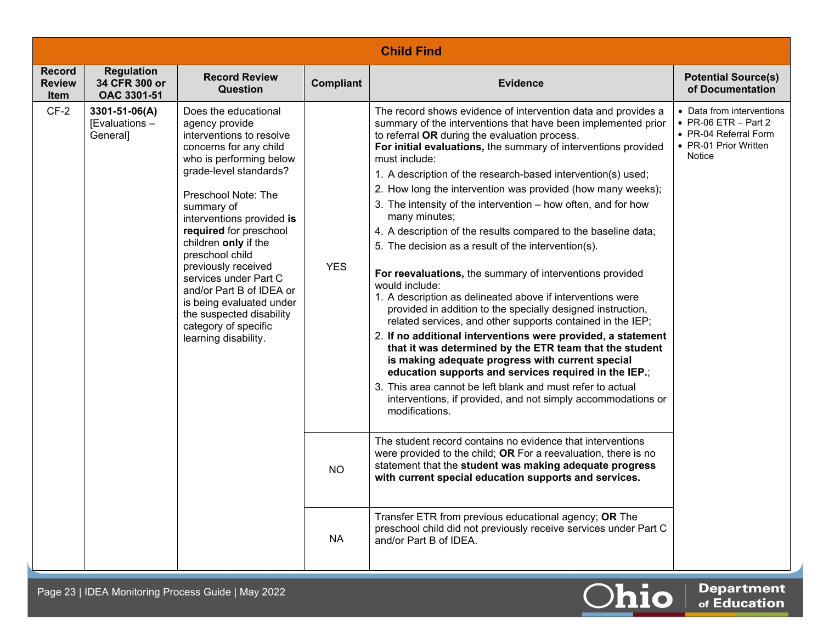|                                               |                                                   |                                                                                                                                                                                                                                                                                                                                                                                                                                                                              |                                                                                                                                                                                                                                                  | <b>Child Find</b>                                                                                                                                                                                                                                                                                                                                                                                                                                                                                                                                                                                                                                                                                                                                                                                                                                                                                                                                                                                                                                                                                                                                                                                                                                                             |                                                                                                                       |
|-----------------------------------------------|---------------------------------------------------|------------------------------------------------------------------------------------------------------------------------------------------------------------------------------------------------------------------------------------------------------------------------------------------------------------------------------------------------------------------------------------------------------------------------------------------------------------------------------|--------------------------------------------------------------------------------------------------------------------------------------------------------------------------------------------------------------------------------------------------|-------------------------------------------------------------------------------------------------------------------------------------------------------------------------------------------------------------------------------------------------------------------------------------------------------------------------------------------------------------------------------------------------------------------------------------------------------------------------------------------------------------------------------------------------------------------------------------------------------------------------------------------------------------------------------------------------------------------------------------------------------------------------------------------------------------------------------------------------------------------------------------------------------------------------------------------------------------------------------------------------------------------------------------------------------------------------------------------------------------------------------------------------------------------------------------------------------------------------------------------------------------------------------|-----------------------------------------------------------------------------------------------------------------------|
| <b>Record</b><br><b>Review</b><br><b>Item</b> | <b>Regulation</b><br>34 CFR 300 or<br>OAC 3301-51 | <b>Record Review</b><br>Question                                                                                                                                                                                                                                                                                                                                                                                                                                             | <b>Compliant</b>                                                                                                                                                                                                                                 | <b>Evidence</b>                                                                                                                                                                                                                                                                                                                                                                                                                                                                                                                                                                                                                                                                                                                                                                                                                                                                                                                                                                                                                                                                                                                                                                                                                                                               | <b>Potential Source(s)</b><br>of Documentation                                                                        |
| $CF-2$                                        | $3301 - 51 - 06(A)$<br>[Evaluations -<br>General] | Does the educational<br>agency provide<br>interventions to resolve<br>concerns for any child<br>who is performing below<br>grade-level standards?<br>Preschool Note: The<br>summary of<br>interventions provided is<br>required for preschool<br>children only if the<br>preschool child<br>previously received<br>services under Part C<br>and/or Part B of IDEA or<br>is being evaluated under<br>the suspected disability<br>category of specific<br>learning disability. | <b>YES</b>                                                                                                                                                                                                                                       | The record shows evidence of intervention data and provides a<br>summary of the interventions that have been implemented prior<br>to referral OR during the evaluation process.<br>For initial evaluations, the summary of interventions provided<br>must include:<br>1. A description of the research-based intervention(s) used;<br>2. How long the intervention was provided (how many weeks);<br>3. The intensity of the intervention - how often, and for how<br>many minutes;<br>4. A description of the results compared to the baseline data;<br>5. The decision as a result of the intervention(s).<br>For reevaluations, the summary of interventions provided<br>would include:<br>1. A description as delineated above if interventions were<br>provided in addition to the specially designed instruction,<br>related services, and other supports contained in the IEP;<br>2. If no additional interventions were provided, a statement<br>that it was determined by the ETR team that the student<br>is making adequate progress with current special<br>education supports and services required in the IEP.;<br>3. This area cannot be left blank and must refer to actual<br>interventions, if provided, and not simply accommodations or<br>modifications. | • Data from interventions<br>$\bullet$ PR-06 ETR – Part 2<br>• PR-04 Referral Form<br>• PR-01 Prior Written<br>Notice |
|                                               |                                                   | <b>NO</b>                                                                                                                                                                                                                                                                                                                                                                                                                                                                    | The student record contains no evidence that interventions<br>were provided to the child; OR For a reevaluation, there is no<br>statement that the student was making adequate progress<br>with current special education supports and services. |                                                                                                                                                                                                                                                                                                                                                                                                                                                                                                                                                                                                                                                                                                                                                                                                                                                                                                                                                                                                                                                                                                                                                                                                                                                                               |                                                                                                                       |
|                                               |                                                   |                                                                                                                                                                                                                                                                                                                                                                                                                                                                              | <b>NA</b>                                                                                                                                                                                                                                        | Transfer ETR from previous educational agency; OR The<br>preschool child did not previously receive services under Part C<br>and/or Part B of IDEA.                                                                                                                                                                                                                                                                                                                                                                                                                                                                                                                                                                                                                                                                                                                                                                                                                                                                                                                                                                                                                                                                                                                           |                                                                                                                       |

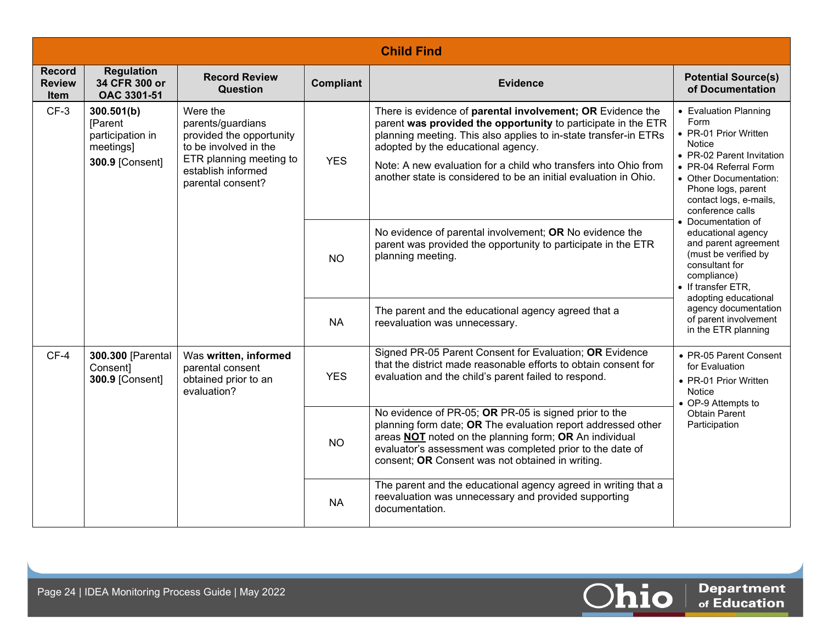|                                               |                                                                           |                                                                                                                                                          |                  | <b>Child Find</b>                                                                                                                                                                                                                                                                                                                                                            |                                                                                                                                                                                                                                                                                                                                                                         |
|-----------------------------------------------|---------------------------------------------------------------------------|----------------------------------------------------------------------------------------------------------------------------------------------------------|------------------|------------------------------------------------------------------------------------------------------------------------------------------------------------------------------------------------------------------------------------------------------------------------------------------------------------------------------------------------------------------------------|-------------------------------------------------------------------------------------------------------------------------------------------------------------------------------------------------------------------------------------------------------------------------------------------------------------------------------------------------------------------------|
| <b>Record</b><br><b>Review</b><br><b>Item</b> | <b>Regulation</b><br>34 CFR 300 or<br>OAC 3301-51                         | <b>Record Review</b><br>Question                                                                                                                         | <b>Compliant</b> | <b>Evidence</b>                                                                                                                                                                                                                                                                                                                                                              | <b>Potential Source(s)</b><br>of Documentation                                                                                                                                                                                                                                                                                                                          |
| $CF-3$                                        | 300.501(b)<br>[Parent<br>participation in<br>meetings]<br>300.9 [Consent] | Were the<br>parents/guardians<br>provided the opportunity<br>to be involved in the<br>ETR planning meeting to<br>establish informed<br>parental consent? | <b>YES</b>       | There is evidence of parental involvement; OR Evidence the<br>parent was provided the opportunity to participate in the ETR<br>planning meeting. This also applies to in-state transfer-in ETRs<br>adopted by the educational agency.<br>Note: A new evaluation for a child who transfers into Ohio from<br>another state is considered to be an initial evaluation in Ohio. | • Evaluation Planning<br>Form<br>• PR-01 Prior Written<br>Notice<br>• PR-02 Parent Invitation<br>• PR-04 Referral Form<br>• Other Documentation:<br>Phone logs, parent<br>contact logs, e-mails,<br>conference calls<br>• Documentation of<br>educational agency<br>and parent agreement<br>(must be verified by<br>consultant for<br>compliance)<br>• If transfer ETR, |
|                                               |                                                                           |                                                                                                                                                          | NO.              | No evidence of parental involvement; OR No evidence the<br>parent was provided the opportunity to participate in the ETR<br>planning meeting.                                                                                                                                                                                                                                |                                                                                                                                                                                                                                                                                                                                                                         |
|                                               |                                                                           |                                                                                                                                                          | <b>NA</b>        | The parent and the educational agency agreed that a<br>reevaluation was unnecessary.                                                                                                                                                                                                                                                                                         | adopting educational<br>agency documentation<br>of parent involvement<br>in the ETR planning                                                                                                                                                                                                                                                                            |
| $CF-4$                                        | 300.300 [Parental<br>Consent]<br>300.9 [Consent]                          | Was written, informed<br>parental consent<br>obtained prior to an<br>evaluation?                                                                         | <b>YES</b>       | Signed PR-05 Parent Consent for Evaluation; OR Evidence<br>that the district made reasonable efforts to obtain consent for<br>evaluation and the child's parent failed to respond.                                                                                                                                                                                           | • PR-05 Parent Consent<br>for Evaluation<br>• PR-01 Prior Written<br><b>Notice</b><br>• OP-9 Attempts to                                                                                                                                                                                                                                                                |
|                                               |                                                                           |                                                                                                                                                          | <b>NO</b>        | No evidence of PR-05; OR PR-05 is signed prior to the<br>planning form date; OR The evaluation report addressed other<br>areas NOT noted on the planning form; OR An individual<br>evaluator's assessment was completed prior to the date of<br>consent; OR Consent was not obtained in writing.                                                                             | <b>Obtain Parent</b><br>Participation                                                                                                                                                                                                                                                                                                                                   |
|                                               |                                                                           |                                                                                                                                                          | <b>NA</b>        | The parent and the educational agency agreed in writing that a<br>reevaluation was unnecessary and provided supporting<br>documentation.                                                                                                                                                                                                                                     |                                                                                                                                                                                                                                                                                                                                                                         |

 $\boxed{\textcolor{red}{\textbf{O}}}$   $\boxed{\textcolor{red}{\textbf{o}}}_{\textcolor{blue}{\textbf{of}~\textbf{E}}$  ducation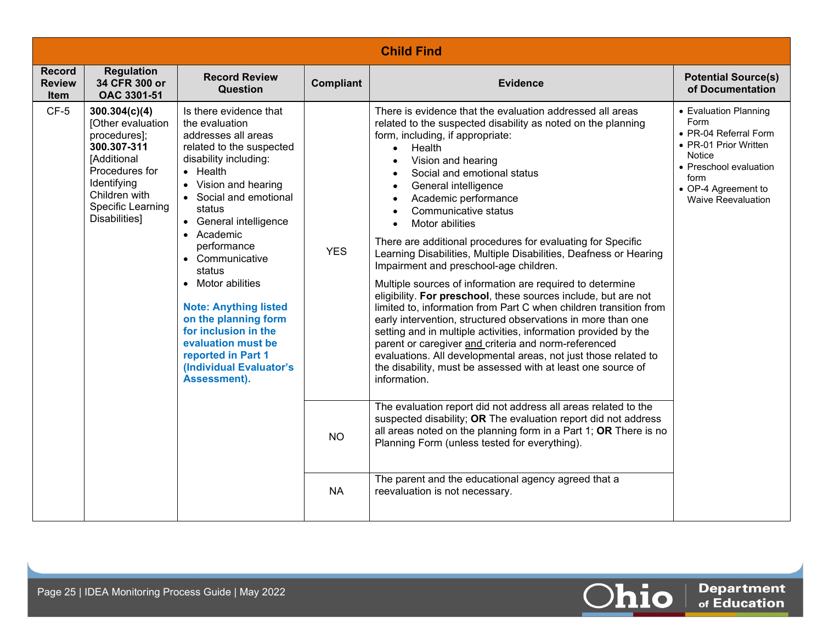|                                               |                                                                                                                                                                                 |                                                                                                                                                                                                                                                                                                                                                                                                                                                                                      |                  | <b>Child Find</b>                                                                                                                                                                                                                                                                                                                                                                                                                                                                                                                                                                                                                                                                                                                                                                                                                                                                                                                                                                                                                                                                                                                                  |                                                                                                                                                                                 |
|-----------------------------------------------|---------------------------------------------------------------------------------------------------------------------------------------------------------------------------------|--------------------------------------------------------------------------------------------------------------------------------------------------------------------------------------------------------------------------------------------------------------------------------------------------------------------------------------------------------------------------------------------------------------------------------------------------------------------------------------|------------------|----------------------------------------------------------------------------------------------------------------------------------------------------------------------------------------------------------------------------------------------------------------------------------------------------------------------------------------------------------------------------------------------------------------------------------------------------------------------------------------------------------------------------------------------------------------------------------------------------------------------------------------------------------------------------------------------------------------------------------------------------------------------------------------------------------------------------------------------------------------------------------------------------------------------------------------------------------------------------------------------------------------------------------------------------------------------------------------------------------------------------------------------------|---------------------------------------------------------------------------------------------------------------------------------------------------------------------------------|
| <b>Record</b><br><b>Review</b><br><b>Item</b> | <b>Regulation</b><br>34 CFR 300 or<br>OAC 3301-51                                                                                                                               | <b>Record Review</b><br><b>Question</b>                                                                                                                                                                                                                                                                                                                                                                                                                                              | <b>Compliant</b> | <b>Evidence</b>                                                                                                                                                                                                                                                                                                                                                                                                                                                                                                                                                                                                                                                                                                                                                                                                                                                                                                                                                                                                                                                                                                                                    | <b>Potential Source(s)</b><br>of Documentation                                                                                                                                  |
| $CF-5$                                        | 300.304(c)(4)<br>[Other evaluation<br>procedures];<br>300.307-311<br><b>[Additional</b><br>Procedures for<br>Identifying<br>Children with<br>Specific Learning<br>Disabilities] | Is there evidence that<br>the evaluation<br>addresses all areas<br>related to the suspected<br>disability including:<br>$\bullet$ Health<br>• Vision and hearing<br>• Social and emotional<br>status<br>• General intelligence<br>• Academic<br>performance<br>• Communicative<br>status<br>• Motor abilities<br><b>Note: Anything listed</b><br>on the planning form<br>for inclusion in the<br>evaluation must be<br>reported in Part 1<br>(Individual Evaluator's<br>Assessment). | <b>YES</b>       | There is evidence that the evaluation addressed all areas<br>related to the suspected disability as noted on the planning<br>form, including, if appropriate:<br>Health<br>$\bullet$<br>Vision and hearing<br>$\bullet$<br>Social and emotional status<br>$\bullet$<br>General intelligence<br>$\bullet$<br>Academic performance<br>$\bullet$<br>Communicative status<br>$\bullet$<br>Motor abilities<br>$\bullet$<br>There are additional procedures for evaluating for Specific<br>Learning Disabilities, Multiple Disabilities, Deafness or Hearing<br>Impairment and preschool-age children.<br>Multiple sources of information are required to determine<br>eligibility. For preschool, these sources include, but are not<br>limited to, information from Part C when children transition from<br>early intervention, structured observations in more than one<br>setting and in multiple activities, information provided by the<br>parent or caregiver and criteria and norm-referenced<br>evaluations. All developmental areas, not just those related to<br>the disability, must be assessed with at least one source of<br>information. | • Evaluation Planning<br>Form<br>• PR-04 Referral Form<br>• PR-01 Prior Written<br>Notice<br>• Preschool evaluation<br>form<br>• OP-4 Agreement to<br><b>Waive Reevaluation</b> |
|                                               |                                                                                                                                                                                 |                                                                                                                                                                                                                                                                                                                                                                                                                                                                                      | <b>NO</b>        | The evaluation report did not address all areas related to the<br>suspected disability; OR The evaluation report did not address<br>all areas noted on the planning form in a Part 1; OR There is no<br>Planning Form (unless tested for everything).                                                                                                                                                                                                                                                                                                                                                                                                                                                                                                                                                                                                                                                                                                                                                                                                                                                                                              |                                                                                                                                                                                 |
|                                               |                                                                                                                                                                                 |                                                                                                                                                                                                                                                                                                                                                                                                                                                                                      | <b>NA</b>        | The parent and the educational agency agreed that a<br>reevaluation is not necessary.                                                                                                                                                                                                                                                                                                                                                                                                                                                                                                                                                                                                                                                                                                                                                                                                                                                                                                                                                                                                                                                              |                                                                                                                                                                                 |



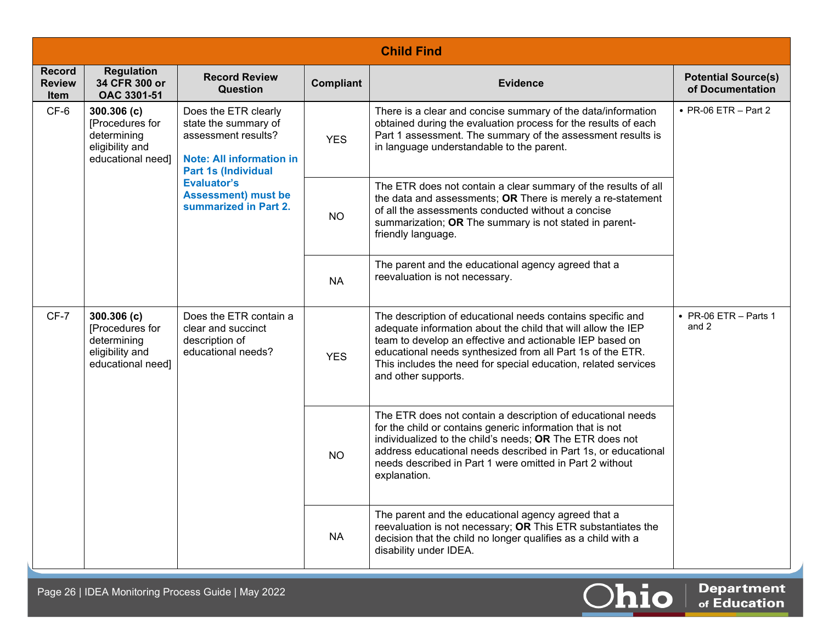|                                               |                                                                                                                                                     |                                                                                                                                                                                                                   |            | <b>Child Find</b>                                                                                                                                                                                                                                                                                                                             |                                                |  |  |  |           |                                                                                                                                                                                                                                                                     |  |
|-----------------------------------------------|-----------------------------------------------------------------------------------------------------------------------------------------------------|-------------------------------------------------------------------------------------------------------------------------------------------------------------------------------------------------------------------|------------|-----------------------------------------------------------------------------------------------------------------------------------------------------------------------------------------------------------------------------------------------------------------------------------------------------------------------------------------------|------------------------------------------------|--|--|--|-----------|---------------------------------------------------------------------------------------------------------------------------------------------------------------------------------------------------------------------------------------------------------------------|--|
| <b>Record</b><br><b>Review</b><br><b>Item</b> | <b>Regulation</b><br>34 CFR 300 or<br>OAC 3301-51                                                                                                   | <b>Record Review</b><br><b>Question</b>                                                                                                                                                                           | Compliant  | <b>Evidence</b>                                                                                                                                                                                                                                                                                                                               | <b>Potential Source(s)</b><br>of Documentation |  |  |  |           |                                                                                                                                                                                                                                                                     |  |
| $CF-6$                                        | 300.306 (c)<br>[Procedures for<br>determining<br>eligibility and<br>educational need]                                                               | Does the ETR clearly<br>state the summary of<br>assessment results?<br><b>Note: All information in</b><br><b>Part 1s (Individual</b><br><b>Evaluator's</b><br><b>Assessment) must be</b><br>summarized in Part 2. | <b>YES</b> | There is a clear and concise summary of the data/information<br>obtained during the evaluation process for the results of each<br>Part 1 assessment. The summary of the assessment results is<br>in language understandable to the parent.                                                                                                    | $\bullet$ PR-06 ETR - Part 2                   |  |  |  |           |                                                                                                                                                                                                                                                                     |  |
|                                               |                                                                                                                                                     |                                                                                                                                                                                                                   |            |                                                                                                                                                                                                                                                                                                                                               |                                                |  |  |  | <b>NO</b> | The ETR does not contain a clear summary of the results of all<br>the data and assessments; OR There is merely a re-statement<br>of all the assessments conducted without a concise<br>summarization; OR The summary is not stated in parent-<br>friendly language. |  |
|                                               |                                                                                                                                                     |                                                                                                                                                                                                                   | <b>NA</b>  | The parent and the educational agency agreed that a<br>reevaluation is not necessary.                                                                                                                                                                                                                                                         |                                                |  |  |  |           |                                                                                                                                                                                                                                                                     |  |
| $CF-7$                                        | 300.306 (c)<br>[Procedures for<br>clear and succinct<br>determining<br>description of<br>educational needs?<br>eligibility and<br>educational need] | Does the ETR contain a                                                                                                                                                                                            | <b>YES</b> | The description of educational needs contains specific and<br>adequate information about the child that will allow the IEP<br>team to develop an effective and actionable IEP based on<br>educational needs synthesized from all Part 1s of the ETR.<br>This includes the need for special education, related services<br>and other supports. | $\bullet$ PR-06 ETR - Parts 1<br>and 2         |  |  |  |           |                                                                                                                                                                                                                                                                     |  |
|                                               |                                                                                                                                                     |                                                                                                                                                                                                                   | <b>NO</b>  | The ETR does not contain a description of educational needs<br>for the child or contains generic information that is not<br>individualized to the child's needs; OR The ETR does not<br>address educational needs described in Part 1s, or educational<br>needs described in Part 1 were omitted in Part 2 without<br>explanation.            |                                                |  |  |  |           |                                                                                                                                                                                                                                                                     |  |
|                                               |                                                                                                                                                     |                                                                                                                                                                                                                   | <b>NA</b>  | The parent and the educational agency agreed that a<br>reevaluation is not necessary; OR This ETR substantiates the<br>decision that the child no longer qualifies as a child with a<br>disability under IDEA.                                                                                                                                |                                                |  |  |  |           |                                                                                                                                                                                                                                                                     |  |

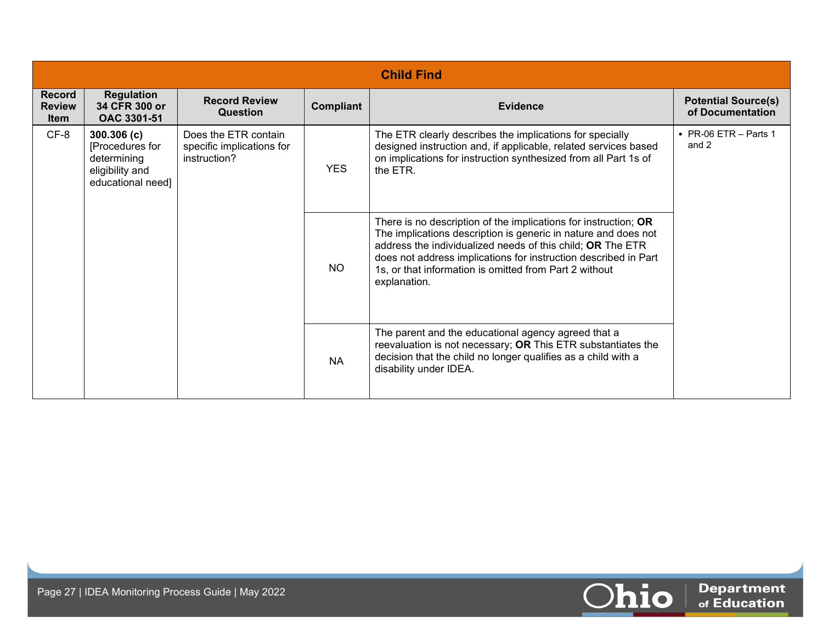|                                               |                                                                                      |                                                                   |            | <b>Child Find</b>                                                                                                                                                                                                                                                                                                                            |                                                |
|-----------------------------------------------|--------------------------------------------------------------------------------------|-------------------------------------------------------------------|------------|----------------------------------------------------------------------------------------------------------------------------------------------------------------------------------------------------------------------------------------------------------------------------------------------------------------------------------------------|------------------------------------------------|
| <b>Record</b><br><b>Review</b><br><b>Item</b> | <b>Regulation</b><br>34 CFR 300 or<br>OAC 3301-51                                    | <b>Record Review</b><br><b>Question</b>                           | Compliant  | <b>Evidence</b>                                                                                                                                                                                                                                                                                                                              | <b>Potential Source(s)</b><br>of Documentation |
| CF-8                                          | 300.306(c)<br>[Procedures for<br>determining<br>eligibility and<br>educational need] | Does the ETR contain<br>specific implications for<br>instruction? | <b>YES</b> | The ETR clearly describes the implications for specially<br>designed instruction and, if applicable, related services based<br>on implications for instruction synthesized from all Part 1s of<br>the ETR.                                                                                                                                   | $\bullet$ PR-06 ETR - Parts 1<br>and 2         |
|                                               |                                                                                      |                                                                   | NO.        | There is no description of the implications for instruction; OR<br>The implications description is generic in nature and does not<br>address the individualized needs of this child; OR The ETR<br>does not address implications for instruction described in Part<br>1s, or that information is omitted from Part 2 without<br>explanation. |                                                |
|                                               |                                                                                      |                                                                   | <b>NA</b>  | The parent and the educational agency agreed that a<br>reevaluation is not necessary; OR This ETR substantiates the<br>decision that the child no longer qualifies as a child with a<br>disability under IDEA.                                                                                                                               |                                                |

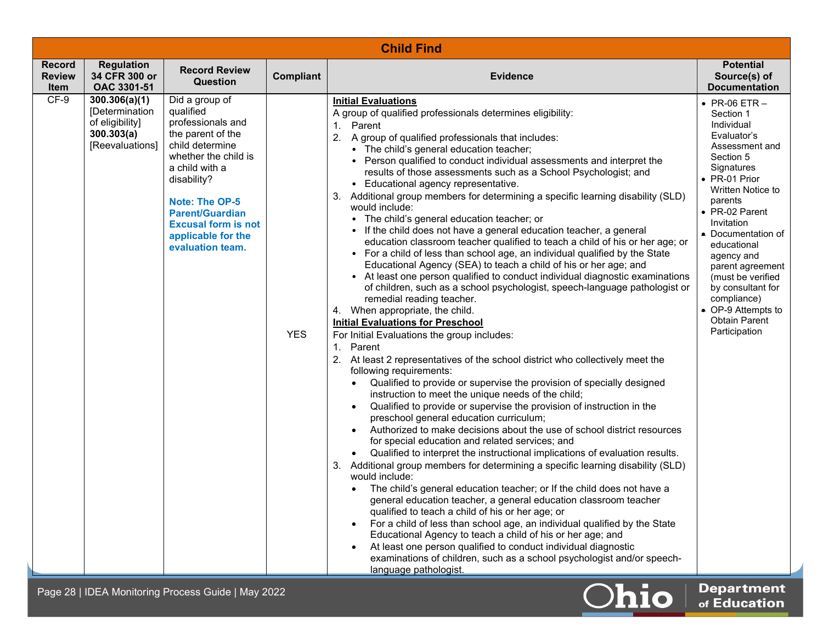|                                               | <b>Child Find</b>                                                                   |                                                                                                                                                                                                                                                                       |                  |                                                                                                                                                                                                                                                                                                                                                                                                                                                                                                                                                                                                                                                                                                                                                                                                                                                                                                                                                                                                                                                                                                                                                                                                                                                                                                                                                                                                                                                                                                                                                                                                                                                                                                                                                                                                                                                                                                                                                                                                                                                                                                                                                                                                                                                                                                                                                                                                                                                                             |                                                                                                                                                                                                                                                                                                                                                                                                                |  |  |
|-----------------------------------------------|-------------------------------------------------------------------------------------|-----------------------------------------------------------------------------------------------------------------------------------------------------------------------------------------------------------------------------------------------------------------------|------------------|-----------------------------------------------------------------------------------------------------------------------------------------------------------------------------------------------------------------------------------------------------------------------------------------------------------------------------------------------------------------------------------------------------------------------------------------------------------------------------------------------------------------------------------------------------------------------------------------------------------------------------------------------------------------------------------------------------------------------------------------------------------------------------------------------------------------------------------------------------------------------------------------------------------------------------------------------------------------------------------------------------------------------------------------------------------------------------------------------------------------------------------------------------------------------------------------------------------------------------------------------------------------------------------------------------------------------------------------------------------------------------------------------------------------------------------------------------------------------------------------------------------------------------------------------------------------------------------------------------------------------------------------------------------------------------------------------------------------------------------------------------------------------------------------------------------------------------------------------------------------------------------------------------------------------------------------------------------------------------------------------------------------------------------------------------------------------------------------------------------------------------------------------------------------------------------------------------------------------------------------------------------------------------------------------------------------------------------------------------------------------------------------------------------------------------------------------------------------------------|----------------------------------------------------------------------------------------------------------------------------------------------------------------------------------------------------------------------------------------------------------------------------------------------------------------------------------------------------------------------------------------------------------------|--|--|
| <b>Record</b><br><b>Review</b><br><b>Item</b> | <b>Regulation</b><br>34 CFR 300 or<br>OAC 3301-51                                   | <b>Record Review</b><br>Question                                                                                                                                                                                                                                      | <b>Compliant</b> | <b>Evidence</b>                                                                                                                                                                                                                                                                                                                                                                                                                                                                                                                                                                                                                                                                                                                                                                                                                                                                                                                                                                                                                                                                                                                                                                                                                                                                                                                                                                                                                                                                                                                                                                                                                                                                                                                                                                                                                                                                                                                                                                                                                                                                                                                                                                                                                                                                                                                                                                                                                                                             | <b>Potential</b><br>Source(s) of<br><b>Documentation</b>                                                                                                                                                                                                                                                                                                                                                       |  |  |
| $CF-9$                                        | 300.306(a)(1)<br>[Determination<br>of eligibility]<br>300.303(a)<br>[Reevaluations] | Did a group of<br>qualified<br>professionals and<br>the parent of the<br>child determine<br>whether the child is<br>a child with a<br>disability?<br>Note: The OP-5<br><b>Parent/Guardian</b><br><b>Excusal form is not</b><br>applicable for the<br>evaluation team. | <b>YES</b>       | <b>Initial Evaluations</b><br>A group of qualified professionals determines eligibility:<br>1. Parent<br>2. A group of qualified professionals that includes:<br>• The child's general education teacher;<br>• Person qualified to conduct individual assessments and interpret the<br>results of those assessments such as a School Psychologist; and<br>• Educational agency representative.<br>3. Additional group members for determining a specific learning disability (SLD)<br>would include:<br>• The child's general education teacher; or<br>• If the child does not have a general education teacher, a general<br>education classroom teacher qualified to teach a child of his or her age; or<br>• For a child of less than school age, an individual qualified by the State<br>Educational Agency (SEA) to teach a child of his or her age; and<br>• At least one person qualified to conduct individual diagnostic examinations<br>of children, such as a school psychologist, speech-language pathologist or<br>remedial reading teacher.<br>4. When appropriate, the child.<br><b>Initial Evaluations for Preschool</b><br>For Initial Evaluations the group includes:<br>1. Parent<br>2. At least 2 representatives of the school district who collectively meet the<br>following requirements:<br>Qualified to provide or supervise the provision of specially designed<br>$\bullet$<br>instruction to meet the unique needs of the child;<br>Qualified to provide or supervise the provision of instruction in the<br>$\bullet$<br>preschool general education curriculum;<br>Authorized to make decisions about the use of school district resources<br>for special education and related services; and<br>Qualified to interpret the instructional implications of evaluation results.<br>$\bullet$<br>3. Additional group members for determining a specific learning disability (SLD)<br>would include:<br>The child's general education teacher; or If the child does not have a<br>$\bullet$<br>general education teacher, a general education classroom teacher<br>qualified to teach a child of his or her age; or<br>For a child of less than school age, an individual qualified by the State<br>Educational Agency to teach a child of his or her age; and<br>At least one person qualified to conduct individual diagnostic<br>$\bullet$<br>examinations of children, such as a school psychologist and/or speech-<br>language pathologist. | $\bullet$ PR-06 ETR $-$<br>Section 1<br>Individual<br>Evaluator's<br>Assessment and<br>Section 5<br>Signatures<br>$\bullet$ PR-01 Prior<br><b>Written Notice to</b><br>parents<br>• PR-02 Parent<br>Invitation<br>• Documentation of<br>educational<br>agency and<br>parent agreement<br>(must be verified)<br>by consultant for<br>compliance)<br>• OP-9 Attempts to<br><b>Obtain Parent</b><br>Participation |  |  |

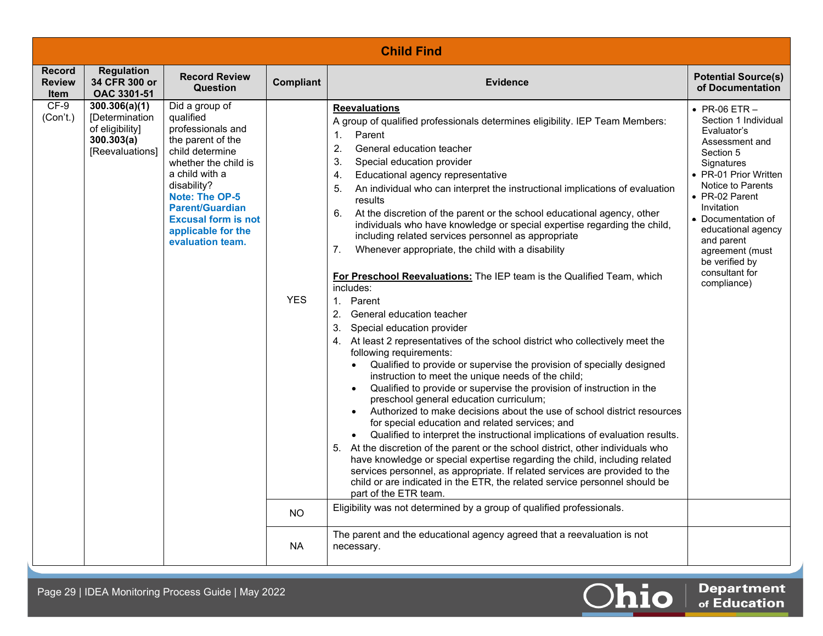| <b>Record</b><br><b>Regulation</b><br><b>Record Review</b><br>34 CFR 300 or<br><b>Compliant</b><br><b>Evidence</b><br><b>Review</b><br>Question<br><b>OAC 3301-51</b><br>Item<br>$CF-9$<br>300.306(a)(1)<br>Did a group of<br><b>Reevaluations</b><br>(Con't.)<br>[Determination<br>qualified<br>A group of qualified professionals determines eligibility. IEP Team Members:<br>of eligibility]<br>professionals and<br>Evaluator's<br>Parent<br>1 <sub>1</sub><br>300.303(a)<br>the parent of the<br>2.<br>General education teacher<br>[Reevaluations]<br>child determine<br>Section 5<br>3.<br>Special education provider<br>whether the child is<br>Signatures<br>a child with a<br>Educational agency representative<br>4.<br>disability?<br>5 <sub>1</sub><br>An individual who can interpret the instructional implications of evaluation<br><b>Note: The OP-5</b><br>results<br><b>Parent/Guardian</b><br>Invitation<br>6.<br>At the discretion of the parent or the school educational agency, other<br><b>Excusal form is not</b><br>individuals who have knowledge or special expertise regarding the child,<br>applicable for the<br>including related services personnel as appropriate<br>and parent<br>evaluation team.<br>Whenever appropriate, the child with a disability<br>7. | <b>Child Find</b> |  |                                                                        |                                                                                                                                                                                                                                                     |  |  |
|----------------------------------------------------------------------------------------------------------------------------------------------------------------------------------------------------------------------------------------------------------------------------------------------------------------------------------------------------------------------------------------------------------------------------------------------------------------------------------------------------------------------------------------------------------------------------------------------------------------------------------------------------------------------------------------------------------------------------------------------------------------------------------------------------------------------------------------------------------------------------------------------------------------------------------------------------------------------------------------------------------------------------------------------------------------------------------------------------------------------------------------------------------------------------------------------------------------------------------------------------------------------------------------------------|-------------------|--|------------------------------------------------------------------------|-----------------------------------------------------------------------------------------------------------------------------------------------------------------------------------------------------------------------------------------------------|--|--|
|                                                                                                                                                                                                                                                                                                                                                                                                                                                                                                                                                                                                                                                                                                                                                                                                                                                                                                                                                                                                                                                                                                                                                                                                                                                                                                    |                   |  |                                                                        | <b>Potential Source(s)</b><br>of Documentation                                                                                                                                                                                                      |  |  |
| includes:<br><b>YES</b><br>1. Parent<br>2. General education teacher<br>3. Special education provider<br>4. At least 2 representatives of the school district who collectively meet the<br>following requirements:<br>Qualified to provide or supervise the provision of specially designed<br>instruction to meet the unique needs of the child;<br>Qualified to provide or supervise the provision of instruction in the<br>preschool general education curriculum;<br>Authorized to make decisions about the use of school district resources<br>for special education and related services; and<br>Qualified to interpret the instructional implications of evaluation results.<br>5. At the discretion of the parent or the school district, other individuals who<br>have knowledge or special expertise regarding the child, including related<br>services personnel, as appropriate. If related services are provided to the<br>child or are indicated in the ETR, the related service personnel should be<br>part of the ETR team.<br>Eligibility was not determined by a group of qualified professionals.<br><b>NO</b><br>The parent and the educational agency agreed that a reevaluation is not<br><b>NA</b><br>necessary.                                                            |                   |  | For Preschool Reevaluations: The IEP team is the Qualified Team, which | $\bullet$ PR-06 ETR $-$<br>Section 1 Individual<br>Assessment and<br>• PR-01 Prior Written<br>Notice to Parents<br>• PR-02 Parent<br>• Documentation of<br>educational agency<br>agreement (must<br>be verified by<br>consultant for<br>compliance) |  |  |

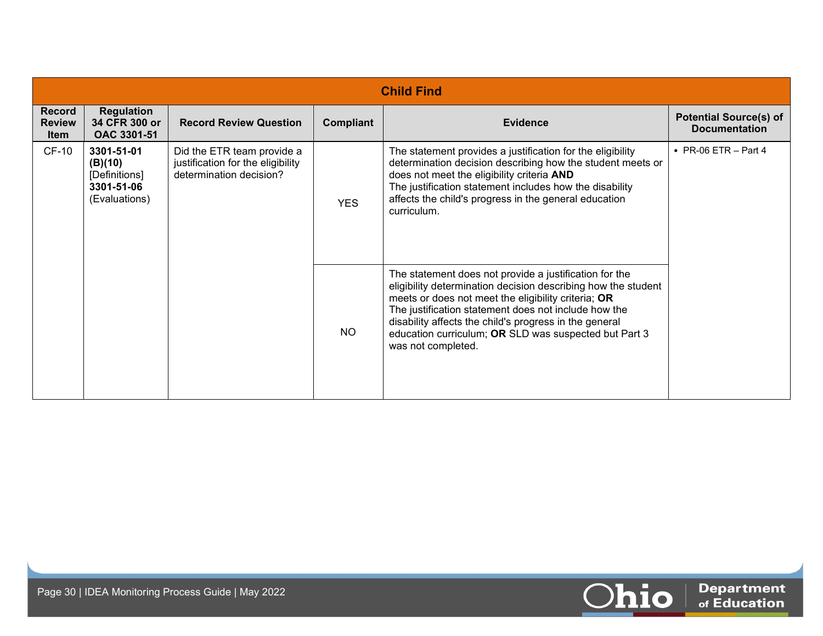|                                               | <b>Child Find</b>                                                     |                                                                                            |                  |                                                                                                                                                                                                                                                                                                                                                                                 |                                                       |  |  |
|-----------------------------------------------|-----------------------------------------------------------------------|--------------------------------------------------------------------------------------------|------------------|---------------------------------------------------------------------------------------------------------------------------------------------------------------------------------------------------------------------------------------------------------------------------------------------------------------------------------------------------------------------------------|-------------------------------------------------------|--|--|
| <b>Record</b><br><b>Review</b><br><b>Item</b> | <b>Regulation</b><br>34 CFR 300 or<br>OAC 3301-51                     | <b>Record Review Question</b>                                                              | <b>Compliant</b> | <b>Evidence</b>                                                                                                                                                                                                                                                                                                                                                                 | <b>Potential Source(s) of</b><br><b>Documentation</b> |  |  |
| <b>CF-10</b>                                  | 3301-51-01<br>(B)(10)<br>[Definitions]<br>3301-51-06<br>(Evaluations) | Did the ETR team provide a<br>justification for the eligibility<br>determination decision? | <b>YES</b>       | The statement provides a justification for the eligibility<br>determination decision describing how the student meets or<br>does not meet the eligibility criteria AND<br>The justification statement includes how the disability<br>affects the child's progress in the general education<br>curriculum.                                                                       | • PR-06 ETR $-$ Part 4                                |  |  |
|                                               |                                                                       |                                                                                            | NO.              | The statement does not provide a justification for the<br>eligibility determination decision describing how the student<br>meets or does not meet the eligibility criteria; OR<br>The justification statement does not include how the<br>disability affects the child's progress in the general<br>education curriculum; OR SLD was suspected but Part 3<br>was not completed. |                                                       |  |  |

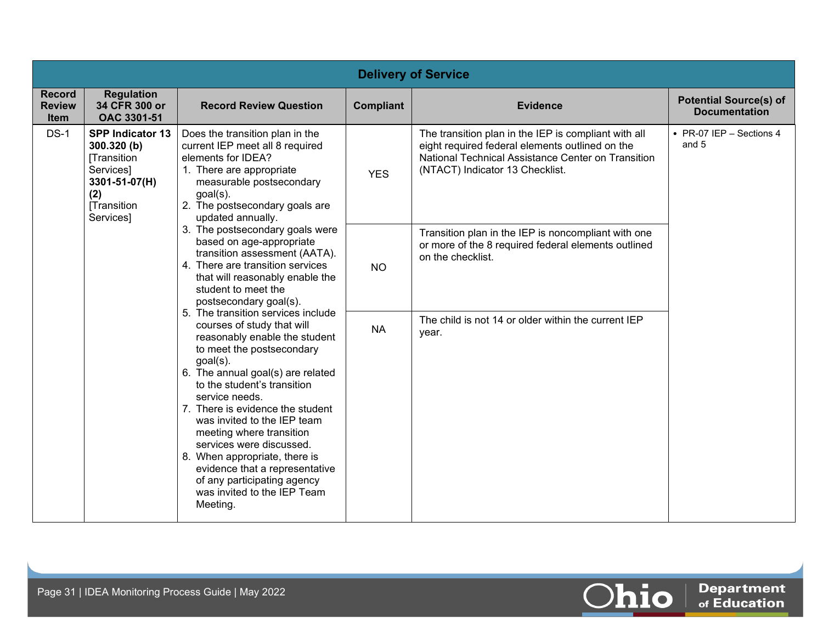<span id="page-30-0"></span>

|                                        |                                                                                                                                                                                                                                                                                                                                                                                                                                                                                                                                                                                                                                                                                                                                     |                                                                                                                                                                                                                        |                                                                                                                                 | <b>Delivery of Service</b>                                                                                                                                                                       |                                                       |
|----------------------------------------|-------------------------------------------------------------------------------------------------------------------------------------------------------------------------------------------------------------------------------------------------------------------------------------------------------------------------------------------------------------------------------------------------------------------------------------------------------------------------------------------------------------------------------------------------------------------------------------------------------------------------------------------------------------------------------------------------------------------------------------|------------------------------------------------------------------------------------------------------------------------------------------------------------------------------------------------------------------------|---------------------------------------------------------------------------------------------------------------------------------|--------------------------------------------------------------------------------------------------------------------------------------------------------------------------------------------------|-------------------------------------------------------|
| <b>Record</b><br><b>Review</b><br>Item | <b>Regulation</b><br>34 CFR 300 or<br>OAC 3301-51                                                                                                                                                                                                                                                                                                                                                                                                                                                                                                                                                                                                                                                                                   | <b>Record Review Question</b>                                                                                                                                                                                          | <b>Compliant</b>                                                                                                                | <b>Evidence</b>                                                                                                                                                                                  | <b>Potential Source(s) of</b><br><b>Documentation</b> |
| $DS-1$                                 | <b>SPP Indicator 13</b><br>300.320 (b)<br>[Transition<br>Services]<br>3301-51-07(H)<br>(2)<br><b>Transition</b><br>Services]                                                                                                                                                                                                                                                                                                                                                                                                                                                                                                                                                                                                        | Does the transition plan in the<br>current IEP meet all 8 required<br>elements for IDEA?<br>1. There are appropriate<br>measurable postsecondary<br>$goal(s)$ .<br>2. The postsecondary goals are<br>updated annually. | <b>YES</b>                                                                                                                      | The transition plan in the IEP is compliant with all<br>eight required federal elements outlined on the<br>National Technical Assistance Center on Transition<br>(NTACT) Indicator 13 Checklist. | • PR-07 IEP - Sections 4<br>and 5                     |
|                                        | 3. The postsecondary goals were<br>based on age-appropriate<br>transition assessment (AATA).<br>4. There are transition services<br>that will reasonably enable the<br>student to meet the<br>postsecondary goal(s).<br>5. The transition services include<br>courses of study that will<br>reasonably enable the student<br>to meet the postsecondary<br>$goal(s)$ .<br>6. The annual goal(s) are related<br>to the student's transition<br>service needs.<br>7. There is evidence the student<br>was invited to the IEP team<br>meeting where transition<br>services were discussed.<br>8. When appropriate, there is<br>evidence that a representative<br>of any participating agency<br>was invited to the IEP Team<br>Meeting. | <b>NO</b>                                                                                                                                                                                                              | Transition plan in the IEP is noncompliant with one<br>or more of the 8 required federal elements outlined<br>on the checklist. |                                                                                                                                                                                                  |                                                       |
|                                        |                                                                                                                                                                                                                                                                                                                                                                                                                                                                                                                                                                                                                                                                                                                                     | <b>NA</b>                                                                                                                                                                                                              | The child is not 14 or older within the current IEP<br>year.                                                                    |                                                                                                                                                                                                  |                                                       |



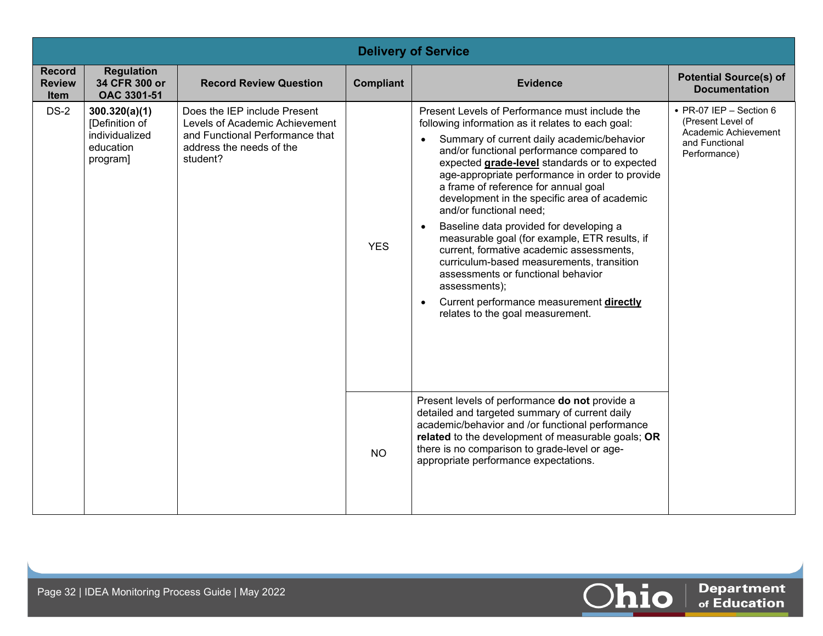| <b>Delivery of Service</b>                    |                                                                            |                                                                                                                                           |                  |                                                                                                                                                                                                                                                                                                                                                                                                                                                                                                                                                                                                                                                                                                                                                                       |                                                                                                        |
|-----------------------------------------------|----------------------------------------------------------------------------|-------------------------------------------------------------------------------------------------------------------------------------------|------------------|-----------------------------------------------------------------------------------------------------------------------------------------------------------------------------------------------------------------------------------------------------------------------------------------------------------------------------------------------------------------------------------------------------------------------------------------------------------------------------------------------------------------------------------------------------------------------------------------------------------------------------------------------------------------------------------------------------------------------------------------------------------------------|--------------------------------------------------------------------------------------------------------|
| <b>Record</b><br><b>Review</b><br><b>Item</b> | <b>Regulation</b><br>34 CFR 300 or<br>OAC 3301-51                          | <b>Record Review Question</b>                                                                                                             | <b>Compliant</b> | <b>Evidence</b>                                                                                                                                                                                                                                                                                                                                                                                                                                                                                                                                                                                                                                                                                                                                                       | <b>Potential Source(s) of</b><br><b>Documentation</b>                                                  |
| $DS-2$                                        | 300.320(a)(1)<br>[Definition of<br>individualized<br>education<br>program] | Does the IEP include Present<br>Levels of Academic Achievement<br>and Functional Performance that<br>address the needs of the<br>student? | <b>YES</b>       | Present Levels of Performance must include the<br>following information as it relates to each goal:<br>Summary of current daily academic/behavior<br>and/or functional performance compared to<br>expected <b>grade-level</b> standards or to expected<br>age-appropriate performance in order to provide<br>a frame of reference for annual goal<br>development in the specific area of academic<br>and/or functional need;<br>Baseline data provided for developing a<br>measurable goal (for example, ETR results, if<br>current, formative academic assessments,<br>curriculum-based measurements, transition<br>assessments or functional behavior<br>assessments);<br>Current performance measurement directly<br>$\bullet$<br>relates to the goal measurement. | • PR-07 IEP - Section 6<br>(Present Level of<br>Academic Achievement<br>and Functional<br>Performance) |
|                                               |                                                                            |                                                                                                                                           | <b>NO</b>        | Present levels of performance do not provide a<br>detailed and targeted summary of current daily<br>academic/behavior and /or functional performance<br>related to the development of measurable goals; OR<br>there is no comparison to grade-level or age-<br>appropriate performance expectations.                                                                                                                                                                                                                                                                                                                                                                                                                                                                  |                                                                                                        |

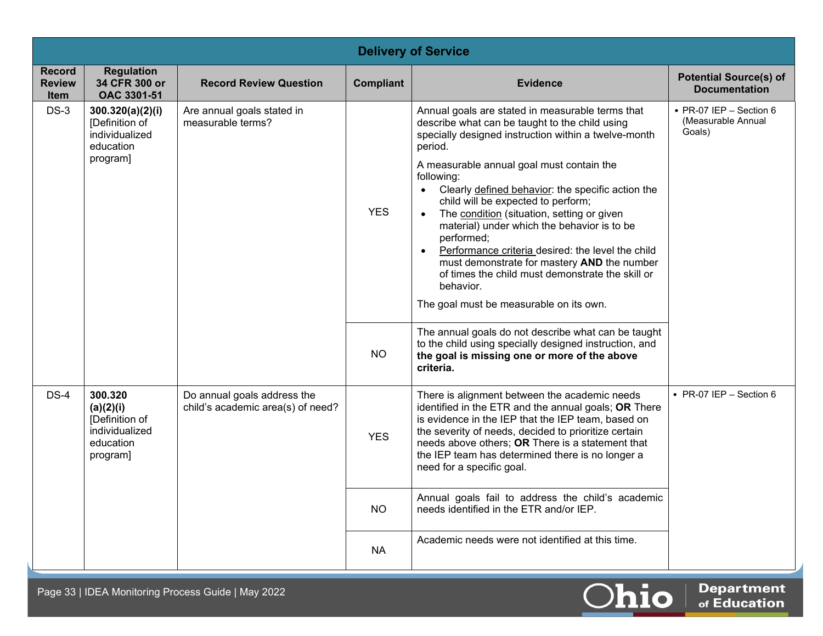| <b>Delivery of Service</b>             |                                                                                   |                                                                  |                         |                                                                                                                                                                                                                                                                                                                                                                                                                                                                                                                                                                                                                                                                                                                                                                                                                                                                             |                                                         |
|----------------------------------------|-----------------------------------------------------------------------------------|------------------------------------------------------------------|-------------------------|-----------------------------------------------------------------------------------------------------------------------------------------------------------------------------------------------------------------------------------------------------------------------------------------------------------------------------------------------------------------------------------------------------------------------------------------------------------------------------------------------------------------------------------------------------------------------------------------------------------------------------------------------------------------------------------------------------------------------------------------------------------------------------------------------------------------------------------------------------------------------------|---------------------------------------------------------|
| <b>Record</b><br><b>Review</b><br>Item | <b>Regulation</b><br>34 CFR 300 or<br>OAC 3301-51                                 | <b>Record Review Question</b>                                    | <b>Compliant</b>        | <b>Evidence</b>                                                                                                                                                                                                                                                                                                                                                                                                                                                                                                                                                                                                                                                                                                                                                                                                                                                             | <b>Potential Source(s) of</b><br><b>Documentation</b>   |
| $DS-3$                                 | 300.320(a)(2)(i)<br>[Definition of<br>individualized<br>education<br>program]     | Are annual goals stated in<br>measurable terms?                  | <b>YES</b><br><b>NO</b> | Annual goals are stated in measurable terms that<br>describe what can be taught to the child using<br>specially designed instruction within a twelve-month<br>period.<br>A measurable annual goal must contain the<br>following:<br>Clearly defined behavior: the specific action the<br>$\bullet$<br>child will be expected to perform;<br>The condition (situation, setting or given<br>$\bullet$<br>material) under which the behavior is to be<br>performed;<br>Performance criteria desired: the level the child<br>$\bullet$<br>must demonstrate for mastery AND the number<br>of times the child must demonstrate the skill or<br>behavior.<br>The goal must be measurable on its own.<br>The annual goals do not describe what can be taught<br>to the child using specially designed instruction, and<br>the goal is missing one or more of the above<br>criteria. | • PR-07 IEP - Section 6<br>(Measurable Annual<br>Goals) |
| $DS-4$                                 | 300.320<br>(a)(2)(i)<br>[Definition of<br>individualized<br>education<br>program] | Do annual goals address the<br>child's academic area(s) of need? | <b>YES</b>              | There is alignment between the academic needs<br>identified in the ETR and the annual goals; OR There<br>is evidence in the IEP that the IEP team, based on<br>the severity of needs, decided to prioritize certain<br>needs above others; OR There is a statement that<br>the IEP team has determined there is no longer a<br>need for a specific goal.                                                                                                                                                                                                                                                                                                                                                                                                                                                                                                                    | • PR-07 IEP - Section 6                                 |
|                                        |                                                                                   |                                                                  | <b>NO</b>               | Annual goals fail to address the child's academic<br>needs identified in the ETR and/or IEP.                                                                                                                                                                                                                                                                                                                                                                                                                                                                                                                                                                                                                                                                                                                                                                                |                                                         |
|                                        |                                                                                   |                                                                  | <b>NA</b>               | Academic needs were not identified at this time.                                                                                                                                                                                                                                                                                                                                                                                                                                                                                                                                                                                                                                                                                                                                                                                                                            |                                                         |

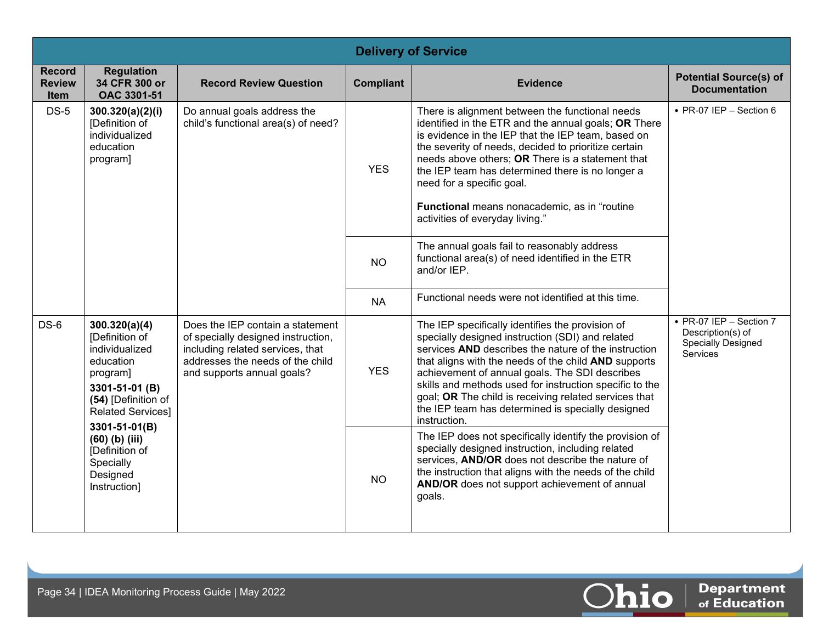| <b>Delivery of Service</b>             |                                                                                                                                                                  |                                                                                                                                                                              |                  |                                                                                                                                                                                                                                                                                                                                                                                                                                                                 |                                                                                |
|----------------------------------------|------------------------------------------------------------------------------------------------------------------------------------------------------------------|------------------------------------------------------------------------------------------------------------------------------------------------------------------------------|------------------|-----------------------------------------------------------------------------------------------------------------------------------------------------------------------------------------------------------------------------------------------------------------------------------------------------------------------------------------------------------------------------------------------------------------------------------------------------------------|--------------------------------------------------------------------------------|
| <b>Record</b><br><b>Review</b><br>Item | <b>Regulation</b><br>34 CFR 300 or<br><b>OAC 3301-51</b>                                                                                                         | <b>Record Review Question</b>                                                                                                                                                | <b>Compliant</b> | <b>Evidence</b>                                                                                                                                                                                                                                                                                                                                                                                                                                                 | <b>Potential Source(s) of</b><br><b>Documentation</b>                          |
| $DS-5$                                 | 300.320(a)(2)(i)<br>[Definition of<br>individualized<br>education<br>program]                                                                                    | Do annual goals address the<br>child's functional area(s) of need?                                                                                                           | <b>YES</b>       | There is alignment between the functional needs<br>identified in the ETR and the annual goals; OR There<br>is evidence in the IEP that the IEP team, based on<br>the severity of needs, decided to prioritize certain<br>needs above others; OR There is a statement that<br>the IEP team has determined there is no longer a<br>need for a specific goal.<br>Functional means nonacademic, as in "routine<br>activities of everyday living."                   | • PR-07 IEP - Section $6$                                                      |
|                                        |                                                                                                                                                                  |                                                                                                                                                                              | <b>NO</b>        | The annual goals fail to reasonably address<br>functional area(s) of need identified in the ETR<br>and/or IEP.                                                                                                                                                                                                                                                                                                                                                  |                                                                                |
|                                        |                                                                                                                                                                  |                                                                                                                                                                              | <b>NA</b>        | Functional needs were not identified at this time.                                                                                                                                                                                                                                                                                                                                                                                                              |                                                                                |
| $DS-6$                                 | 300.320(a)(4)<br>[Definition of<br>individualized<br>education<br>program]<br>3301-51-01 (B)<br>(54) [Definition of<br><b>Related Services]</b><br>3301-51-01(B) | Does the IEP contain a statement<br>of specially designed instruction,<br>including related services, that<br>addresses the needs of the child<br>and supports annual goals? | <b>YES</b>       | The IEP specifically identifies the provision of<br>specially designed instruction (SDI) and related<br>services AND describes the nature of the instruction<br>that aligns with the needs of the child AND supports<br>achievement of annual goals. The SDI describes<br>skills and methods used for instruction specific to the<br>goal; OR The child is receiving related services that<br>the IEP team has determined is specially designed<br>instruction. | • PR-07 IEP - Section 7<br>Description(s) of<br>Specially Designed<br>Services |
|                                        | $(60)$ $(b)$ $(iii)$<br>[Definition of<br>Specially<br>Designed<br>Instruction]                                                                                  |                                                                                                                                                                              | <b>NO</b>        | The IEP does not specifically identify the provision of<br>specially designed instruction, including related<br>services, AND/OR does not describe the nature of<br>the instruction that aligns with the needs of the child<br>AND/OR does not support achievement of annual<br>goals.                                                                                                                                                                          |                                                                                |

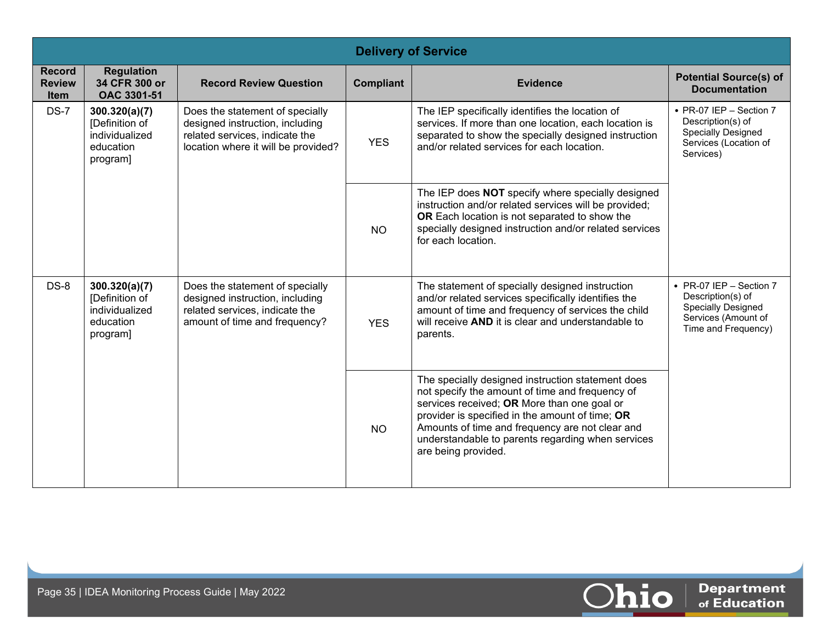|                                               | <b>Delivery of Service</b>                                                 |                                                                                                                                             |                  |                                                                                                                                                                                                                                                                                                                                       |                                                                                                                         |  |  |
|-----------------------------------------------|----------------------------------------------------------------------------|---------------------------------------------------------------------------------------------------------------------------------------------|------------------|---------------------------------------------------------------------------------------------------------------------------------------------------------------------------------------------------------------------------------------------------------------------------------------------------------------------------------------|-------------------------------------------------------------------------------------------------------------------------|--|--|
| <b>Record</b><br><b>Review</b><br><b>Item</b> | <b>Regulation</b><br>34 CFR 300 or<br>OAC 3301-51                          | <b>Record Review Question</b>                                                                                                               | <b>Compliant</b> | <b>Evidence</b>                                                                                                                                                                                                                                                                                                                       | <b>Potential Source(s) of</b><br><b>Documentation</b>                                                                   |  |  |
| $DS-7$                                        | 300.320(a)(7)<br>[Definition of<br>individualized<br>education<br>program] | Does the statement of specially<br>designed instruction, including<br>related services, indicate the<br>location where it will be provided? | <b>YES</b>       | The IEP specifically identifies the location of<br>services. If more than one location, each location is<br>separated to show the specially designed instruction<br>and/or related services for each location.                                                                                                                        | • PR-07 IEP - Section 7<br>Description(s) of<br><b>Specially Designed</b><br>Services (Location of<br>Services)         |  |  |
|                                               |                                                                            |                                                                                                                                             | <b>NO</b>        | The IEP does NOT specify where specially designed<br>instruction and/or related services will be provided;<br>OR Each location is not separated to show the<br>specially designed instruction and/or related services<br>for each location.                                                                                           |                                                                                                                         |  |  |
| $DS-8$                                        | 300.320(a)(7)<br>[Definition of<br>individualized<br>education<br>program] | Does the statement of specially<br>designed instruction, including<br>related services, indicate the<br>amount of time and frequency?       | <b>YES</b>       | The statement of specially designed instruction<br>and/or related services specifically identifies the<br>amount of time and frequency of services the child<br>will receive AND it is clear and understandable to<br>parents.                                                                                                        | • PR-07 IEP - Section 7<br>Description(s) of<br><b>Specially Designed</b><br>Services (Amount of<br>Time and Frequency) |  |  |
|                                               |                                                                            |                                                                                                                                             | <b>NO</b>        | The specially designed instruction statement does<br>not specify the amount of time and frequency of<br>services received; OR More than one goal or<br>provider is specified in the amount of time; OR<br>Amounts of time and frequency are not clear and<br>understandable to parents regarding when services<br>are being provided. |                                                                                                                         |  |  |

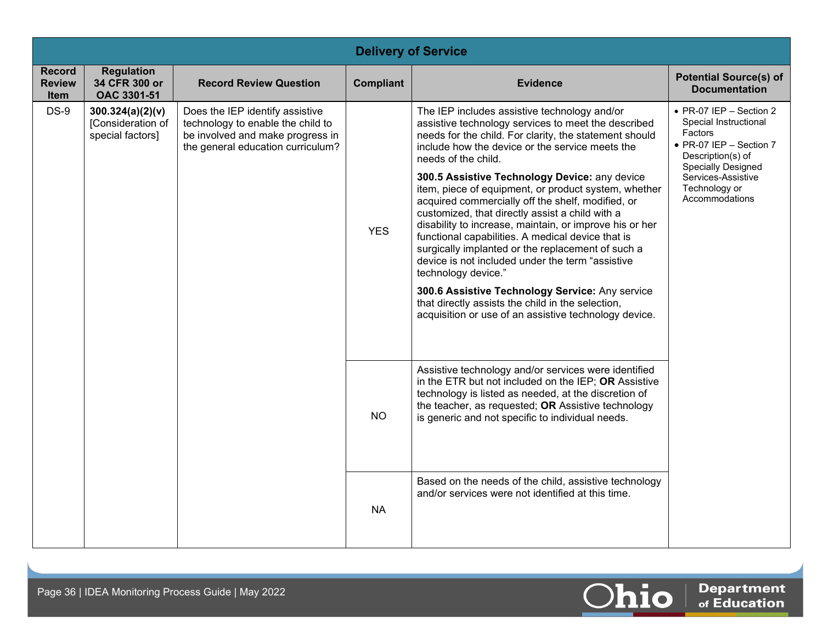| <b>Delivery of Service</b>                    |                                                           |                                                                                                                                               |                  |                                                                                                                                                                                                                                                                                                                                                                                                                                                                                                                                                                                                                                                                                                                                                                                                                                                                           |                                                                                                                                                                                                   |
|-----------------------------------------------|-----------------------------------------------------------|-----------------------------------------------------------------------------------------------------------------------------------------------|------------------|---------------------------------------------------------------------------------------------------------------------------------------------------------------------------------------------------------------------------------------------------------------------------------------------------------------------------------------------------------------------------------------------------------------------------------------------------------------------------------------------------------------------------------------------------------------------------------------------------------------------------------------------------------------------------------------------------------------------------------------------------------------------------------------------------------------------------------------------------------------------------|---------------------------------------------------------------------------------------------------------------------------------------------------------------------------------------------------|
| <b>Record</b><br><b>Review</b><br><b>Item</b> | <b>Regulation</b><br>34 CFR 300 or<br><b>OAC 3301-51</b>  | <b>Record Review Question</b>                                                                                                                 | <b>Compliant</b> | <b>Evidence</b>                                                                                                                                                                                                                                                                                                                                                                                                                                                                                                                                                                                                                                                                                                                                                                                                                                                           | <b>Potential Source(s) of</b><br><b>Documentation</b>                                                                                                                                             |
| $DS-9$                                        | 300.324(a)(2)(v)<br>[Consideration of<br>special factors] | Does the IEP identify assistive<br>technology to enable the child to<br>be involved and make progress in<br>the general education curriculum? | <b>YES</b>       | The IEP includes assistive technology and/or<br>assistive technology services to meet the described<br>needs for the child. For clarity, the statement should<br>include how the device or the service meets the<br>needs of the child.<br>300.5 Assistive Technology Device: any device<br>item, piece of equipment, or product system, whether<br>acquired commercially off the shelf, modified, or<br>customized, that directly assist a child with a<br>disability to increase, maintain, or improve his or her<br>functional capabilities. A medical device that is<br>surgically implanted or the replacement of such a<br>device is not included under the term "assistive<br>technology device."<br>300.6 Assistive Technology Service: Any service<br>that directly assists the child in the selection,<br>acquisition or use of an assistive technology device. | • PR-07 IEP - Section 2<br>Special Instructional<br>Factors<br>• PR-07 IEP - Section 7<br>Description(s) of<br><b>Specially Designed</b><br>Services-Assistive<br>Technology or<br>Accommodations |
|                                               |                                                           |                                                                                                                                               | <b>NO</b>        | Assistive technology and/or services were identified<br>in the ETR but not included on the IEP; OR Assistive<br>technology is listed as needed, at the discretion of<br>the teacher, as requested; OR Assistive technology<br>is generic and not specific to individual needs.                                                                                                                                                                                                                                                                                                                                                                                                                                                                                                                                                                                            |                                                                                                                                                                                                   |
|                                               |                                                           |                                                                                                                                               | <b>NA</b>        | Based on the needs of the child, assistive technology<br>and/or services were not identified at this time.                                                                                                                                                                                                                                                                                                                                                                                                                                                                                                                                                                                                                                                                                                                                                                |                                                                                                                                                                                                   |

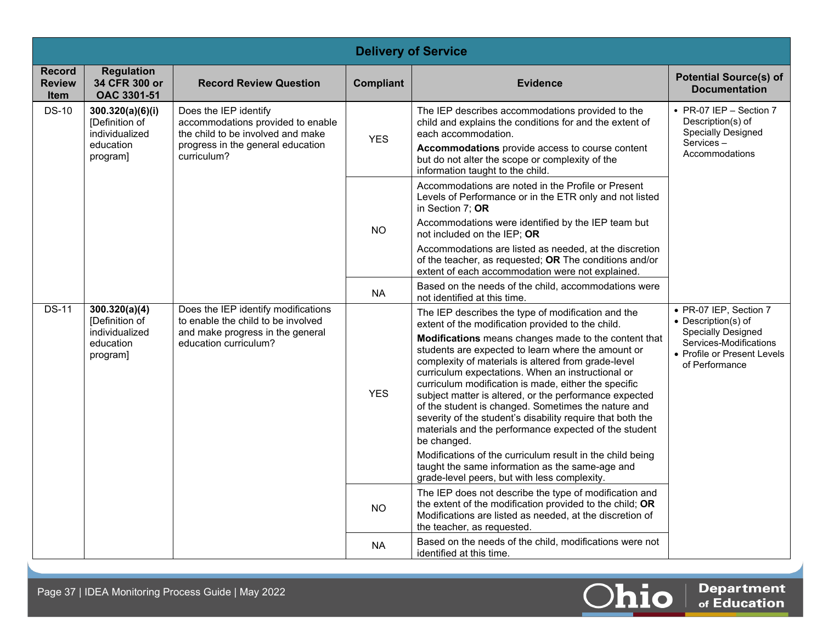|                                               |                                                                               |                                                                                                                                                     |                  | <b>Delivery of Service</b>                                                                                                                                                                                                                                                                                                                                                                                                                                                                                                                                                                                                                                                                                                                                                                                       |                                                                                                                                                       |
|-----------------------------------------------|-------------------------------------------------------------------------------|-----------------------------------------------------------------------------------------------------------------------------------------------------|------------------|------------------------------------------------------------------------------------------------------------------------------------------------------------------------------------------------------------------------------------------------------------------------------------------------------------------------------------------------------------------------------------------------------------------------------------------------------------------------------------------------------------------------------------------------------------------------------------------------------------------------------------------------------------------------------------------------------------------------------------------------------------------------------------------------------------------|-------------------------------------------------------------------------------------------------------------------------------------------------------|
| <b>Record</b><br><b>Review</b><br><b>Item</b> | <b>Regulation</b><br>34 CFR 300 or<br>OAC 3301-51                             | <b>Record Review Question</b>                                                                                                                       | <b>Compliant</b> | <b>Evidence</b>                                                                                                                                                                                                                                                                                                                                                                                                                                                                                                                                                                                                                                                                                                                                                                                                  | <b>Potential Source(s) of</b><br><b>Documentation</b>                                                                                                 |
| <b>DS-10</b>                                  | 300.320(a)(6)(i)<br>[Definition of<br>individualized<br>education<br>program] | Does the IEP identify<br>accommodations provided to enable<br>the child to be involved and make<br>progress in the general education<br>curriculum? | <b>YES</b>       | The IEP describes accommodations provided to the<br>child and explains the conditions for and the extent of<br>each accommodation.<br>Accommodations provide access to course content<br>but do not alter the scope or complexity of the<br>information taught to the child.                                                                                                                                                                                                                                                                                                                                                                                                                                                                                                                                     | • PR-07 IEP - Section 7<br>Description(s) of<br><b>Specially Designed</b><br>Services-<br>Accommodations                                              |
|                                               |                                                                               |                                                                                                                                                     |                  | Accommodations are noted in the Profile or Present<br>Levels of Performance or in the ETR only and not listed<br>in Section 7; OR                                                                                                                                                                                                                                                                                                                                                                                                                                                                                                                                                                                                                                                                                |                                                                                                                                                       |
|                                               |                                                                               |                                                                                                                                                     | NO.              | Accommodations were identified by the IEP team but<br>not included on the IEP; OR                                                                                                                                                                                                                                                                                                                                                                                                                                                                                                                                                                                                                                                                                                                                |                                                                                                                                                       |
|                                               |                                                                               |                                                                                                                                                     |                  | Accommodations are listed as needed, at the discretion<br>of the teacher, as requested; OR The conditions and/or<br>extent of each accommodation were not explained.                                                                                                                                                                                                                                                                                                                                                                                                                                                                                                                                                                                                                                             |                                                                                                                                                       |
|                                               |                                                                               |                                                                                                                                                     | <b>NA</b>        | Based on the needs of the child, accommodations were<br>not identified at this time.                                                                                                                                                                                                                                                                                                                                                                                                                                                                                                                                                                                                                                                                                                                             |                                                                                                                                                       |
| <b>DS-11</b>                                  | 300.320(a)(4)<br>[Definition of<br>individualized<br>education<br>program]    | Does the IEP identify modifications<br>to enable the child to be involved<br>and make progress in the general<br>education curriculum?              | <b>YES</b>       | The IEP describes the type of modification and the<br>extent of the modification provided to the child.<br>Modifications means changes made to the content that<br>students are expected to learn where the amount or<br>complexity of materials is altered from grade-level<br>curriculum expectations. When an instructional or<br>curriculum modification is made, either the specific<br>subject matter is altered, or the performance expected<br>of the student is changed. Sometimes the nature and<br>severity of the student's disability require that both the<br>materials and the performance expected of the student<br>be changed.<br>Modifications of the curriculum result in the child being<br>taught the same information as the same-age and<br>grade-level peers, but with less complexity. | • PR-07 IEP, Section 7<br>• Description(s) of<br><b>Specially Designed</b><br>Services-Modifications<br>• Profile or Present Levels<br>of Performance |
|                                               |                                                                               |                                                                                                                                                     | NO.              | The IEP does not describe the type of modification and<br>the extent of the modification provided to the child; OR<br>Modifications are listed as needed, at the discretion of<br>the teacher, as requested.                                                                                                                                                                                                                                                                                                                                                                                                                                                                                                                                                                                                     |                                                                                                                                                       |
|                                               |                                                                               |                                                                                                                                                     | <b>NA</b>        | Based on the needs of the child, modifications were not<br>identified at this time.                                                                                                                                                                                                                                                                                                                                                                                                                                                                                                                                                                                                                                                                                                                              |                                                                                                                                                       |

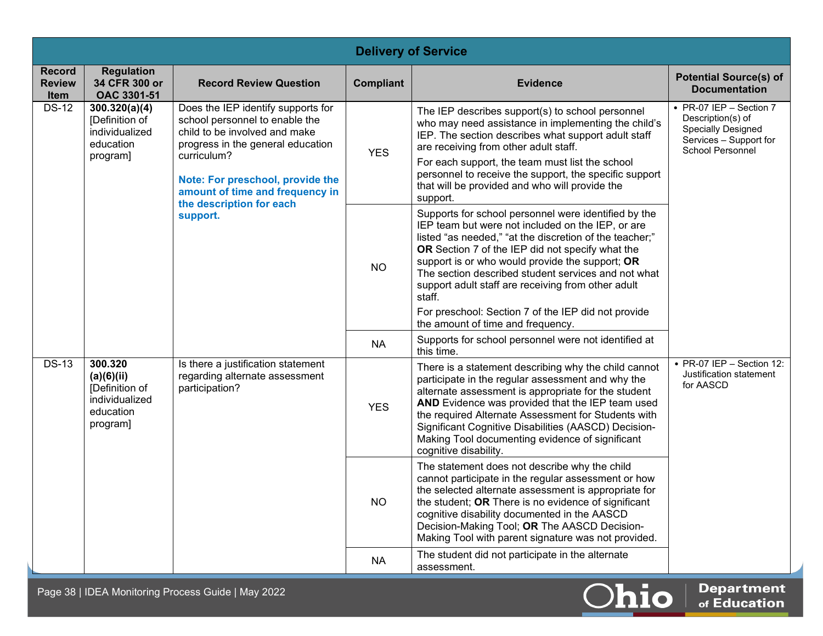| <b>Delivery of Service</b>                    |                                                                                    |                                                                                                                                                                                                                                                              |                  |                                                                                                                                                                                                                                                                                                                                                                                                                                                                                                |                                                                                                                                  |
|-----------------------------------------------|------------------------------------------------------------------------------------|--------------------------------------------------------------------------------------------------------------------------------------------------------------------------------------------------------------------------------------------------------------|------------------|------------------------------------------------------------------------------------------------------------------------------------------------------------------------------------------------------------------------------------------------------------------------------------------------------------------------------------------------------------------------------------------------------------------------------------------------------------------------------------------------|----------------------------------------------------------------------------------------------------------------------------------|
| <b>Record</b><br><b>Review</b><br><b>Item</b> | <b>Regulation</b><br>34 CFR 300 or<br>OAC 3301-51                                  | <b>Record Review Question</b>                                                                                                                                                                                                                                | <b>Compliant</b> | <b>Evidence</b>                                                                                                                                                                                                                                                                                                                                                                                                                                                                                | <b>Potential Source(s) of</b><br><b>Documentation</b>                                                                            |
| <b>DS-12</b>                                  | 300.320(a)(4)<br>[Definition of<br>individualized<br>education<br>program]         | Does the IEP identify supports for<br>school personnel to enable the<br>child to be involved and make<br>progress in the general education<br>curriculum?<br>Note: For preschool, provide the<br>amount of time and frequency in<br>the description for each | <b>YES</b>       | The IEP describes support(s) to school personnel<br>who may need assistance in implementing the child's<br>IEP. The section describes what support adult staff<br>are receiving from other adult staff.<br>For each support, the team must list the school<br>personnel to receive the support, the specific support<br>that will be provided and who will provide the<br>support.                                                                                                             | • PR-07 IEP - Section $7$<br>Description(s) of<br><b>Specially Designed</b><br>Services - Support for<br><b>School Personnel</b> |
|                                               |                                                                                    | support.                                                                                                                                                                                                                                                     | <b>NO</b>        | Supports for school personnel were identified by the<br>IEP team but were not included on the IEP, or are<br>listed "as needed," "at the discretion of the teacher;"<br>OR Section 7 of the IEP did not specify what the<br>support is or who would provide the support; OR<br>The section described student services and not what<br>support adult staff are receiving from other adult<br>staff.<br>For preschool: Section 7 of the IEP did not provide<br>the amount of time and frequency. |                                                                                                                                  |
|                                               |                                                                                    |                                                                                                                                                                                                                                                              | NA               | Supports for school personnel were not identified at<br>this time.                                                                                                                                                                                                                                                                                                                                                                                                                             |                                                                                                                                  |
| $DS-13$                                       | 300.320<br>(a)(6)(ii)<br>[Definition of<br>individualized<br>education<br>program] | Is there a justification statement<br>regarding alternate assessment<br>participation?                                                                                                                                                                       | <b>YES</b>       | There is a statement describing why the child cannot<br>participate in the regular assessment and why the<br>alternate assessment is appropriate for the student<br>AND Evidence was provided that the IEP team used<br>the required Alternate Assessment for Students with<br>Significant Cognitive Disabilities (AASCD) Decision-<br>Making Tool documenting evidence of significant<br>cognitive disability.                                                                                | • PR-07 IEP - Section 12:<br>Justification statement<br>for AASCD                                                                |
|                                               |                                                                                    |                                                                                                                                                                                                                                                              | NO.              | The statement does not describe why the child<br>cannot participate in the regular assessment or how<br>the selected alternate assessment is appropriate for<br>the student; OR There is no evidence of significant<br>cognitive disability documented in the AASCD<br>Decision-Making Tool; OR The AASCD Decision-<br>Making Tool with parent signature was not provided.                                                                                                                     |                                                                                                                                  |
|                                               |                                                                                    |                                                                                                                                                                                                                                                              | <b>NA</b>        | The student did not participate in the alternate<br>assessment.                                                                                                                                                                                                                                                                                                                                                                                                                                |                                                                                                                                  |

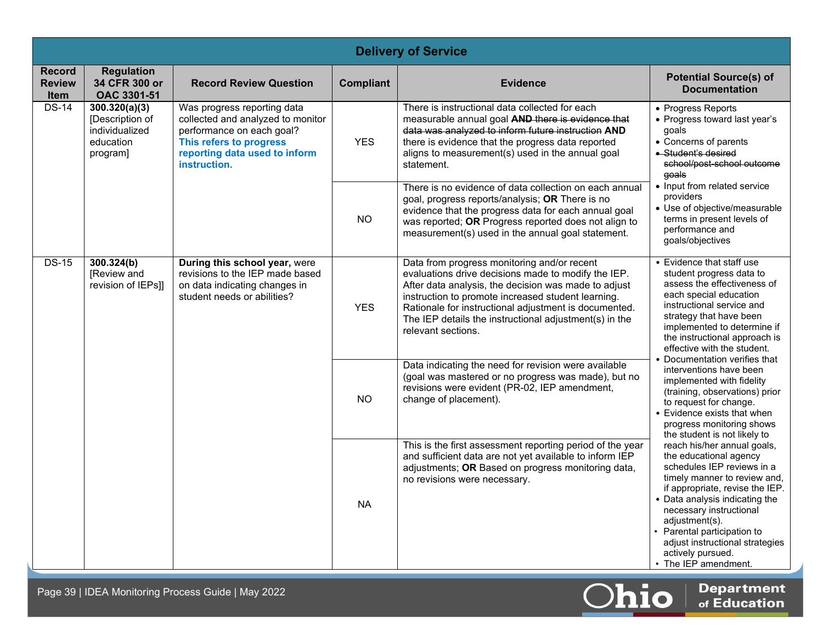|                                        | <b>Delivery of Service</b>                                                  |                                                                                                                                                                           |                  |                                                                                                                                                                                                                                                                                                                                                           |                                                                                                                                                                                                                                                                                                                                                    |  |
|----------------------------------------|-----------------------------------------------------------------------------|---------------------------------------------------------------------------------------------------------------------------------------------------------------------------|------------------|-----------------------------------------------------------------------------------------------------------------------------------------------------------------------------------------------------------------------------------------------------------------------------------------------------------------------------------------------------------|----------------------------------------------------------------------------------------------------------------------------------------------------------------------------------------------------------------------------------------------------------------------------------------------------------------------------------------------------|--|
| <b>Record</b><br><b>Review</b><br>Item | <b>Regulation</b><br>34 CFR 300 or<br>OAC 3301-51                           | <b>Record Review Question</b>                                                                                                                                             | <b>Compliant</b> | <b>Evidence</b>                                                                                                                                                                                                                                                                                                                                           | <b>Potential Source(s) of</b><br><b>Documentation</b>                                                                                                                                                                                                                                                                                              |  |
| <b>DS-14</b>                           | 300.320(a)(3)<br>[Description of<br>individualized<br>education<br>program] | Was progress reporting data<br>collected and analyzed to monitor<br>performance on each goal?<br>This refers to progress<br>reporting data used to inform<br>instruction. | <b>YES</b>       | There is instructional data collected for each<br>measurable annual goal AND there is evidence that<br>data was analyzed to inform future instruction AND<br>there is evidence that the progress data reported<br>aligns to measurement(s) used in the annual goal<br>statement.                                                                          | • Progress Reports<br>• Progress toward last year's<br>qoals<br>• Concerns of parents<br>• Student's desired<br>school/post-school outcome<br>goals                                                                                                                                                                                                |  |
|                                        |                                                                             |                                                                                                                                                                           | <b>NO</b>        | There is no evidence of data collection on each annual<br>goal, progress reports/analysis; OR There is no<br>evidence that the progress data for each annual goal<br>was reported; OR Progress reported does not align to<br>measurement(s) used in the annual goal statement.                                                                            | • Input from related service<br>providers<br>• Use of objective/measurable<br>terms in present levels of<br>performance and<br>goals/objectives                                                                                                                                                                                                    |  |
| <b>DS-15</b>                           | 300.324(b)<br>[Review and<br>revision of IEPs]]                             | During this school year, were<br>revisions to the IEP made based<br>on data indicating changes in<br>student needs or abilities?                                          | <b>YES</b>       | Data from progress monitoring and/or recent<br>evaluations drive decisions made to modify the IEP.<br>After data analysis, the decision was made to adjust<br>instruction to promote increased student learning.<br>Rationale for instructional adjustment is documented.<br>The IEP details the instructional adjustment(s) in the<br>relevant sections. | • Evidence that staff use<br>student progress data to<br>assess the effectiveness of<br>each special education<br>instructional service and<br>strategy that have been<br>implemented to determine if<br>the instructional approach is<br>effective with the student.                                                                              |  |
|                                        |                                                                             |                                                                                                                                                                           | NO.              | Data indicating the need for revision were available<br>(goal was mastered or no progress was made), but no<br>revisions were evident (PR-02, IEP amendment,<br>change of placement).                                                                                                                                                                     | Documentation verifies that<br>interventions have been<br>implemented with fidelity<br>(training, observations) prior<br>to request for change.<br>• Evidence exists that when<br>progress monitoring shows<br>the student is not likely to                                                                                                        |  |
|                                        |                                                                             |                                                                                                                                                                           | <b>NA</b>        | This is the first assessment reporting period of the year<br>and sufficient data are not yet available to inform IEP<br>adjustments; OR Based on progress monitoring data,<br>no revisions were necessary.                                                                                                                                                | reach his/her annual goals,<br>the educational agency<br>schedules IEP reviews in a<br>timely manner to review and,<br>if appropriate, revise the IEP.<br>• Data analysis indicating the<br>necessary instructional<br>adjustment(s).<br>Parental participation to<br>adjust instructional strategies<br>actively pursued.<br>• The IEP amendment. |  |

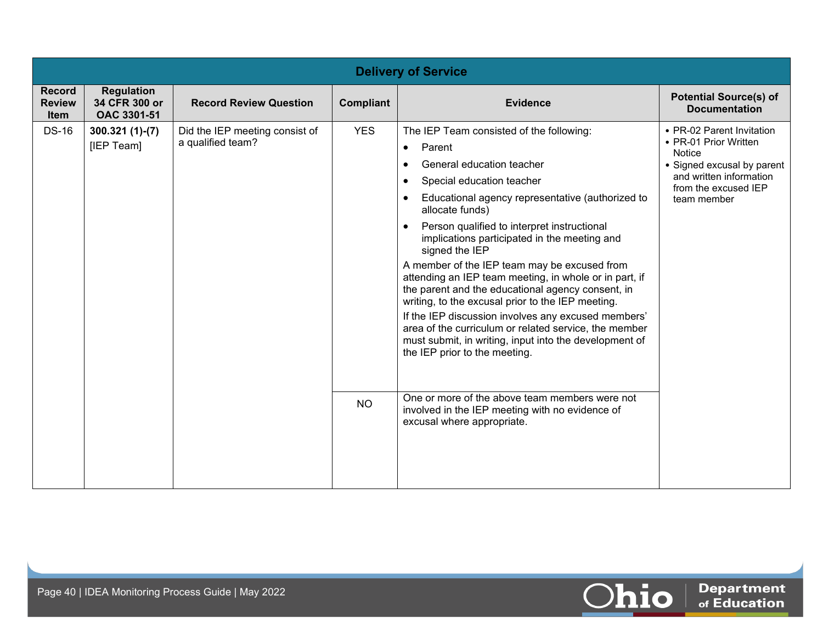|                                               | <b>Delivery of Service</b>                        |                                                     |            |                                                                                                                                                                                                                                                                                                                                                                                                                                                                                                                                                                                                                                                                                                                                                               |                                                                                                                                                                     |  |
|-----------------------------------------------|---------------------------------------------------|-----------------------------------------------------|------------|---------------------------------------------------------------------------------------------------------------------------------------------------------------------------------------------------------------------------------------------------------------------------------------------------------------------------------------------------------------------------------------------------------------------------------------------------------------------------------------------------------------------------------------------------------------------------------------------------------------------------------------------------------------------------------------------------------------------------------------------------------------|---------------------------------------------------------------------------------------------------------------------------------------------------------------------|--|
| <b>Record</b><br><b>Review</b><br><b>Item</b> | <b>Regulation</b><br>34 CFR 300 or<br>OAC 3301-51 | <b>Record Review Question</b>                       | Compliant  | <b>Evidence</b>                                                                                                                                                                                                                                                                                                                                                                                                                                                                                                                                                                                                                                                                                                                                               | <b>Potential Source(s) of</b><br><b>Documentation</b>                                                                                                               |  |
| <b>DS-16</b>                                  | $300.321(1)-(7)$<br>[IEP Team]                    | Did the IEP meeting consist of<br>a qualified team? | <b>YES</b> | The IEP Team consisted of the following:<br>Parent<br>$\bullet$<br>General education teacher<br>Special education teacher<br>$\bullet$<br>Educational agency representative (authorized to<br>allocate funds)<br>Person qualified to interpret instructional<br>implications participated in the meeting and<br>signed the IEP<br>A member of the IEP team may be excused from<br>attending an IEP team meeting, in whole or in part, if<br>the parent and the educational agency consent, in<br>writing, to the excusal prior to the IEP meeting.<br>If the IEP discussion involves any excused members'<br>area of the curriculum or related service, the member<br>must submit, in writing, input into the development of<br>the IEP prior to the meeting. | • PR-02 Parent Invitation<br>• PR-01 Prior Written<br><b>Notice</b><br>• Signed excusal by parent<br>and written information<br>from the excused IEP<br>team member |  |
|                                               |                                                   |                                                     | <b>NO</b>  | One or more of the above team members were not<br>involved in the IEP meeting with no evidence of<br>excusal where appropriate.                                                                                                                                                                                                                                                                                                                                                                                                                                                                                                                                                                                                                               |                                                                                                                                                                     |  |

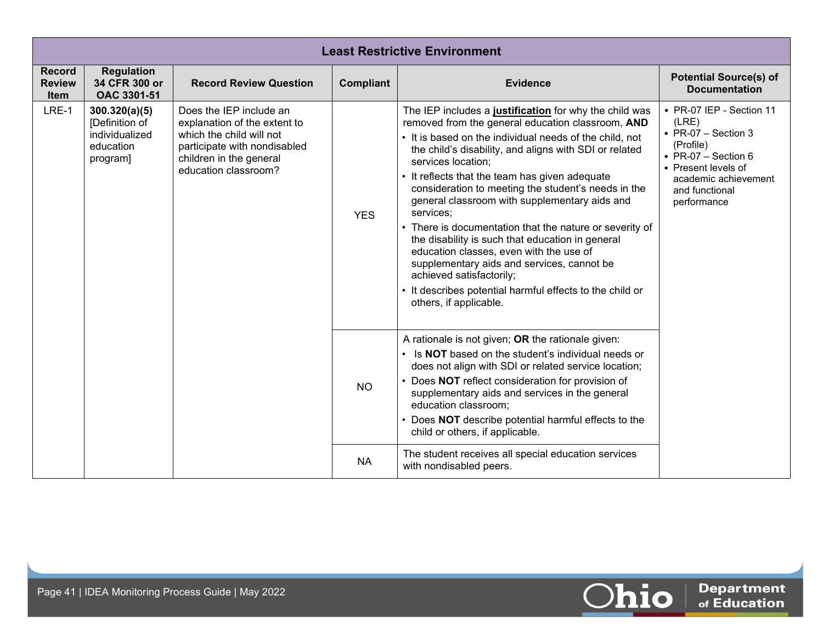<span id="page-40-0"></span>

|                                               | <b>Least Restrictive Environment</b>                                       |                                                                                                                                                                        |                                                                                                                                                                                                                                                                                                                                                                                                                                                                              |                                                                                                                                                                                                                                                                                                                                                                                                                                                                                                                                                                                                                                                                                                                                                         |                                                                                                                                                                                  |  |  |  |
|-----------------------------------------------|----------------------------------------------------------------------------|------------------------------------------------------------------------------------------------------------------------------------------------------------------------|------------------------------------------------------------------------------------------------------------------------------------------------------------------------------------------------------------------------------------------------------------------------------------------------------------------------------------------------------------------------------------------------------------------------------------------------------------------------------|---------------------------------------------------------------------------------------------------------------------------------------------------------------------------------------------------------------------------------------------------------------------------------------------------------------------------------------------------------------------------------------------------------------------------------------------------------------------------------------------------------------------------------------------------------------------------------------------------------------------------------------------------------------------------------------------------------------------------------------------------------|----------------------------------------------------------------------------------------------------------------------------------------------------------------------------------|--|--|--|
| <b>Record</b><br><b>Review</b><br><b>Item</b> | <b>Regulation</b><br>34 CFR 300 or<br>OAC 3301-51                          | <b>Record Review Question</b>                                                                                                                                          | Compliant                                                                                                                                                                                                                                                                                                                                                                                                                                                                    | <b>Evidence</b>                                                                                                                                                                                                                                                                                                                                                                                                                                                                                                                                                                                                                                                                                                                                         | <b>Potential Source(s) of</b><br><b>Documentation</b>                                                                                                                            |  |  |  |
| LRE-1                                         | 300.320(a)(5)<br>[Definition of<br>individualized<br>education<br>program] | Does the IEP include an<br>explanation of the extent to<br>which the child will not<br>participate with nondisabled<br>children in the general<br>education classroom? | <b>YES</b>                                                                                                                                                                                                                                                                                                                                                                                                                                                                   | The IEP includes a justification for why the child was<br>removed from the general education classroom, AND<br>• It is based on the individual needs of the child, not<br>the child's disability, and aligns with SDI or related<br>services location;<br>• It reflects that the team has given adequate<br>consideration to meeting the student's needs in the<br>general classroom with supplementary aids and<br>services;<br>• There is documentation that the nature or severity of<br>the disability is such that education in general<br>education classes, even with the use of<br>supplementary aids and services, cannot be<br>achieved satisfactorily;<br>• It describes potential harmful effects to the child or<br>others, if applicable. | • PR-07 IEP - Section 11<br>(LRE)<br>• $PR-07 - Section 3$<br>(Profile)<br>• PR-07 - Section $6$<br>• Present levels of<br>academic achievement<br>and functional<br>performance |  |  |  |
|                                               | <b>NO</b><br><b>NA</b>                                                     |                                                                                                                                                                        | A rationale is not given; OR the rationale given:<br>• Is NOT based on the student's individual needs or<br>does not align with SDI or related service location;<br>• Does NOT reflect consideration for provision of<br>supplementary aids and services in the general<br>education classroom;<br>• Does NOT describe potential harmful effects to the<br>child or others, if applicable.<br>The student receives all special education services<br>with nondisabled peers. |                                                                                                                                                                                                                                                                                                                                                                                                                                                                                                                                                                                                                                                                                                                                                         |                                                                                                                                                                                  |  |  |  |

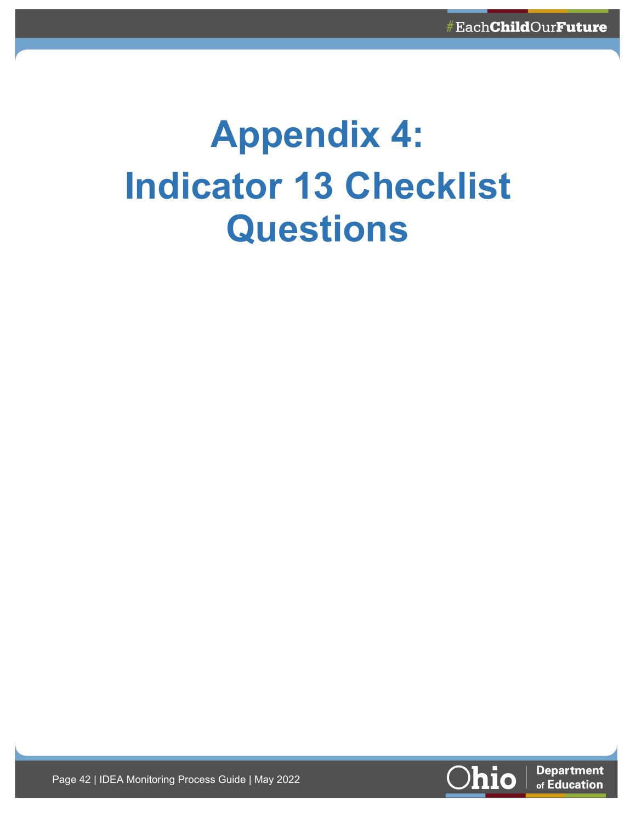# **Appendix 4: Indicator 13 Checklist Questions**



Page 42 | IDEA Monitoring Process Guide | May 2022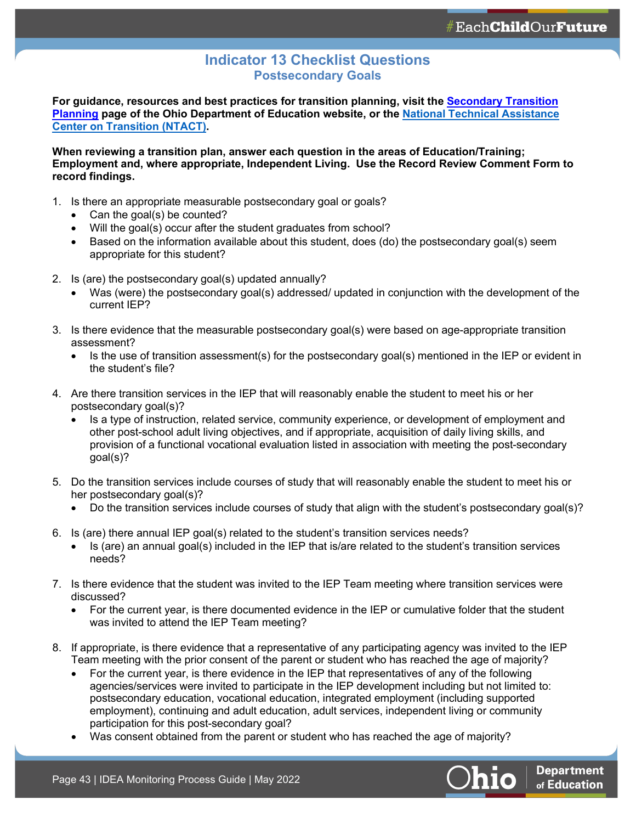### **Indicator 13 Checklist Questions Postsecondary Goals**

<span id="page-42-0"></span>**For guidance, resources and best practices for transition planning, visit the [Secondary Transition](http://education.ohio.gov/Topics/Special-Education/Federal-and-State-Requirements/Secondary-Transition-Planning-for-Students-with-Di)  [Planning](http://education.ohio.gov/Topics/Special-Education/Federal-and-State-Requirements/Secondary-Transition-Planning-for-Students-with-Di) page of the Ohio Department of Education website, or the [National Technical Assistance](https://transitionta.org/)  [Center on Transition \(NTACT\).](https://transitionta.org/)**

**When reviewing a transition plan, answer each question in the areas of Education/Training; Employment and, where appropriate, Independent Living. Use the Record Review Comment Form to record findings.**

- 1. Is there an appropriate measurable postsecondary goal or goals?
	- Can the goal(s) be counted?
	- Will the goal(s) occur after the student graduates from school?
	- Based on the information available about this student, does (do) the postsecondary goal(s) seem appropriate for this student?
- 2. Is (are) the postsecondary goal(s) updated annually?
	- Was (were) the postsecondary goal(s) addressed/ updated in conjunction with the development of the current IEP?
- 3. Is there evidence that the measurable postsecondary goal(s) were based on age-appropriate transition assessment?
	- Is the use of transition assessment(s) for the postsecondary goal(s) mentioned in the IEP or evident in the student's file?
- 4. Are there transition services in the IEP that will reasonably enable the student to meet his or her postsecondary goal(s)?
	- Is a type of instruction, related service, community experience, or development of employment and other post-school adult living objectives, and if appropriate, acquisition of daily living skills, and provision of a functional vocational evaluation listed in association with meeting the post-secondary goal(s)?
- 5. Do the transition services include courses of study that will reasonably enable the student to meet his or her postsecondary goal(s)?
	- Do the transition services include courses of study that align with the student's postsecondary goal(s)?
- 6. Is (are) there annual IEP goal(s) related to the student's transition services needs?
	- Is (are) an annual goal(s) included in the IEP that is/are related to the student's transition services needs?
- 7. Is there evidence that the student was invited to the IEP Team meeting where transition services were discussed?
	- For the current year, is there documented evidence in the IEP or cumulative folder that the student was invited to attend the IEP Team meeting?
- 8. If appropriate, is there evidence that a representative of any participating agency was invited to the IEP Team meeting with the prior consent of the parent or student who has reached the age of majority?
	- For the current year, is there evidence in the IEP that representatives of any of the following agencies/services were invited to participate in the IEP development including but not limited to: postsecondary education, vocational education, integrated employment (including supported employment), continuing and adult education, adult services, independent living or community participation for this post-secondary goal?
	- Was consent obtained from the parent or student who has reached the age of majority?



**Department** of Education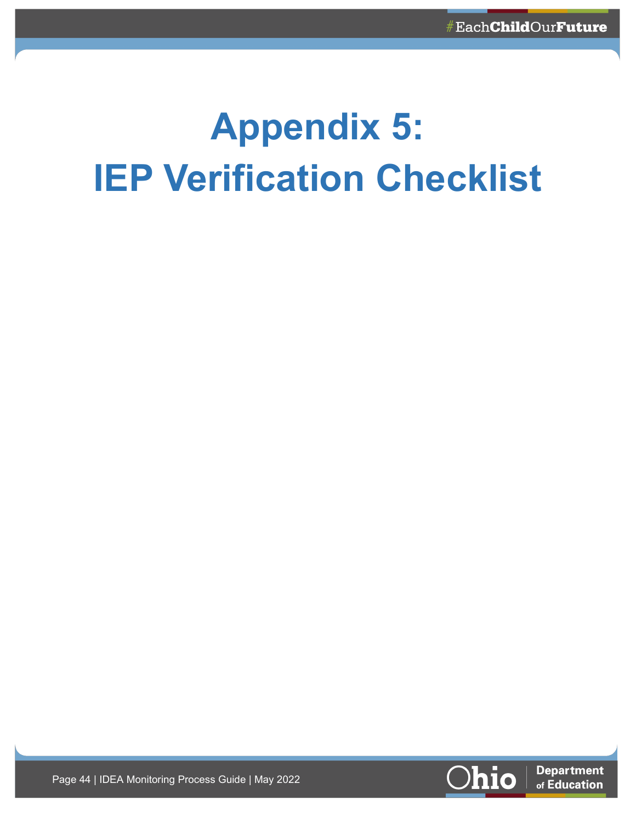# **Appendix 5: IEP Verification Checklist**



**Department** of Education

Page 44 | IDEA Monitoring Process Guide | May 2022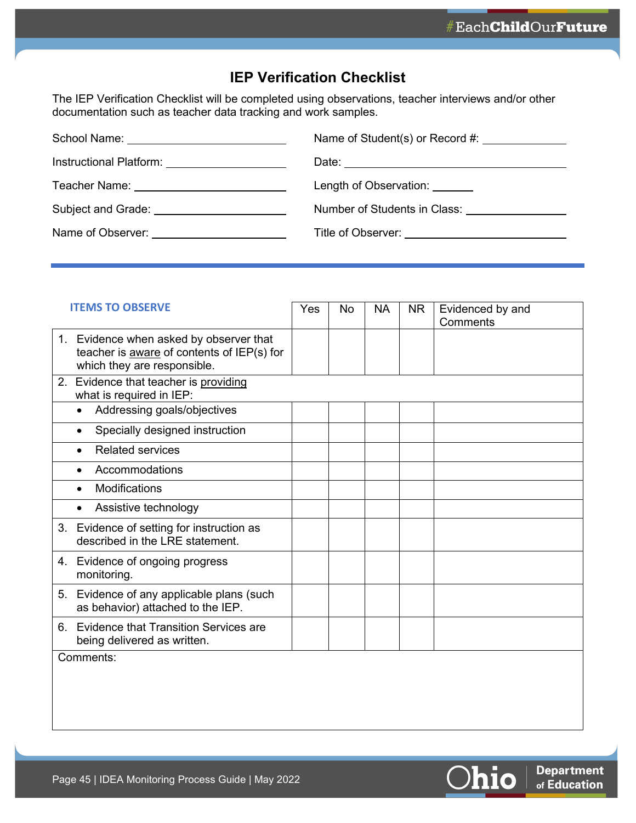# **IEP Verification Checklist**

<span id="page-44-1"></span><span id="page-44-0"></span>The IEP Verification Checklist will be completed using observations, teacher interviews and/or other documentation such as teacher data tracking and work samples.

| School Name: _____________________________                                                                                                                                                                                           |                                                               |
|--------------------------------------------------------------------------------------------------------------------------------------------------------------------------------------------------------------------------------------|---------------------------------------------------------------|
|                                                                                                                                                                                                                                      |                                                               |
|                                                                                                                                                                                                                                      | Length of Observation: <u>_______</u>                         |
| Subject and Grade: University of Subject and Grade:                                                                                                                                                                                  | Number of Students in Class: University of Students in Class: |
| Name of Observer: <u>contract and the set of the set of the set of the set of the set of the set of the set of the set of the set of the set of the set of the set of the set of the set of the set of the set of the set of the</u> | Title of Observer: ________________________                   |

|    | <b>ITEMS TO OBSERVE</b>                                                                                              | Yes | No | <b>NA</b> | <b>NR</b> | Evidenced by and<br>Comments |
|----|----------------------------------------------------------------------------------------------------------------------|-----|----|-----------|-----------|------------------------------|
|    | 1. Evidence when asked by observer that<br>teacher is aware of contents of IEP(s) for<br>which they are responsible. |     |    |           |           |                              |
|    | 2. Evidence that teacher is providing<br>what is required in IEP:                                                    |     |    |           |           |                              |
|    | Addressing goals/objectives                                                                                          |     |    |           |           |                              |
|    | Specially designed instruction                                                                                       |     |    |           |           |                              |
|    | <b>Related services</b>                                                                                              |     |    |           |           |                              |
|    | Accommodations                                                                                                       |     |    |           |           |                              |
|    | Modifications                                                                                                        |     |    |           |           |                              |
|    | Assistive technology                                                                                                 |     |    |           |           |                              |
| 3. | Evidence of setting for instruction as<br>described in the LRE statement.                                            |     |    |           |           |                              |
|    | 4. Evidence of ongoing progress<br>monitoring.                                                                       |     |    |           |           |                              |
| 5. | Evidence of any applicable plans (such<br>as behavior) attached to the IEP.                                          |     |    |           |           |                              |
| 6. | <b>Evidence that Transition Services are</b><br>being delivered as written.                                          |     |    |           |           |                              |
|    | Comments:                                                                                                            |     |    |           |           |                              |

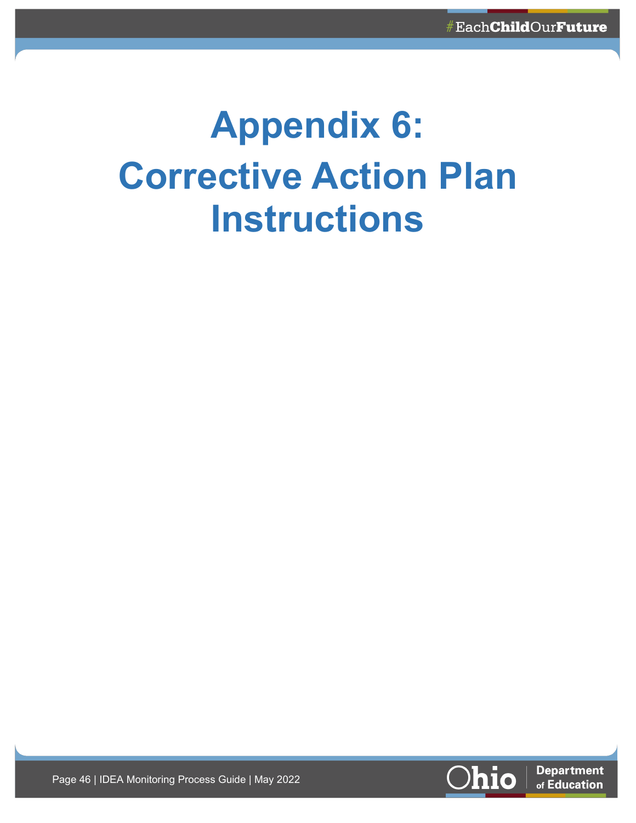# **Appendix 6: Corrective Action Plan Instructions**



**Department** of Education

Page 46 | IDEA Monitoring Process Guide | May 2022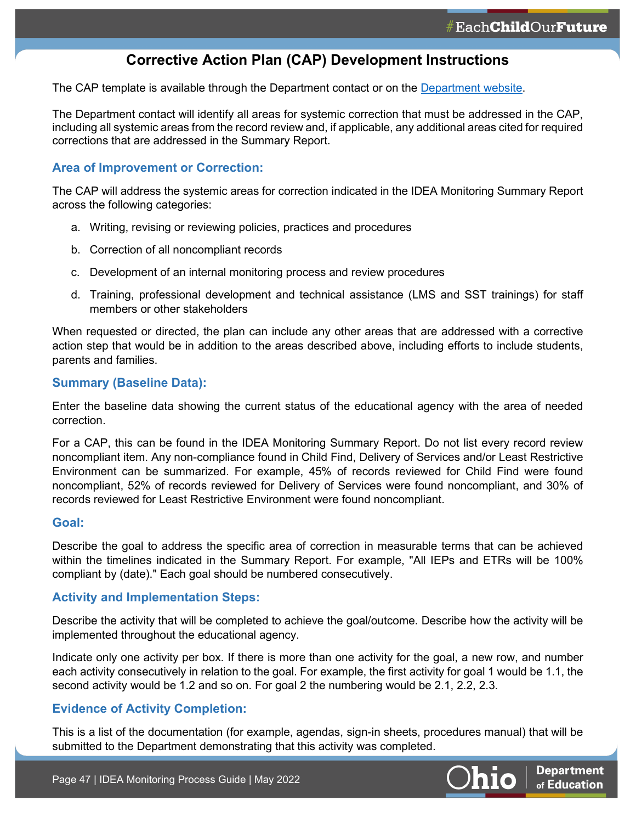# **Corrective Action Plan (CAP) Development Instructions**

<span id="page-46-0"></span>The CAP template is available through the Department contact or on the [Department](https://education.ohio.gov/Topics/Special-Education/Special-Education-Monitoring-System/IDEA-Onsite-Reviews) website.

The Department contact will identify all areas for systemic correction that must be addressed in the CAP, including all systemic areas from the record review and, if applicable, any additional areas cited for required corrections that are addressed in the Summary Report.

#### **Area of Improvement or Correction:**

The CAP will address the systemic areas for correction indicated in the IDEA Monitoring Summary Report across the following categories:

- a. Writing, revising or reviewing policies, practices and procedures
- b. Correction of all noncompliant records
- c. Development of an internal monitoring process and review procedures
- d. Training, professional development and technical assistance (LMS and SST trainings) for staff members or other stakeholders

When requested or directed, the plan can include any other areas that are addressed with a corrective action step that would be in addition to the areas described above, including efforts to include students, parents and families.

#### **Summary (Baseline Data):**

Enter the baseline data showing the current status of the educational agency with the area of needed correction.

For a CAP, this can be found in the IDEA Monitoring Summary Report. Do not list every record review noncompliant item. Any non-compliance found in Child Find, Delivery of Services and/or Least Restrictive Environment can be summarized. For example, 45% of records reviewed for Child Find were found noncompliant, 52% of records reviewed for Delivery of Services were found noncompliant, and 30% of records reviewed for Least Restrictive Environment were found noncompliant.

#### **Goal:**

Describe the goal to address the specific area of correction in measurable terms that can be achieved within the timelines indicated in the Summary Report. For example, "All IEPs and ETRs will be 100% compliant by (date)." Each goal should be numbered consecutively.

#### **Activity and Implementation Steps:**

Describe the activity that will be completed to achieve the goal/outcome. Describe how the activity will be implemented throughout the educational agency.

Indicate only one activity per box. If there is more than one activity for the goal, a new row, and number each activity consecutively in relation to the goal. For example, the first activity for goal 1 would be 1.1, the second activity would be 1.2 and so on. For goal 2 the numbering would be 2.1, 2.2, 2.3.

#### **Evidence of Activity Completion:**

This is a list of the documentation (for example, agendas, sign-in sheets, procedures manual) that will be submitted to the Department demonstrating that this activity was completed.

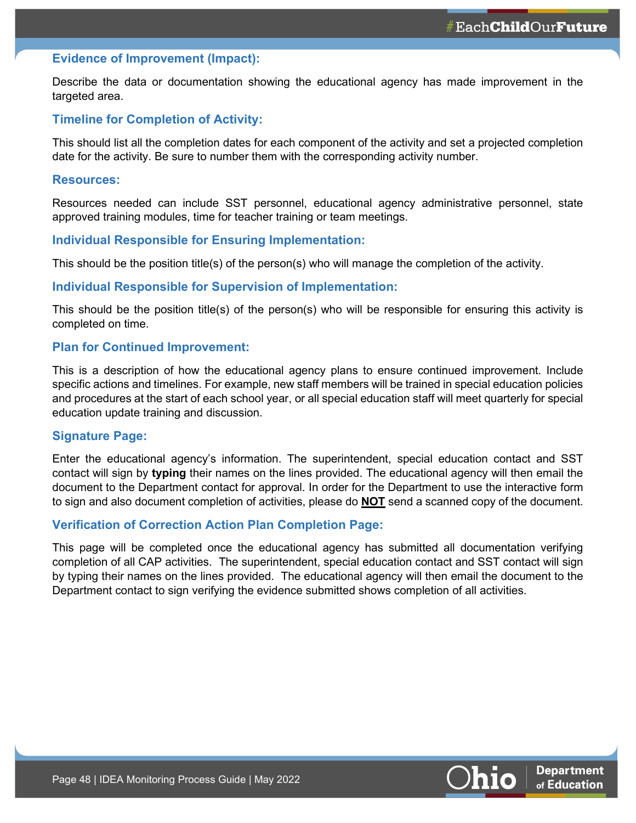#### **Evidence of Improvement (Impact):**

Describe the data or documentation showing the educational agency has made improvement in the targeted area.

#### **Timeline for Completion of Activity:**

This should list all the completion dates for each component of the activity and set a projected completion date for the activity. Be sure to number them with the corresponding activity number.

#### **Resources:**

Resources needed can include SST personnel, educational agency administrative personnel, state approved training modules, time for teacher training or team meetings.

#### **Individual Responsible for Ensuring Implementation:**

This should be the position title(s) of the person(s) who will manage the completion of the activity.

#### **Individual Responsible for Supervision of Implementation:**

This should be the position title(s) of the person(s) who will be responsible for ensuring this activity is completed on time.

#### **Plan for Continued Improvement:**

This is a description of how the educational agency plans to ensure continued improvement. Include specific actions and timelines. For example, new staff members will be trained in special education policies and procedures at the start of each school year, or all special education staff will meet quarterly for special education update training and discussion.

#### **Signature Page:**

Enter the educational agency's information. The superintendent, special education contact and SST contact will sign by **typing** their names on the lines provided. The educational agency will then email the document to the Department contact for approval. In order for the Department to use the interactive form to sign and also document completion of activities, please do **NOT** send a scanned copy of the document.

#### **Verification of Correction Action Plan Completion Page:**

This page will be completed once the educational agency has submitted all documentation verifying completion of all CAP activities. The superintendent, special education contact and SST contact will sign by typing their names on the lines provided. The educational agency will then email the document to the Department contact to sign verifying the evidence submitted shows completion of all activities.

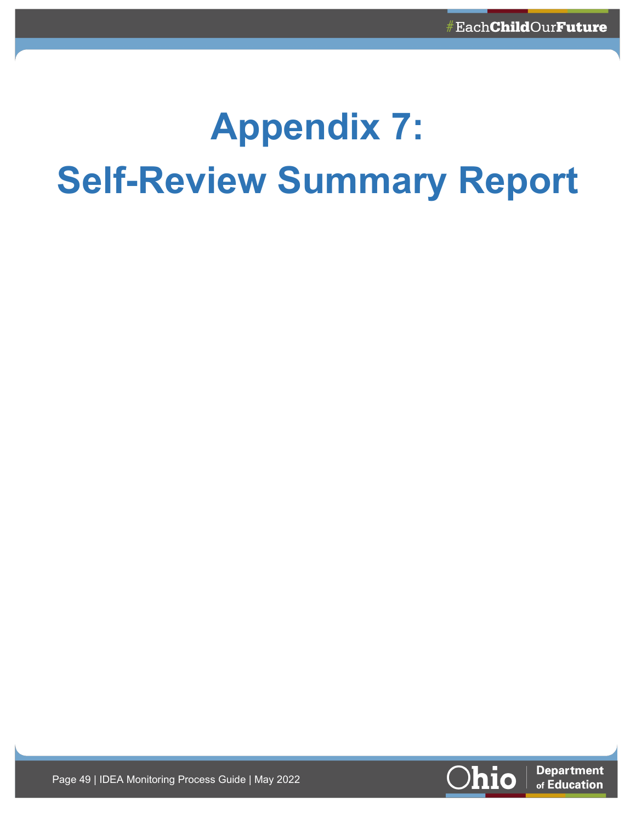# **Appendix 7: Self-Review Summary Report**



**Department** of Education

Page 49 | IDEA Monitoring Process Guide | May 2022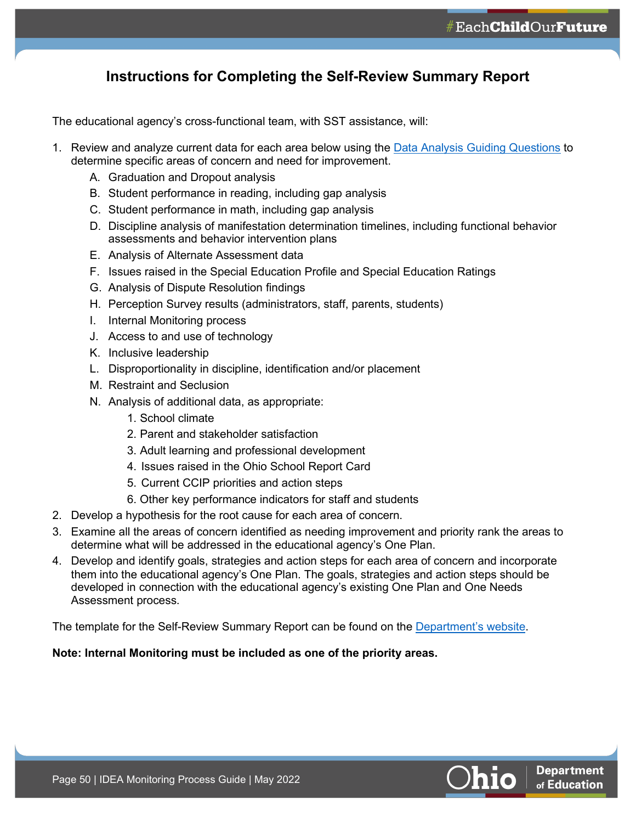# **Instructions for Completing the Self-Review Summary Report**

<span id="page-49-0"></span>The educational agency's cross-functional team, with SST assistance, will:

- 1. Review and analyze current data for each area below using the [Data Analysis Guiding Questions](#page-52-0) to determine specific areas of concern and need for improvement.
	- A. Graduation and Dropout analysis
	- B. Student performance in reading, including gap analysis
	- C. Student performance in math, including gap analysis
	- D. Discipline analysis of manifestation determination timelines, including functional behavior assessments and behavior intervention plans
	- E. Analysis of Alternate Assessment data
	- F. Issues raised in the Special Education Profile and Special Education Ratings
	- G. Analysis of Dispute Resolution findings
	- H. Perception Survey results (administrators, staff, parents, students)
	- I. Internal Monitoring process
	- J. Access to and use of technology
	- K. Inclusive leadership
	- L. Disproportionality in discipline, identification and/or placement
	- M. Restraint and Seclusion
	- N. Analysis of additional data, as appropriate:
		- 1. School climate
		- 2. Parent and stakeholder satisfaction
		- 3. Adult learning and professional development
		- 4. Issues raised in the Ohio School Report Card
		- 5. Current CCIP priorities and action steps
		- 6. Other key performance indicators for staff and students
- 2. Develop a hypothesis for the root cause for each area of concern.
- 3. Examine all the areas of concern identified as needing improvement and priority rank the areas to determine what will be addressed in the educational agency's One Plan.
- 4. Develop and identify goals, strategies and action steps for each area of concern and incorporate them into the educational agency's One Plan. The goals, strategies and action steps should be developed in connection with the educational agency's existing One Plan and One Needs Assessment process.

The template for the Self-Review Summary Report can be found on the [Department's website.](https://education.ohio.gov/Topics/Special-Education/Special-Education-Monitoring-System/IDEA-Onsite-Reviews)

#### **Note: Internal Monitoring must be included as one of the priority areas.**

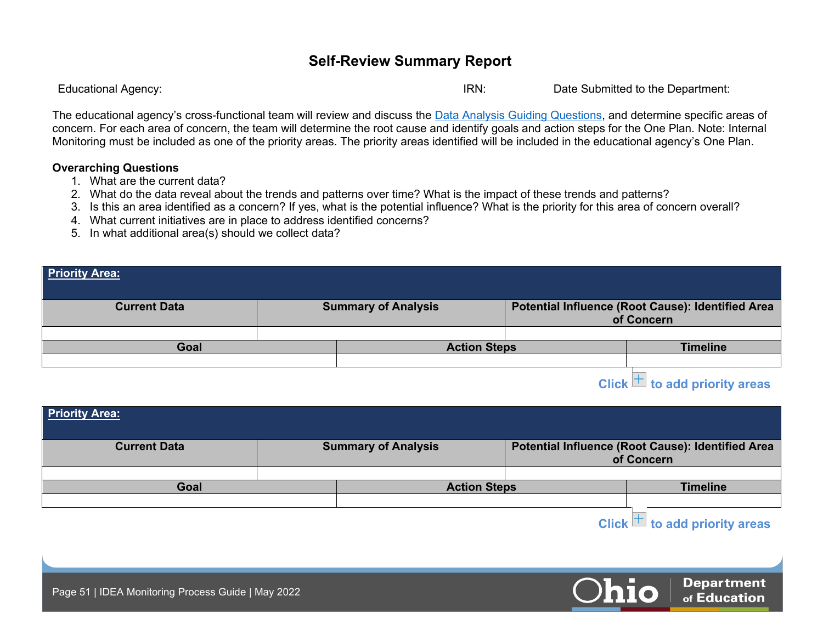## **Self-Review Summary Report**

Educational Agency: The Contractional Agency: The Contractional Agency: The Department: Date Submitted to the Department:

The educational agency's cross-functional team will review and discuss the Data Analysis Guiding Questions, and determine specific areas of concern. For each area of concern, the team will determine the root cause and identify goals and action steps for the One Plan. Note: Internal Monitoring must be included as one of the priority areas. The priority areas identified will be included in the educational agency's One Plan.

#### **Overarching Questions**

- 1. What are the current data?
- 2. What do the data reveal about the trends and patterns over time? What is the impact of these trends and patterns?
- 3. Is this an area identified as a concern? If yes, what is the potential influence? What is the priority for this area of concern overall?
- 4. What current initiatives are in place to address identified concerns?
- 5. In what additional area(s) should we collect data?

# **Priority Area: Current Data Summary of Analysis Potential Influence (Root Cause): Identified Area of Concern Goal Action Steps Timeline Click to add priority areas**

| <b>Priority Area:</b> |  |                            |  |                                                                        |  |  |  |
|-----------------------|--|----------------------------|--|------------------------------------------------------------------------|--|--|--|
| <b>Current Data</b>   |  | <b>Summary of Analysis</b> |  | <b>Potential Influence (Root Cause): Identified Area</b><br>of Concern |  |  |  |
|                       |  |                            |  |                                                                        |  |  |  |
|                       |  |                            |  |                                                                        |  |  |  |
| Goal                  |  | <b>Action Steps</b>        |  | <b>Timeline</b>                                                        |  |  |  |
|                       |  |                            |  |                                                                        |  |  |  |
|                       |  |                            |  |                                                                        |  |  |  |



Page 51 | IDEA Monitoring Process Guide | May 2022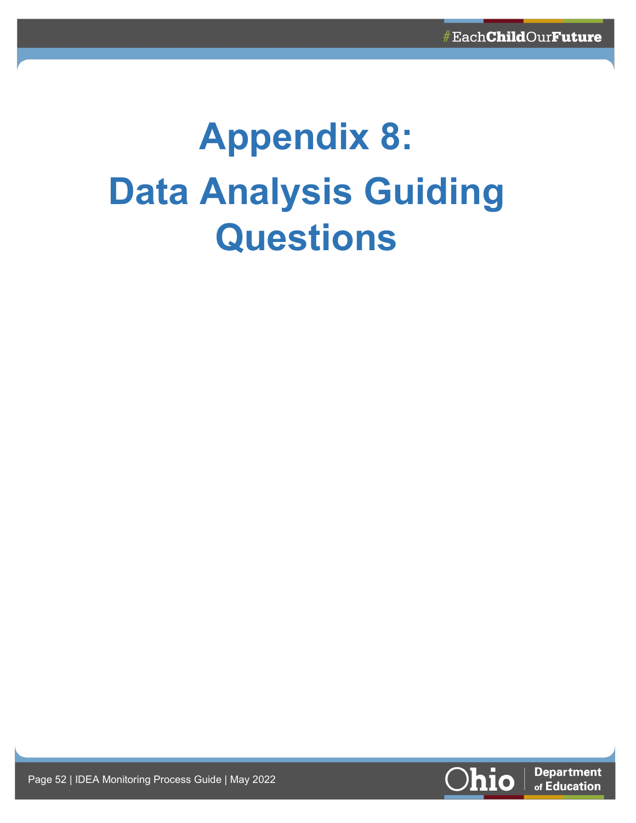# **Appendix 8: Data Analysis Guiding Questions**



**Department** of Education

Page 52 | IDEA Monitoring Process Guide | May 2022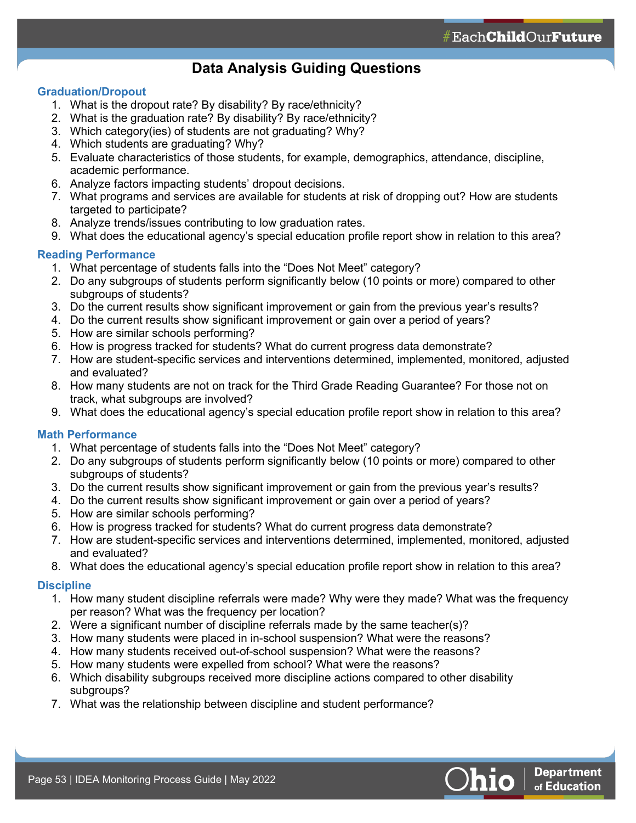# **Data Analysis Guiding Questions**

#### <span id="page-52-0"></span>**Graduation/Dropout**

- 1. What is the dropout rate? By disability? By race/ethnicity?
- 2. What is the graduation rate? By disability? By race/ethnicity?
- 3. Which category(ies) of students are not graduating? Why?
- 4. Which students are graduating? Why?
- 5. Evaluate characteristics of those students, for example, demographics, attendance, discipline, academic performance.
- 6. Analyze factors impacting students' dropout decisions.
- 7. What programs and services are available for students at risk of dropping out? How are students targeted to participate?
- 8. Analyze trends/issues contributing to low graduation rates.
- 9. What does the educational agency's special education profile report show in relation to this area?

#### **Reading Performance**

- 1. What percentage of students falls into the "Does Not Meet" category?
- 2. Do any subgroups of students perform significantly below (10 points or more) compared to other subgroups of students?
- 3. Do the current results show significant improvement or gain from the previous year's results?
- 4. Do the current results show significant improvement or gain over a period of years?
- 5. How are similar schools performing?
- 6. How is progress tracked for students? What do current progress data demonstrate?
- 7. How are student-specific services and interventions determined, implemented, monitored, adjusted and evaluated?
- 8. How many students are not on track for the Third Grade Reading Guarantee? For those not on track, what subgroups are involved?
- 9. What does the educational agency's special education profile report show in relation to this area?

#### **Math Performance**

- 1. What percentage of students falls into the "Does Not Meet" category?
- 2. Do any subgroups of students perform significantly below (10 points or more) compared to other subgroups of students?
- 3. Do the current results show significant improvement or gain from the previous year's results?
- 4. Do the current results show significant improvement or gain over a period of years?
- 5. How are similar schools performing?
- 6. How is progress tracked for students? What do current progress data demonstrate?
- 7. How are student-specific services and interventions determined, implemented, monitored, adjusted and evaluated?
- 8. What does the educational agency's special education profile report show in relation to this area?

#### **Discipline**

- 1. How many student discipline referrals were made? Why were they made? What was the frequency per reason? What was the frequency per location?
- 2. Were a significant number of discipline referrals made by the same teacher(s)?
- 3. How many students were placed in in-school suspension? What were the reasons?
- 4. How many students received out-of-school suspension? What were the reasons?
- 5. How many students were expelled from school? What were the reasons?
- 6. Which disability subgroups received more discipline actions compared to other disability subgroups?
- 7. What was the relationship between discipline and student performance?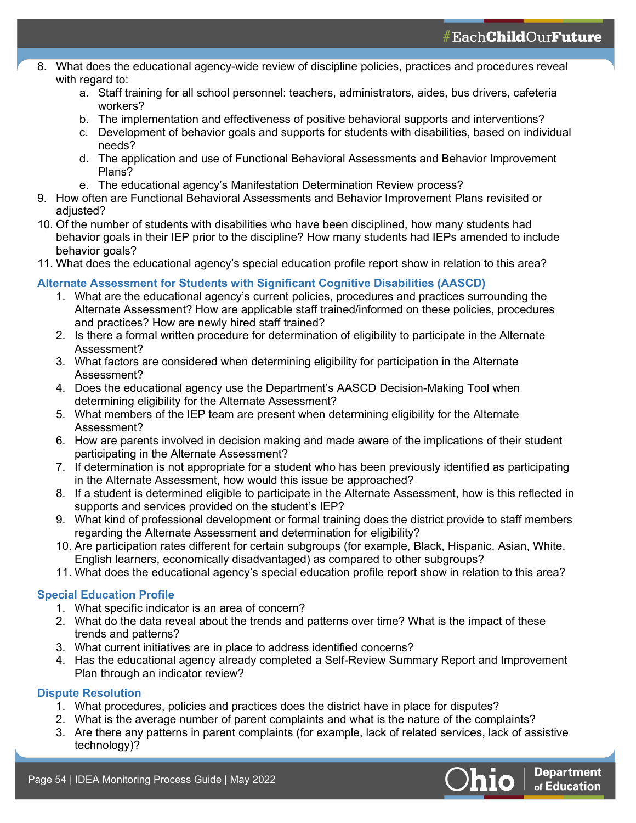- 8. What does the educational agency-wide review of discipline policies, practices and procedures reveal with regard to:
	- a. Staff training for all school personnel: teachers, administrators, aides, bus drivers, cafeteria workers?
	- b. The implementation and effectiveness of positive behavioral supports and interventions?
	- c. Development of behavior goals and supports for students with disabilities, based on individual needs?
	- d. The application and use of Functional Behavioral Assessments and Behavior Improvement Plans?
	- e. The educational agency's Manifestation Determination Review process?
- 9. How often are Functional Behavioral Assessments and Behavior Improvement Plans revisited or adiusted?
- 10. Of the number of students with disabilities who have been disciplined, how many students had behavior goals in their IEP prior to the discipline? How many students had IEPs amended to include behavior goals?
- 11. What does the educational agency's special education profile report show in relation to this area?

#### **Alternate Assessment for Students with Significant Cognitive Disabilities (AASCD)**

- 1. What are the educational agency's current policies, procedures and practices surrounding the Alternate Assessment? How are applicable staff trained/informed on these policies, procedures and practices? How are newly hired staff trained?
- 2. Is there a formal written procedure for determination of eligibility to participate in the Alternate Assessment?
- 3. What factors are considered when determining eligibility for participation in the Alternate Assessment?
- 4. Does the educational agency use the Department's AASCD Decision-Making Tool when determining eligibility for the Alternate Assessment?
- 5. What members of the IEP team are present when determining eligibility for the Alternate Assessment?
- 6. How are parents involved in decision making and made aware of the implications of their student participating in the Alternate Assessment?
- 7. If determination is not appropriate for a student who has been previously identified as participating in the Alternate Assessment, how would this issue be approached?
- 8. If a student is determined eligible to participate in the Alternate Assessment, how is this reflected in supports and services provided on the student's IEP?
- 9. What kind of professional development or formal training does the district provide to staff members regarding the Alternate Assessment and determination for eligibility?
- 10. Are participation rates different for certain subgroups (for example, Black, Hispanic, Asian, White, English learners, economically disadvantaged) as compared to other subgroups?
- 11. What does the educational agency's special education profile report show in relation to this area?

#### **Special Education Profile**

- 1. What specific indicator is an area of concern?
- 2. What do the data reveal about the trends and patterns over time? What is the impact of these trends and patterns?
- 3. What current initiatives are in place to address identified concerns?
- 4. Has the educational agency already completed a Self-Review Summary Report and Improvement Plan through an indicator review?

#### **Dispute Resolution**

- 1. What procedures, policies and practices does the district have in place for disputes?
- 2. What is the average number of parent complaints and what is the nature of the complaints?
- 3. Are there any patterns in parent complaints (for example, lack of related services, lack of assistive technology)?

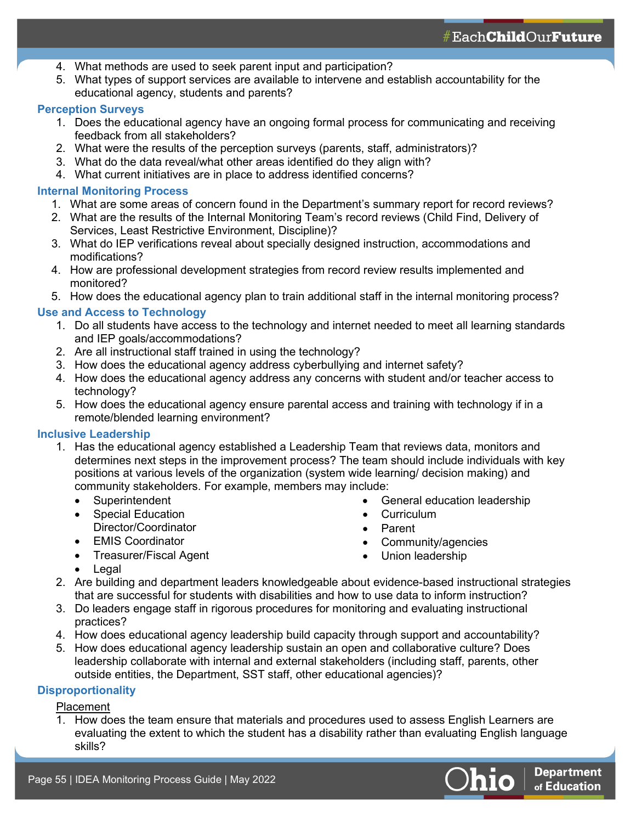- 4. What methods are used to seek parent input and participation?
- 5. What types of support services are available to intervene and establish accountability for the educational agency, students and parents?

#### **Perception Surveys**

- 1. Does the educational agency have an ongoing formal process for communicating and receiving feedback from all stakeholders?
- 2. What were the results of the perception surveys (parents, staff, administrators)?
- 3. What do the data reveal/what other areas identified do they align with?
- 4. What current initiatives are in place to address identified concerns?

#### **Internal Monitoring Process**

- 1. What are some areas of concern found in the Department's summary report for record reviews?
- 2. What are the results of the Internal Monitoring Team's record reviews (Child Find, Delivery of Services, Least Restrictive Environment, Discipline)?
- 3. What do IEP verifications reveal about specially designed instruction, accommodations and modifications?
- 4. How are professional development strategies from record review results implemented and monitored?
- 5. How does the educational agency plan to train additional staff in the internal monitoring process?

#### **Use and Access to Technology**

- 1. Do all students have access to the technology and internet needed to meet all learning standards and IEP goals/accommodations?
- 2. Are all instructional staff trained in using the technology?
- 3. How does the educational agency address cyberbullying and internet safety?
- 4. How does the educational agency address any concerns with student and/or teacher access to technology?
- 5. How does the educational agency ensure parental access and training with technology if in a remote/blended learning environment?

#### **Inclusive Leadership**

- 1. Has the educational agency established a Leadership Team that reviews data, monitors and determines next steps in the improvement process? The team should include individuals with key positions at various levels of the organization (system wide learning/ decision making) and community stakeholders. For example, members may include:
	- Superintendent
	- Special Education
	- Director/Coordinator
	- EMIS Coordinator
	- Treasurer/Fiscal Agent
- General education leadership
- Curriculum
- Parent
- Community/agencies
- Union leadership
- Legal
- 2. Are building and department leaders knowledgeable about evidence-based instructional strategies that are successful for students with disabilities and how to use data to inform instruction?
- 3. Do leaders engage staff in rigorous procedures for monitoring and evaluating instructional practices?
- 4. How does educational agency leadership build capacity through support and accountability?
- 5. How does educational agency leadership sustain an open and collaborative culture? Does leadership collaborate with internal and external stakeholders (including staff, parents, other outside entities, the Department, SST staff, other educational agencies)?

#### **Disproportionality**

#### Placement

1. How does the team ensure that materials and procedures used to assess English Learners are evaluating the extent to which the student has a disability rather than evaluating English language skills?

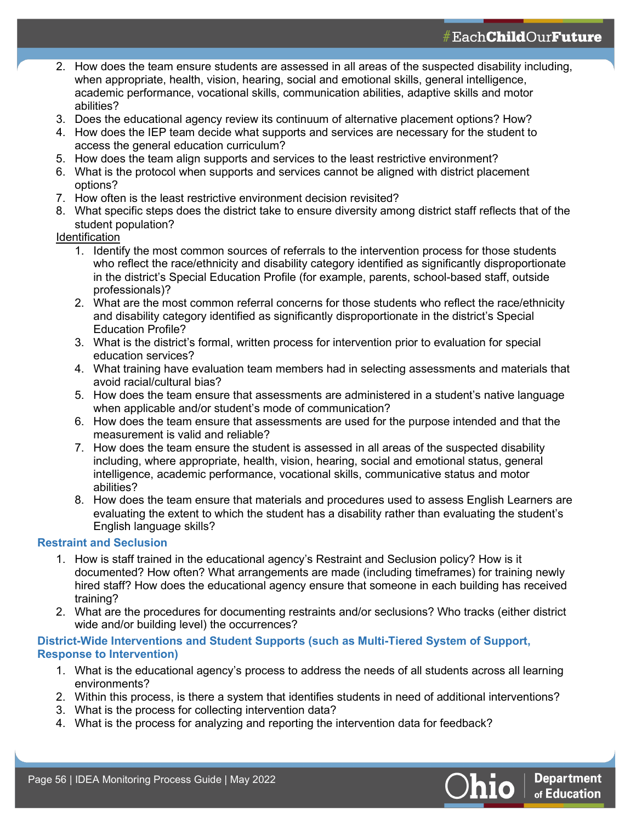- 2. How does the team ensure students are assessed in all areas of the suspected disability including, when appropriate, health, vision, hearing, social and emotional skills, general intelligence, academic performance, vocational skills, communication abilities, adaptive skills and motor abilities?
- 3. Does the educational agency review its continuum of alternative placement options? How?
- 4. How does the IEP team decide what supports and services are necessary for the student to access the general education curriculum?
- 5. How does the team align supports and services to the least restrictive environment?
- 6. What is the protocol when supports and services cannot be aligned with district placement options?
- 7. How often is the least restrictive environment decision revisited?
- 8. What specific steps does the district take to ensure diversity among district staff reflects that of the student population?

#### **Identification**

- 1. Identify the most common sources of referrals to the intervention process for those students who reflect the race/ethnicity and disability category identified as significantly disproportionate in the district's Special Education Profile (for example, parents, school-based staff, outside professionals)?
- 2. What are the most common referral concerns for those students who reflect the race/ethnicity and disability category identified as significantly disproportionate in the district's Special Education Profile?
- 3. What is the district's formal, written process for intervention prior to evaluation for special education services?
- 4. What training have evaluation team members had in selecting assessments and materials that avoid racial/cultural bias?
- 5. How does the team ensure that assessments are administered in a student's native language when applicable and/or student's mode of communication?
- 6. How does the team ensure that assessments are used for the purpose intended and that the measurement is valid and reliable?
- 7. How does the team ensure the student is assessed in all areas of the suspected disability including, where appropriate, health, vision, hearing, social and emotional status, general intelligence, academic performance, vocational skills, communicative status and motor abilities?
- 8. How does the team ensure that materials and procedures used to assess English Learners are evaluating the extent to which the student has a disability rather than evaluating the student's English language skills?

#### **Restraint and Seclusion**

- 1. How is staff trained in the educational agency's Restraint and Seclusion policy? How is it documented? How often? What arrangements are made (including timeframes) for training newly hired staff? How does the educational agency ensure that someone in each building has received training?
- 2. What are the procedures for documenting restraints and/or seclusions? Who tracks (either district wide and/or building level) the occurrences?

#### **District-Wide Interventions and Student Supports (such as Multi-Tiered System of Support, Response to Intervention)**

- 1. What is the educational agency's process to address the needs of all students across all learning environments?
- 2. Within this process, is there a system that identifies students in need of additional interventions?
- 3. What is the process for collecting intervention data?
- 4. What is the process for analyzing and reporting the intervention data for feedback?

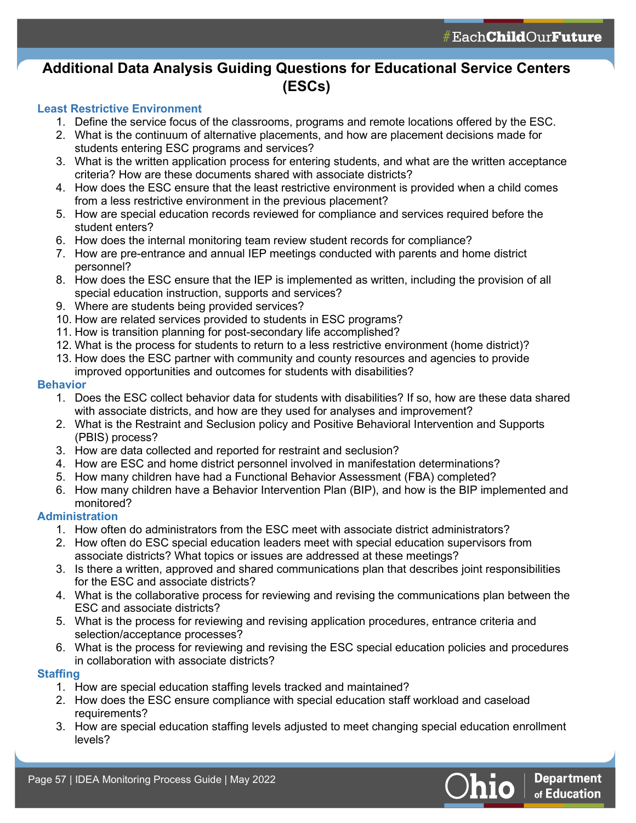## **Additional Data Analysis Guiding Questions for Educational Service Centers (ESCs)**

#### **Least Restrictive Environment**

- 1. Define the service focus of the classrooms, programs and remote locations offered by the ESC.
- 2. What is the continuum of alternative placements, and how are placement decisions made for students entering ESC programs and services?
- 3. What is the written application process for entering students, and what are the written acceptance criteria? How are these documents shared with associate districts?
- 4. How does the ESC ensure that the least restrictive environment is provided when a child comes from a less restrictive environment in the previous placement?
- 5. How are special education records reviewed for compliance and services required before the student enters?
- 6. How does the internal monitoring team review student records for compliance?
- 7. How are pre-entrance and annual IEP meetings conducted with parents and home district personnel?
- 8. How does the ESC ensure that the IEP is implemented as written, including the provision of all special education instruction, supports and services?
- 9. Where are students being provided services?
- 10. How are related services provided to students in ESC programs?
- 11. How is transition planning for post-secondary life accomplished?
- 12. What is the process for students to return to a less restrictive environment (home district)?
- 13. How does the ESC partner with community and county resources and agencies to provide improved opportunities and outcomes for students with disabilities?

#### **Behavior**

- 1. Does the ESC collect behavior data for students with disabilities? If so, how are these data shared with associate districts, and how are they used for analyses and improvement?
- 2. What is the Restraint and Seclusion policy and Positive Behavioral Intervention and Supports (PBIS) process?
- 3. How are data collected and reported for restraint and seclusion?
- 4. How are ESC and home district personnel involved in manifestation determinations?
- 5. How many children have had a Functional Behavior Assessment (FBA) completed?
- 6. How many children have a Behavior Intervention Plan (BIP), and how is the BIP implemented and monitored?

#### **Administration**

- 1. How often do administrators from the ESC meet with associate district administrators?
- 2. How often do ESC special education leaders meet with special education supervisors from associate districts? What topics or issues are addressed at these meetings?
- 3. Is there a written, approved and shared communications plan that describes joint responsibilities for the ESC and associate districts?
- 4. What is the collaborative process for reviewing and revising the communications plan between the ESC and associate districts?
- 5. What is the process for reviewing and revising application procedures, entrance criteria and selection/acceptance processes?
- 6. What is the process for reviewing and revising the ESC special education policies and procedures in collaboration with associate districts?

#### **Staffing**

- 1. How are special education staffing levels tracked and maintained?
- 2. How does the ESC ensure compliance with special education staff workload and caseload requirements?
- 3. How are special education staffing levels adjusted to meet changing special education enrollment levels?

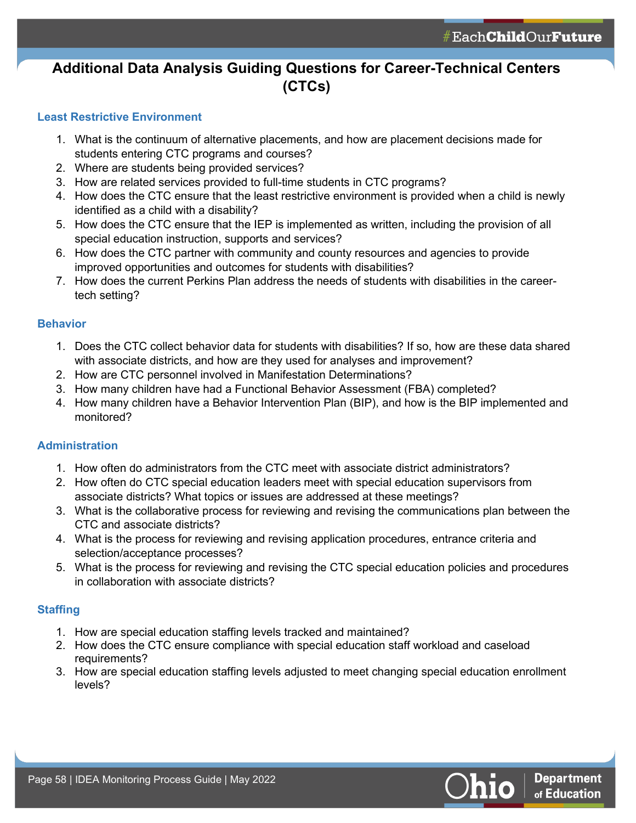## **Additional Data Analysis Guiding Questions for Career-Technical Centers (CTCs)**

#### **Least Restrictive Environment**

- 1. What is the continuum of alternative placements, and how are placement decisions made for students entering CTC programs and courses?
- 2. Where are students being provided services?
- 3. How are related services provided to full-time students in CTC programs?
- 4. How does the CTC ensure that the least restrictive environment is provided when a child is newly identified as a child with a disability?
- 5. How does the CTC ensure that the IEP is implemented as written, including the provision of all special education instruction, supports and services?
- 6. How does the CTC partner with community and county resources and agencies to provide improved opportunities and outcomes for students with disabilities?
- 7. How does the current Perkins Plan address the needs of students with disabilities in the careertech setting?

#### **Behavior**

- 1. Does the CTC collect behavior data for students with disabilities? If so, how are these data shared with associate districts, and how are they used for analyses and improvement?
- 2. How are CTC personnel involved in Manifestation Determinations?
- 3. How many children have had a Functional Behavior Assessment (FBA) completed?
- 4. How many children have a Behavior Intervention Plan (BIP), and how is the BIP implemented and monitored?

#### **Administration**

- 1. How often do administrators from the CTC meet with associate district administrators?
- 2. How often do CTC special education leaders meet with special education supervisors from associate districts? What topics or issues are addressed at these meetings?
- 3. What is the collaborative process for reviewing and revising the communications plan between the CTC and associate districts?
- 4. What is the process for reviewing and revising application procedures, entrance criteria and selection/acceptance processes?
- 5. What is the process for reviewing and revising the CTC special education policies and procedures in collaboration with associate districts?

#### **Staffing**

- 1. How are special education staffing levels tracked and maintained?
- 2. How does the CTC ensure compliance with special education staff workload and caseload requirements?
- 3. How are special education staffing levels adjusted to meet changing special education enrollment levels?

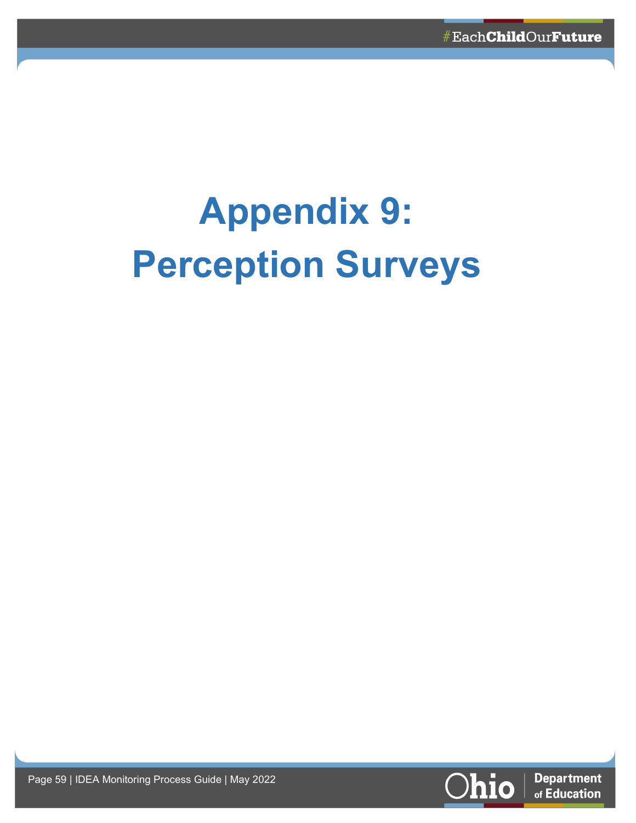# **Appendix 9: Perception Surveys**

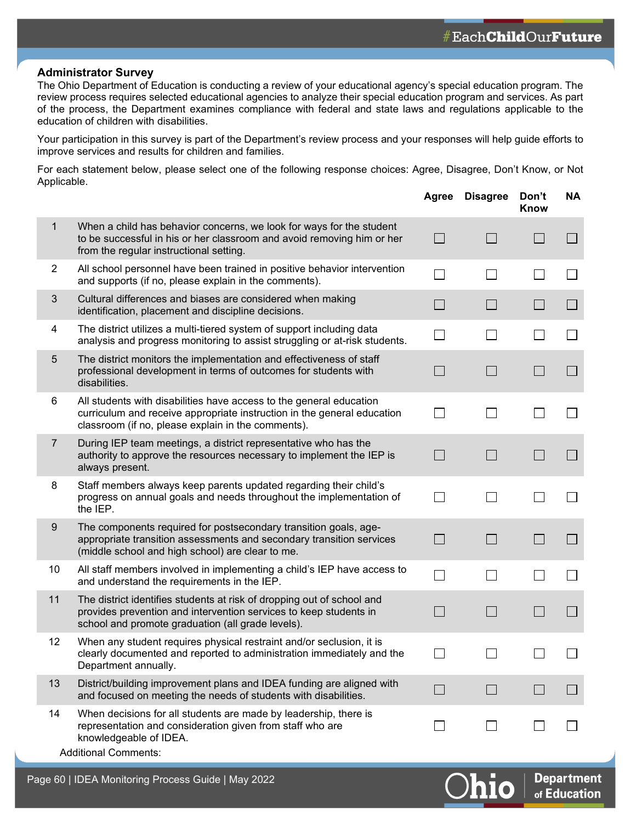#### <span id="page-59-0"></span>**Administrator Survey**

The Ohio Department of Education is conducting a review of your educational agency's special education program. The review process requires selected educational agencies to analyze their special education program and services. As part of the process, the Department examines compliance with federal and state laws and regulations applicable to the education of children with disabilities.

Your participation in this survey is part of the Department's review process and your responses will help guide efforts to improve services and results for children and families.

For each statement below, please select one of the following response choices: Agree, Disagree, Don't Know, or Not Applicable.

|                |                                                                                                                                                                                                      | Agree         | <b>Disagree</b>             | Don't<br>Know | <b>NA</b>                         |
|----------------|------------------------------------------------------------------------------------------------------------------------------------------------------------------------------------------------------|---------------|-----------------------------|---------------|-----------------------------------|
| $\mathbf{1}$   | When a child has behavior concerns, we look for ways for the student<br>to be successful in his or her classroom and avoid removing him or her<br>from the regular instructional setting.            | $\Box$        | $\Box$                      | H             | $\mathsf{L}$                      |
| $\overline{2}$ | All school personnel have been trained in positive behavior intervention<br>and supports (if no, please explain in the comments).                                                                    | $\Box$        |                             |               |                                   |
| $\mathfrak{S}$ | Cultural differences and biases are considered when making<br>identification, placement and discipline decisions.                                                                                    | $\Box$        | $\mathcal{L}_{\mathcal{A}}$ | $\Box$        | $\Box$                            |
| 4              | The district utilizes a multi-tiered system of support including data<br>analysis and progress monitoring to assist struggling or at-risk students.                                                  | $\Box$        |                             |               |                                   |
| 5              | The district monitors the implementation and effectiveness of staff<br>professional development in terms of outcomes for students with<br>disabilities.                                              | П             | $\mathcal{L}_{\mathcal{A}}$ | $\Box$        |                                   |
| 6              | All students with disabilities have access to the general education<br>curriculum and receive appropriate instruction in the general education<br>classroom (if no, please explain in the comments). | $\Box$        | $\overline{\phantom{0}}$    |               |                                   |
| $\overline{7}$ | During IEP team meetings, a district representative who has the<br>authority to approve the resources necessary to implement the IEP is<br>always present.                                           | $\Box$        | $\Box$                      | $\Box$        |                                   |
| 8              | Staff members always keep parents updated regarding their child's<br>progress on annual goals and needs throughout the implementation of<br>the IEP.                                                 | $\Box$        |                             |               |                                   |
| $9\,$          | The components required for postsecondary transition goals, age-<br>appropriate transition assessments and secondary transition services<br>(middle school and high school) are clear to me.         | $\Box$        | $\Box$                      | $\Box$        |                                   |
| 10             | All staff members involved in implementing a child's IEP have access to<br>and understand the requirements in the IEP.                                                                               | $\Box$        | $\overline{\phantom{0}}$    | $\mathsf{L}$  |                                   |
| 11             | The district identifies students at risk of dropping out of school and<br>provides prevention and intervention services to keep students in<br>school and promote graduation (all grade levels).     | $\Box$        | $\mathcal{L}_{\mathcal{A}}$ | $\Box$        |                                   |
| 12             | When any student requires physical restraint and/or seclusion, it is<br>clearly documented and reported to administration immediately and the<br>Department annually.                                |               |                             |               |                                   |
| 13             | District/building improvement plans and IDEA funding are aligned with<br>and focused on meeting the needs of students with disabilities.                                                             | П             | $\Box$                      |               |                                   |
| 14             | When decisions for all students are made by leadership, there is<br>representation and consideration given from staff who are<br>knowledgeable of IDEA.<br><b>Additional Comments:</b>               | $\mathcal{L}$ |                             |               |                                   |
|                |                                                                                                                                                                                                      |               |                             |               |                                   |
|                | Page 60   IDEA Monitoring Process Guide   May 2022                                                                                                                                                   |               | <b>Ohio</b>                 |               | <b>Department</b><br>of Education |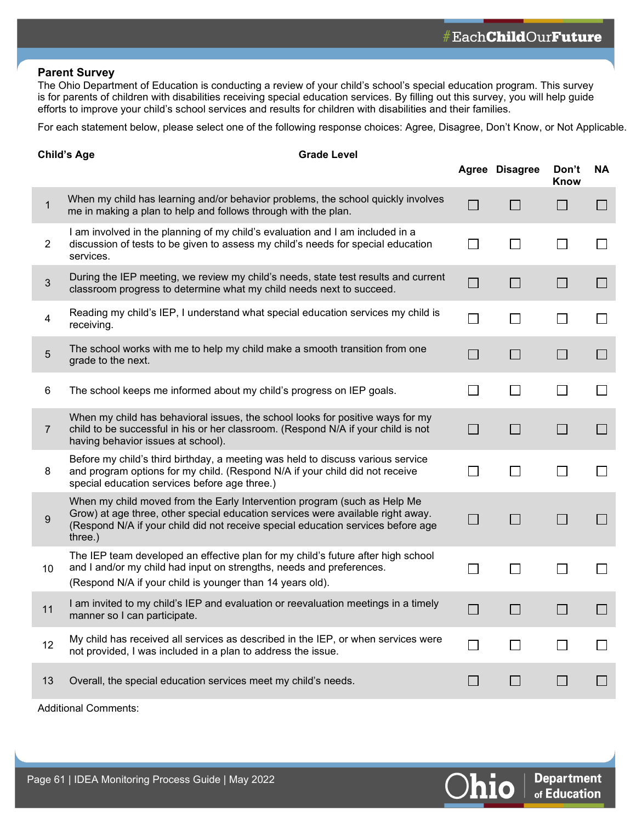#### **Parent Survey**

The Ohio Department of Education is conducting a review of your child's school's special education program. This survey is for parents of children with disabilities receiving special education services. By filling out this survey, you will help guide efforts to improve your child's school services and results for children with disabilities and their families.

For each statement below, please select one of the following response choices: Agree, Disagree, Don't Know, or Not Applicable.

|                | <b>Grade Level</b><br>Child's Age                                                                                                                                                                                                                          |                | Agree Disagree    | Don't<br>Know               | <b>NA</b>                   |
|----------------|------------------------------------------------------------------------------------------------------------------------------------------------------------------------------------------------------------------------------------------------------------|----------------|-------------------|-----------------------------|-----------------------------|
| $\mathbf{1}$   | When my child has learning and/or behavior problems, the school quickly involves<br>me in making a plan to help and follows through with the plan.                                                                                                         |                | П                 |                             | $\Box$                      |
| $\overline{2}$ | I am involved in the planning of my child's evaluation and I am included in a<br>discussion of tests to be given to assess my child's needs for special education<br>services.                                                                             | $\sim$         | $\Box$            |                             | $\mathcal{L}_{\mathcal{A}}$ |
| $\mathfrak{B}$ | During the IEP meeting, we review my child's needs, state test results and current<br>classroom progress to determine what my child needs next to succeed.                                                                                                 |                | $\Box$            | $\Box$                      | $\Box$                      |
| 4              | Reading my child's IEP, I understand what special education services my child is<br>receiving.                                                                                                                                                             |                | $\vert \ \ \vert$ | $\mathcal{L}$               | $\Box$                      |
| 5              | The school works with me to help my child make a smooth transition from one<br>grade to the next.                                                                                                                                                          | ×.             | $\Box$            | $\mathcal{L}_{\mathcal{A}}$ | $\Box$                      |
| 6              | The school keeps me informed about my child's progress on IEP goals.                                                                                                                                                                                       |                | $\blacksquare$    | $\blacksquare$              | $\vert \ \ \vert$           |
| $\overline{7}$ | When my child has behavioral issues, the school looks for positive ways for my<br>child to be successful in his or her classroom. (Respond N/A if your child is not<br>having behavior issues at school).                                                  | $\blacksquare$ | $\Box$            | $\mathcal{L}_{\mathcal{A}}$ | $\Box$                      |
| 8              | Before my child's third birthday, a meeting was held to discuss various service<br>and program options for my child. (Respond N/A if your child did not receive<br>special education services before age three.)                                           |                | $\mathsf{L}$      | $\blacksquare$              | $\vert \ \ \vert$           |
| 9              | When my child moved from the Early Intervention program (such as Help Me<br>Grow) at age three, other special education services were available right away.<br>(Respond N/A if your child did not receive special education services before age<br>three.) |                | $\Box$            |                             | $\mathcal{L}_{\mathcal{A}}$ |
| 10             | The IEP team developed an effective plan for my child's future after high school<br>and I and/or my child had input on strengths, needs and preferences.<br>(Respond N/A if your child is younger than 14 years old).                                      |                | $\vert \ \ \vert$ |                             |                             |
| 11             | I am invited to my child's IEP and evaluation or reevaluation meetings in a timely<br>manner so I can participate.                                                                                                                                         |                |                   |                             |                             |
| 12             | My child has received all services as described in the IEP, or when services were<br>not provided, I was included in a plan to address the issue.                                                                                                          |                | l 1               |                             |                             |
| 13             | Overall, the special education services meet my child's needs.                                                                                                                                                                                             |                | $\Box$            |                             |                             |

Additional Comments:

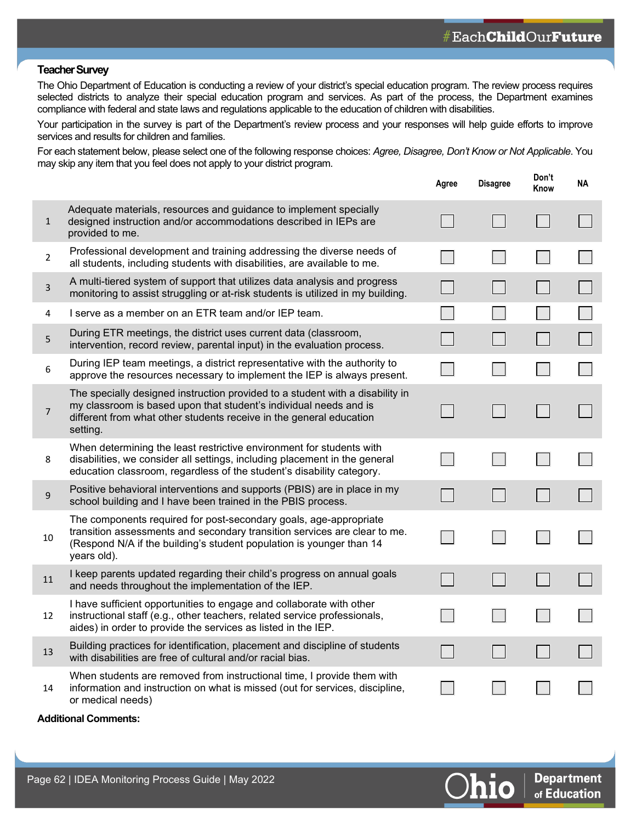#### **Teacher Survey**

The Ohio Department of Education is conducting a review of your district's special education program. The review process requires selected districts to analyze their special education program and services. As part of the process, the Department examines compliance with federal and state laws and regulations applicable to the education of children with disabilities.

Your participation in the survey is part of the Department's review process and your responses will help guide efforts to improve services and results for children and families.

For each statement below, please select one of the following response choices: *Agree, Disagree, Don't Know or Not Applicable*. You may skip any item that you feel does not apply to your district program.

|                |                                                                                                                                                                                                                                       | Agree | <b>Disagree</b> | Don't<br>Know | ΝA |
|----------------|---------------------------------------------------------------------------------------------------------------------------------------------------------------------------------------------------------------------------------------|-------|-----------------|---------------|----|
| $\mathbf{1}$   | Adequate materials, resources and guidance to implement specially<br>designed instruction and/or accommodations described in IEPs are<br>provided to me.                                                                              |       |                 |               |    |
| 2              | Professional development and training addressing the diverse needs of<br>all students, including students with disabilities, are available to me.                                                                                     |       |                 |               |    |
| 3              | A multi-tiered system of support that utilizes data analysis and progress<br>monitoring to assist struggling or at-risk students is utilized in my building.                                                                          |       |                 |               |    |
| 4              | I serve as a member on an ETR team and/or IEP team.                                                                                                                                                                                   |       |                 |               |    |
| 5              | During ETR meetings, the district uses current data (classroom,<br>intervention, record review, parental input) in the evaluation process.                                                                                            |       |                 |               |    |
| 6              | During IEP team meetings, a district representative with the authority to<br>approve the resources necessary to implement the IEP is always present.                                                                                  |       |                 |               |    |
| $\overline{7}$ | The specially designed instruction provided to a student with a disability in<br>my classroom is based upon that student's individual needs and is<br>different from what other students receive in the general education<br>setting. |       |                 |               |    |
| 8              | When determining the least restrictive environment for students with<br>disabilities, we consider all settings, including placement in the general<br>education classroom, regardless of the student's disability category.           |       |                 |               |    |
| 9              | Positive behavioral interventions and supports (PBIS) are in place in my<br>school building and I have been trained in the PBIS process.                                                                                              |       |                 |               |    |
| 10             | The components required for post-secondary goals, age-appropriate<br>transition assessments and secondary transition services are clear to me.<br>(Respond N/A if the building's student population is younger than 14<br>years old). |       |                 |               |    |
| 11             | I keep parents updated regarding their child's progress on annual goals<br>and needs throughout the implementation of the IEP.                                                                                                        |       |                 |               |    |
| 12             | I have sufficient opportunities to engage and collaborate with other<br>instructional staff (e.g., other teachers, related service professionals,<br>aides) in order to provide the services as listed in the IEP.                    |       |                 |               |    |
| 13             | Building practices for identification, placement and discipline of students<br>with disabilities are free of cultural and/or racial bias.                                                                                             |       |                 |               |    |
| 14             | When students are removed from instructional time, I provide them with<br>information and instruction on what is missed (out for services, discipline,<br>or medical needs)                                                           |       |                 |               |    |

**Additional Comments:**



**Department**<br>of Education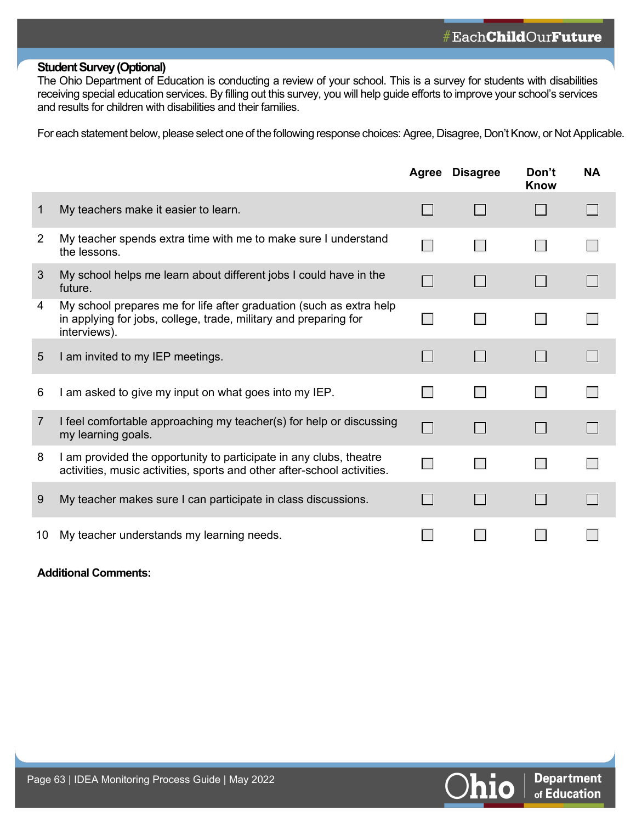#### **Student Survey (Optional)**

The Ohio Department of Education is conducting a review of your school. This is a survey for students with disabilities receiving special education services. By filling out this survey, you will help guide efforts to improve your school's services and results for children with disabilities and their families.

For each statement below, please select one of the following response choices: Agree, Disagree, Don't Know, or Not Applicable.

|                |                                                                                                                                                         | Agree | <b>Disagree</b> | Don't<br><b>Know</b> | <b>NA</b> |
|----------------|---------------------------------------------------------------------------------------------------------------------------------------------------------|-------|-----------------|----------------------|-----------|
| 1              | My teachers make it easier to learn.                                                                                                                    |       |                 |                      |           |
| $\overline{2}$ | My teacher spends extra time with me to make sure I understand<br>the lessons.                                                                          |       |                 |                      |           |
| 3              | My school helps me learn about different jobs I could have in the<br>future.                                                                            |       |                 |                      |           |
| 4              | My school prepares me for life after graduation (such as extra help<br>in applying for jobs, college, trade, military and preparing for<br>interviews). |       |                 |                      |           |
| 5              | I am invited to my IEP meetings.                                                                                                                        |       |                 |                      |           |
| 6              | I am asked to give my input on what goes into my IEP.                                                                                                   |       |                 |                      |           |
| $\overline{7}$ | I feel comfortable approaching my teacher(s) for help or discussing<br>my learning goals.                                                               |       |                 |                      |           |
| 8              | I am provided the opportunity to participate in any clubs, theatre<br>activities, music activities, sports and other after-school activities.           |       |                 |                      |           |
| 9              | My teacher makes sure I can participate in class discussions.                                                                                           |       |                 |                      |           |
| 10             | My teacher understands my learning needs.                                                                                                               |       |                 |                      |           |

#### **Additional Comments:**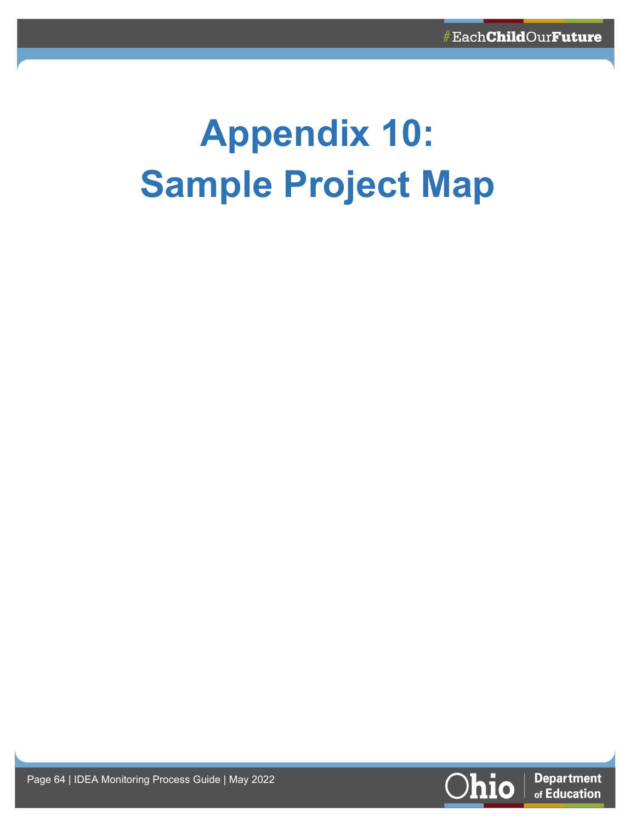# **Appendix 10: Sample Project Map**

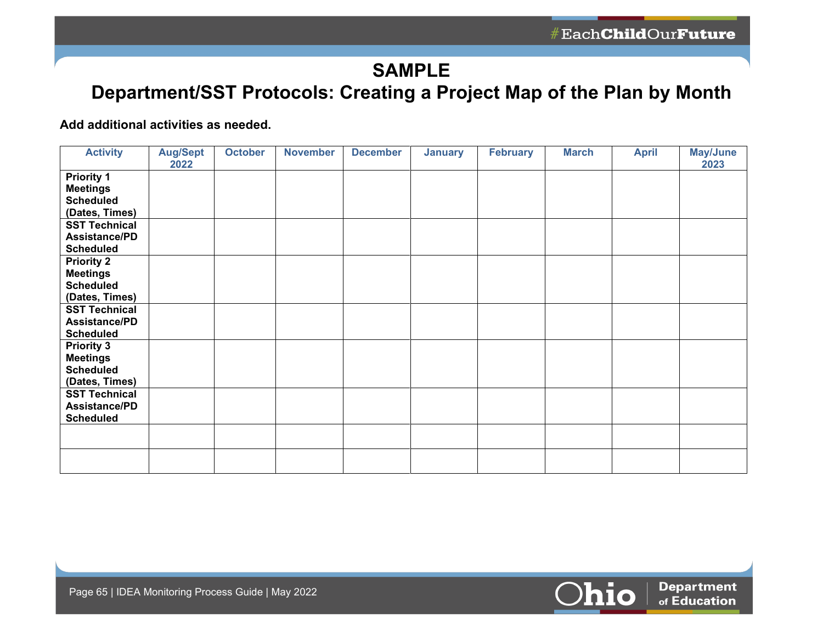# <span id="page-64-0"></span>**SAMPLE**

# **Department/SST Protocols: Creating a Project Map of the Plan by Month**

#### **Add additional activities as needed.**

| <b>Activity</b>      | <b>Aug/Sept</b><br>2022 | <b>October</b> | <b>November</b> | <b>December</b> | <b>January</b> | <b>February</b> | <b>March</b> | <b>April</b> | <b>May/June</b><br>2023 |
|----------------------|-------------------------|----------------|-----------------|-----------------|----------------|-----------------|--------------|--------------|-------------------------|
| <b>Priority 1</b>    |                         |                |                 |                 |                |                 |              |              |                         |
| <b>Meetings</b>      |                         |                |                 |                 |                |                 |              |              |                         |
| <b>Scheduled</b>     |                         |                |                 |                 |                |                 |              |              |                         |
| (Dates, Times)       |                         |                |                 |                 |                |                 |              |              |                         |
| <b>SST Technical</b> |                         |                |                 |                 |                |                 |              |              |                         |
| <b>Assistance/PD</b> |                         |                |                 |                 |                |                 |              |              |                         |
| <b>Scheduled</b>     |                         |                |                 |                 |                |                 |              |              |                         |
| <b>Priority 2</b>    |                         |                |                 |                 |                |                 |              |              |                         |
| <b>Meetings</b>      |                         |                |                 |                 |                |                 |              |              |                         |
| <b>Scheduled</b>     |                         |                |                 |                 |                |                 |              |              |                         |
| (Dates, Times)       |                         |                |                 |                 |                |                 |              |              |                         |
| <b>SST Technical</b> |                         |                |                 |                 |                |                 |              |              |                         |
| <b>Assistance/PD</b> |                         |                |                 |                 |                |                 |              |              |                         |
| <b>Scheduled</b>     |                         |                |                 |                 |                |                 |              |              |                         |
| <b>Priority 3</b>    |                         |                |                 |                 |                |                 |              |              |                         |
| <b>Meetings</b>      |                         |                |                 |                 |                |                 |              |              |                         |
| <b>Scheduled</b>     |                         |                |                 |                 |                |                 |              |              |                         |
| (Dates, Times)       |                         |                |                 |                 |                |                 |              |              |                         |
| <b>SST Technical</b> |                         |                |                 |                 |                |                 |              |              |                         |
| <b>Assistance/PD</b> |                         |                |                 |                 |                |                 |              |              |                         |
| <b>Scheduled</b>     |                         |                |                 |                 |                |                 |              |              |                         |
|                      |                         |                |                 |                 |                |                 |              |              |                         |
|                      |                         |                |                 |                 |                |                 |              |              |                         |
|                      |                         |                |                 |                 |                |                 |              |              |                         |

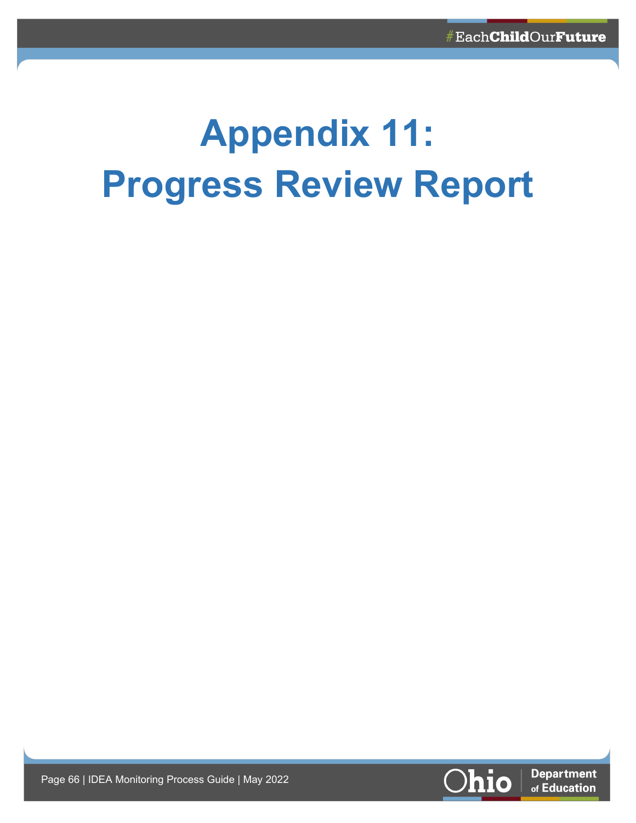# **Appendix 11: Progress Review Report**



**Department** of Education

Page 66 | IDEA Monitoring Process Guide | May 2022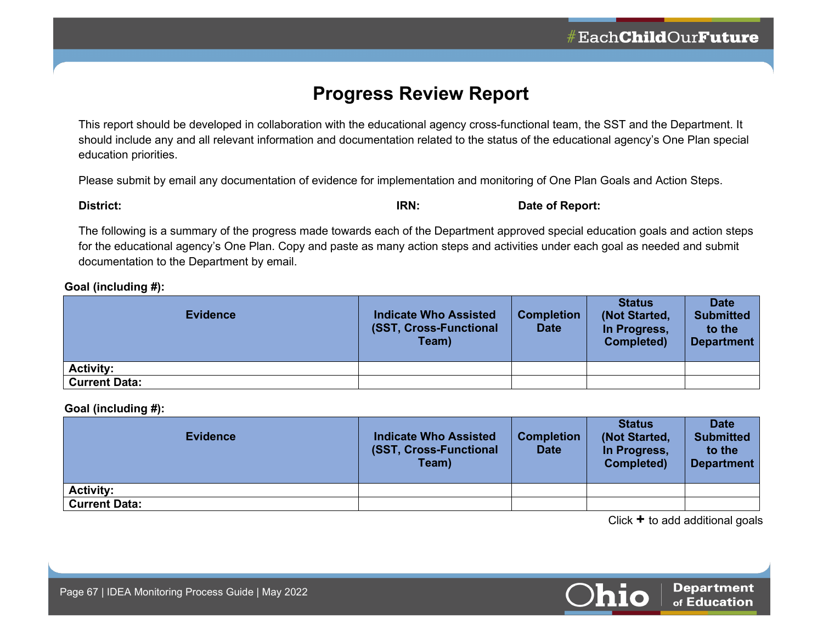# **Progress Review Report**

This report should be developed in collaboration with the educational agency cross-functional team, the SST and the Department. It should include any and all relevant information and documentation related to the status of the educational agency's One Plan special education priorities.

Please submit by email any documentation of evidence for implementation and monitoring of One Plan Goals and Action Steps.

| District: | IRN. | Date of Report: |
|-----------|------|-----------------|
|-----------|------|-----------------|

The following is a summary of the progress made towards each of the Department approved special education goals and action steps for the educational agency's One Plan. Copy and paste as many action steps and activities under each goal as needed and submit documentation to the Department by email.

#### <span id="page-66-0"></span>**Goal (including #):**

| <b>Evidence</b>      | Indicate Who Assisted<br>(SST, Cross-Functional<br>Team) | <b>Completion</b><br><b>Date</b> | <b>Status</b><br>(Not Started,<br>In Progress,<br><b>Completed)</b> | <b>Date</b><br><b>Submitted</b><br>to the<br><b>Department</b> |
|----------------------|----------------------------------------------------------|----------------------------------|---------------------------------------------------------------------|----------------------------------------------------------------|
| <b>Activity:</b>     |                                                          |                                  |                                                                     |                                                                |
| <b>Current Data:</b> |                                                          |                                  |                                                                     |                                                                |

#### **Goal (including #):**

| <b>Evidence</b>      | Indicate Who Assisted<br>(SST, Cross-Functional<br>Team) | <b>Completion</b><br><b>Date</b> | <b>Status</b><br>(Not Started,<br>In Progress,<br>Completed) | <b>Date</b><br><b>Submitted</b><br>to the<br><b>Department</b> |
|----------------------|----------------------------------------------------------|----------------------------------|--------------------------------------------------------------|----------------------------------------------------------------|
| <b>Activity:</b>     |                                                          |                                  |                                                              |                                                                |
| <b>Current Data:</b> |                                                          |                                  |                                                              |                                                                |

Click **+** to add additional goals

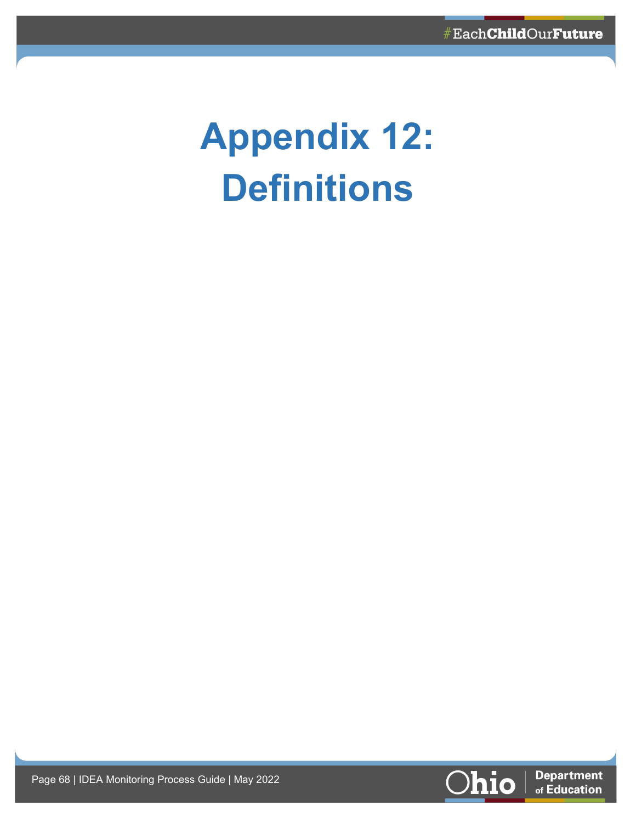# **Appendix 12: Definitions**





Page 68 | IDEA Monitoring Process Guide | May 2022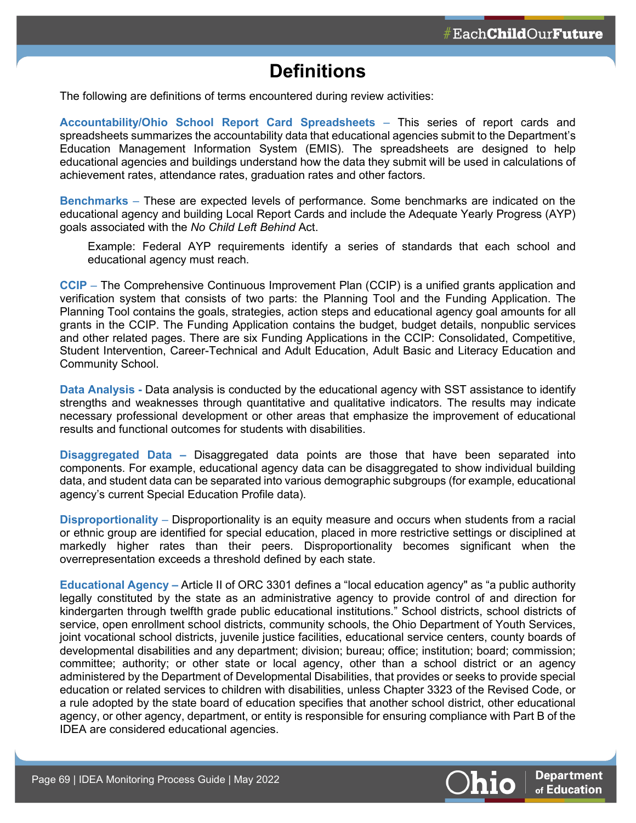# **Definitions**

<span id="page-68-0"></span>The following are definitions of terms encountered during review activities:

**Accountability/Ohio School Report Card Spreadsheets** – This series of report cards and spreadsheets summarizes the accountability data that educational agencies submit to the Department's Education Management Information System (EMIS). The spreadsheets are designed to help educational agencies and buildings understand how the data they submit will be used in calculations of achievement rates, attendance rates, graduation rates and other factors.

**Benchmarks** – These are expected levels of performance. Some benchmarks are indicated on the educational agency and building Local Report Cards and include the Adequate Yearly Progress (AYP) goals associated with the *No Child Left Behind* Act.

Example: Federal AYP requirements identify a series of standards that each school and educational agency must reach.

**CCIP** – The Comprehensive Continuous Improvement Plan (CCIP) is a unified grants application and verification system that consists of two parts: the Planning Tool and the Funding Application. The Planning Tool contains the goals, strategies, action steps and educational agency goal amounts for all grants in the CCIP. The Funding Application contains the budget, budget details, nonpublic services and other related pages. There are six Funding Applications in the CCIP: Consolidated, Competitive, Student Intervention, Career-Technical and Adult Education, Adult Basic and Literacy Education and Community School.

**Data Analysis -** Data analysis is conducted by the educational agency with SST assistance to identify strengths and weaknesses through quantitative and qualitative indicators. The results may indicate necessary professional development or other areas that emphasize the improvement of educational results and functional outcomes for students with disabilities.

**Disaggregated Data –** Disaggregated data points are those that have been separated into components. For example, educational agency data can be disaggregated to show individual building data, and student data can be separated into various demographic subgroups (for example, educational agency's current Special Education Profile data).

**Disproportionality** – Disproportionality is an equity measure and occurs when students from a racial or ethnic group are identified for special education, placed in more restrictive settings or disciplined at markedly higher rates than their peers. Disproportionality becomes significant when the overrepresentation exceeds a threshold defined by each state.

**Educational Agency –** Article II of ORC 3301 defines a "local education agency" as "a public authority legally constituted by the state as an administrative agency to provide control of and direction for kindergarten through twelfth grade public educational institutions." School districts, school districts of service, open enrollment school districts, community schools, the Ohio Department of Youth Services, joint vocational school districts, juvenile justice facilities, educational service centers, county boards of developmental disabilities and any department; division; bureau; office; institution; board; commission; committee; authority; or other state or local agency, other than a school district or an agency administered by the Department of Developmental Disabilities, that provides or seeks to provide special education or related services to children with disabilities, unless Chapter 3323 of the Revised Code, or a rule adopted by the state board of education specifies that another school district, other educational agency, or other agency, department, or entity is responsible for ensuring compliance with Part B of the IDEA are considered educational agencies.

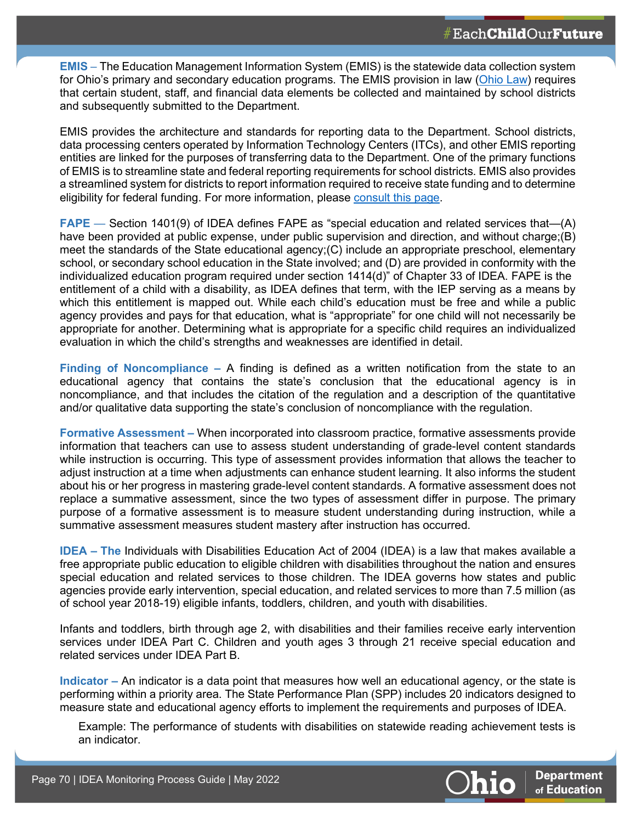**EMIS** – The Education Management Information System (EMIS) is the statewide data collection system for Ohio's primary and secondary education programs. The EMIS provision in law [\(Ohio Law\)](http://codes.ohio.gov/orc/3301.0714) requires that certain student, staff, and financial data elements be collected and maintained by school districts and subsequently submitted to the Department.

EMIS provides the architecture and standards for reporting data to the Department. School districts, data processing centers operated by Information Technology Centers (ITCs), and other EMIS reporting entities are linked for the purposes of transferring data to the Department. One of the primary functions of EMIS is to streamline state and federal reporting requirements for school districts. EMIS also provides a streamlined system for districts to report information required to receive state funding and to determine eligibility for federal funding. For more information, please [consult this page.](http://education.ohio.gov/getattachment/Topics/Data/EMIS/EMIS-Documentation/Current-EMIS-Manual/1-1-EMIS-Overviewv-6-0.pdf.aspx?lang=en-US)

**FAPE** — Section 1401(9) of IDEA defines FAPE as "special education and related services that—(A) have been provided at public expense, under public supervision and direction, and without charge;(B) meet the standards of the State educational agency;(C) include an appropriate preschool, elementary school, or secondary school education in the State involved; and (D) are provided in conformity with the individualized education program required under section 1414(d)" of Chapter 33 of IDEA. FAPE is the entitlement of a child with a disability, as IDEA defines that term, with the IEP serving as a means by which this entitlement is mapped out. While each child's education must be free and while a public agency provides and pays for that education, what is "appropriate" for one child will not necessarily be appropriate for another. Determining what is appropriate for a specific child requires an individualized evaluation in which the child's strengths and weaknesses are identified in detail.

**Finding of Noncompliance –** A finding is defined as a written notification from the state to an educational agency that contains the state's conclusion that the educational agency is in noncompliance, and that includes the citation of the regulation and a description of the quantitative and/or qualitative data supporting the state's conclusion of noncompliance with the regulation.

**Formative Assessment –** When incorporated into classroom practice, formative assessments provide information that teachers can use to assess student understanding of grade-level content standards while instruction is occurring. This type of assessment provides information that allows the teacher to adjust instruction at a time when adjustments can enhance student learning. It also informs the student about his or her progress in mastering grade-level content standards. A formative assessment does not replace a summative assessment, since the two types of assessment differ in purpose. The primary purpose of a formative assessment is to measure student understanding during instruction, while a summative assessment measures student mastery after instruction has occurred.

**IDEA – The** Individuals with Disabilities Education Act of 2004 (IDEA) is a law that makes available a free appropriate public education to eligible children with disabilities throughout the nation and ensures special education and related services to those children. The IDEA governs how states and public agencies provide early intervention, special education, and related services to more than 7.5 million (as of school year 2018-19) eligible infants, toddlers, children, and youth with disabilities.

Infants and toddlers, birth through age 2, with disabilities and their families receive early intervention services under IDEA Part C. Children and youth ages 3 through 21 receive special education and related services under IDEA Part B.

**Indicator –** An indicator is a data point that measures how well an educational agency, or the state is performing within a priority area. The State Performance Plan (SPP) includes 20 indicators designed to measure state and educational agency efforts to implement the requirements and purposes of IDEA.

Example: The performance of students with disabilities on statewide reading achievement tests is an indicator.